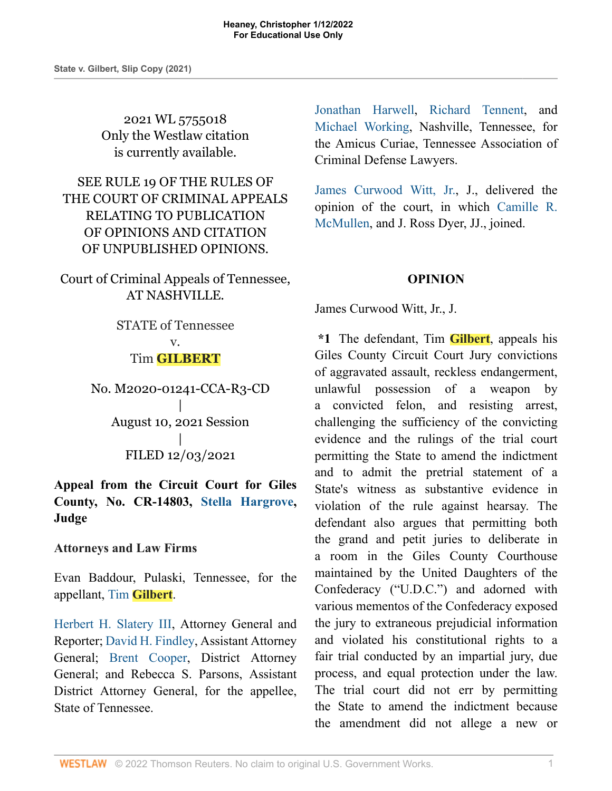2021 WL 5755018 Only the Westlaw citation is currently available.

SEE RULE 19 OF THE RULES OF THE COURT OF CRIMINAL APPEALS RELATING TO PUBLICATION OF OPINIONS AND CITATION OF UNPUBLISHED OPINIONS.

Court of Criminal Appeals of Tennessee, AT NASHVILLE.

> STATE of Tennessee v. Tim **GILBERT**

No. M2020-01241-CCA-R3-CD | August 10, 2021 Session | FILED 12/03/2021

**Appeal from the Circuit Court for Giles County, No. CR-14803, [Stella Hargrove,](http://www.westlaw.com/Link/Document/FullText?findType=h&pubNum=176284&cite=0513925901&originatingDoc=I721c87b0549711ecb124ab1bb8098962&refType=RQ&originationContext=document&vr=3.0&rs=cblt1.0&transitionType=DocumentItem&contextData=(sc.Search)) Judge**

**Attorneys and Law Firms**

Evan Baddour, Pulaski, Tennessee, for the appellant, Tim **[Gilbert](http://www.westlaw.com/Link/Document/FullText?findType=h&pubNum=176284&cite=0456748601&originatingDoc=I721c87b0549711ecb124ab1bb8098962&refType=RQ&originationContext=document&vr=3.0&rs=cblt1.0&transitionType=DocumentItem&contextData=(sc.Search))**.

[Herbert H. Slatery III,](http://www.westlaw.com/Link/Document/FullText?findType=h&pubNum=176284&cite=0231397601&originatingDoc=I721c87b0549711ecb124ab1bb8098962&refType=RQ&originationContext=document&vr=3.0&rs=cblt1.0&transitionType=DocumentItem&contextData=(sc.Search)) Attorney General and Reporter; [David H. Findley,](http://www.westlaw.com/Link/Document/FullText?findType=h&pubNum=176284&cite=0467049501&originatingDoc=I721c87b0549711ecb124ab1bb8098962&refType=RQ&originationContext=document&vr=3.0&rs=cblt1.0&transitionType=DocumentItem&contextData=(sc.Search)) Assistant Attorney General; [Brent Cooper](http://www.westlaw.com/Link/Document/FullText?findType=h&pubNum=176284&cite=0518896001&originatingDoc=I721c87b0549711ecb124ab1bb8098962&refType=RQ&originationContext=document&vr=3.0&rs=cblt1.0&transitionType=DocumentItem&contextData=(sc.Search)), District Attorney General; and Rebecca S. Parsons, Assistant District Attorney General, for the appellee, State of Tennessee.

[Jonathan Harwell,](http://www.westlaw.com/Link/Document/FullText?findType=h&pubNum=176284&cite=0259776201&originatingDoc=I721c87b0549711ecb124ab1bb8098962&refType=RQ&originationContext=document&vr=3.0&rs=cblt1.0&transitionType=DocumentItem&contextData=(sc.Search)) [Richard Tennent](http://www.westlaw.com/Link/Document/FullText?findType=h&pubNum=176284&cite=0222820201&originatingDoc=I721c87b0549711ecb124ab1bb8098962&refType=RQ&originationContext=document&vr=3.0&rs=cblt1.0&transitionType=DocumentItem&contextData=(sc.Search)), and [Michael Working,](http://www.westlaw.com/Link/Document/FullText?findType=h&pubNum=176284&cite=0492962601&originatingDoc=I721c87b0549711ecb124ab1bb8098962&refType=RQ&originationContext=document&vr=3.0&rs=cblt1.0&transitionType=DocumentItem&contextData=(sc.Search)) Nashville, Tennessee, for the Amicus Curiae, Tennessee Association of Criminal Defense Lawyers.

[James Curwood Witt, Jr.,](http://www.westlaw.com/Link/Document/FullText?findType=h&pubNum=176284&cite=0196495201&originatingDoc=I721c87b0549711ecb124ab1bb8098962&refType=RQ&originationContext=document&vr=3.0&rs=cblt1.0&transitionType=DocumentItem&contextData=(sc.Search)) J., delivered the opinion of the court, in which [Camille R.](http://www.westlaw.com/Link/Document/FullText?findType=h&pubNum=176284&cite=0404783201&originatingDoc=I721c87b0549711ecb124ab1bb8098962&refType=RQ&originationContext=document&vr=3.0&rs=cblt1.0&transitionType=DocumentItem&contextData=(sc.Search)) [McMullen,](http://www.westlaw.com/Link/Document/FullText?findType=h&pubNum=176284&cite=0404783201&originatingDoc=I721c87b0549711ecb124ab1bb8098962&refType=RQ&originationContext=document&vr=3.0&rs=cblt1.0&transitionType=DocumentItem&contextData=(sc.Search)) and J. Ross Dyer, JJ., joined.

### **OPINION**

James Curwood Witt, Jr., J.

**\*1** The defendant, Tim **Gilbert**, appeals his Giles County Circuit Court Jury convictions of aggravated assault, reckless endangerment, unlawful possession of a weapon by a convicted felon, and resisting arrest, challenging the sufficiency of the convicting evidence and the rulings of the trial court permitting the State to amend the indictment and to admit the pretrial statement of a State's witness as substantive evidence in violation of the rule against hearsay. The defendant also argues that permitting both the grand and petit juries to deliberate in a room in the Giles County Courthouse maintained by the United Daughters of the Confederacy ("U.D.C.") and adorned with various mementos of the Confederacy exposed the jury to extraneous prejudicial information and violated his constitutional rights to a fair trial conducted by an impartial jury, due process, and equal protection under the law. The trial court did not err by permitting the State to amend the indictment because the amendment did not allege a new or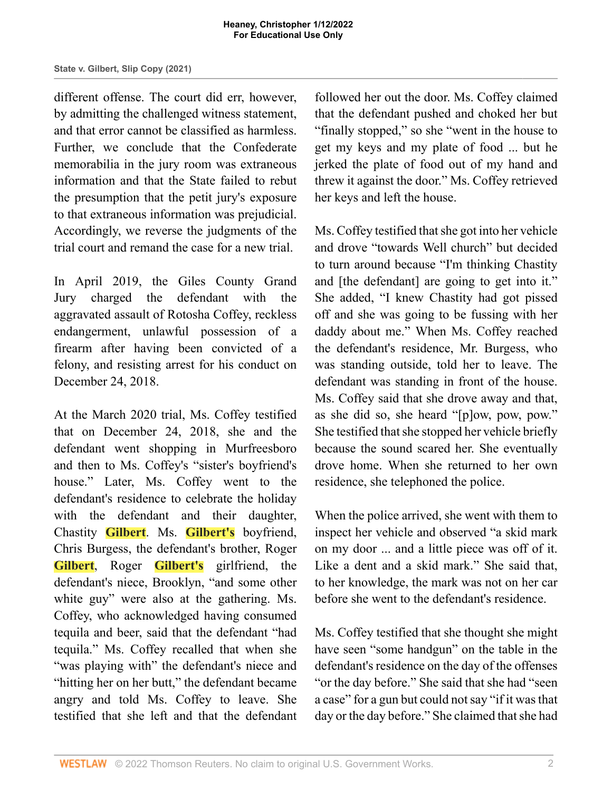different offense. The court did err, however, by admitting the challenged witness statement, and that error cannot be classified as harmless. Further, we conclude that the Confederate memorabilia in the jury room was extraneous information and that the State failed to rebut the presumption that the petit jury's exposure to that extraneous information was prejudicial. Accordingly, we reverse the judgments of the trial court and remand the case for a new trial.

In April 2019, the Giles County Grand Jury charged the defendant with the aggravated assault of Rotosha Coffey, reckless endangerment, unlawful possession of a firearm after having been convicted of a felony, and resisting arrest for his conduct on December 24, 2018.

At the March 2020 trial, Ms. Coffey testified that on December 24, 2018, she and the defendant went shopping in Murfreesboro and then to Ms. Coffey's "sister's boyfriend's house." Later, Ms. Coffey went to the defendant's residence to celebrate the holiday with the defendant and their daughter, Chastity **Gilbert**. Ms. **Gilbert's** boyfriend, Chris Burgess, the defendant's brother, Roger **Gilbert**, Roger **Gilbert's** girlfriend, the defendant's niece, Brooklyn, "and some other white guy" were also at the gathering. Ms. Coffey, who acknowledged having consumed tequila and beer, said that the defendant "had tequila." Ms. Coffey recalled that when she "was playing with" the defendant's niece and "hitting her on her butt," the defendant became angry and told Ms. Coffey to leave. She testified that she left and that the defendant

followed her out the door. Ms. Coffey claimed that the defendant pushed and choked her but "finally stopped," so she "went in the house to get my keys and my plate of food ... but he jerked the plate of food out of my hand and threw it against the door." Ms. Coffey retrieved her keys and left the house.

Ms. Coffey testified that she got into her vehicle and drove "towards Well church" but decided to turn around because "I'm thinking Chastity and [the defendant] are going to get into it." She added, "I knew Chastity had got pissed off and she was going to be fussing with her daddy about me." When Ms. Coffey reached the defendant's residence, Mr. Burgess, who was standing outside, told her to leave. The defendant was standing in front of the house. Ms. Coffey said that she drove away and that, as she did so, she heard "[p]ow, pow, pow." She testified that she stopped her vehicle briefly because the sound scared her. She eventually drove home. When she returned to her own residence, she telephoned the police.

When the police arrived, she went with them to inspect her vehicle and observed "a skid mark on my door ... and a little piece was off of it. Like a dent and a skid mark." She said that, to her knowledge, the mark was not on her car before she went to the defendant's residence.

Ms. Coffey testified that she thought she might have seen "some handgun" on the table in the defendant's residence on the day of the offenses "or the day before." She said that she had "seen a case" for a gun but could not say "if it was that day or the day before." She claimed that she had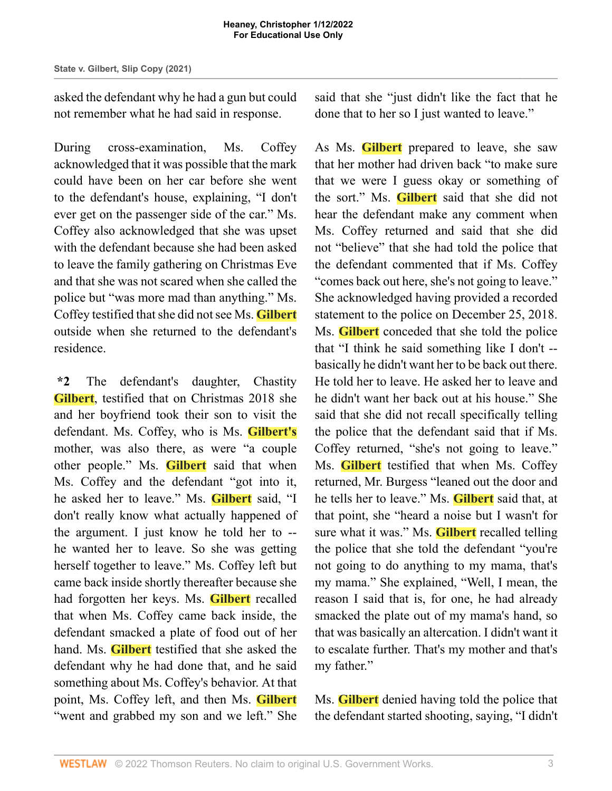asked the defendant why he had a gun but could not remember what he had said in response.

During cross-examination, Ms. Coffey acknowledged that it was possible that the mark could have been on her car before she went to the defendant's house, explaining, "I don't ever get on the passenger side of the car." Ms. Coffey also acknowledged that she was upset with the defendant because she had been asked to leave the family gathering on Christmas Eve and that she was not scared when she called the police but "was more mad than anything." Ms. Coffey testified that she did not see Ms. **Gilbert** outside when she returned to the defendant's residence.

**\*2** The defendant's daughter, Chastity **Gilbert**, testified that on Christmas 2018 she and her boyfriend took their son to visit the defendant. Ms. Coffey, who is Ms. **Gilbert's** mother, was also there, as were "a couple other people." Ms. **Gilbert** said that when Ms. Coffey and the defendant "got into it, he asked her to leave." Ms. **Gilbert** said, "I don't really know what actually happened of the argument. I just know he told her to - he wanted her to leave. So she was getting herself together to leave." Ms. Coffey left but came back inside shortly thereafter because she had forgotten her keys. Ms. **Gilbert** recalled that when Ms. Coffey came back inside, the defendant smacked a plate of food out of her hand. Ms. **Gilbert** testified that she asked the defendant why he had done that, and he said something about Ms. Coffey's behavior. At that point, Ms. Coffey left, and then Ms. **Gilbert** "went and grabbed my son and we left." She

said that she "just didn't like the fact that he done that to her so I just wanted to leave."

As Ms. **Gilbert** prepared to leave, she saw that her mother had driven back "to make sure that we were I guess okay or something of the sort." Ms. **Gilbert** said that she did not hear the defendant make any comment when Ms. Coffey returned and said that she did not "believe" that she had told the police that the defendant commented that if Ms. Coffey "comes back out here, she's not going to leave." She acknowledged having provided a recorded statement to the police on December 25, 2018. Ms. **Gilbert** conceded that she told the police that "I think he said something like I don't - basically he didn't want her to be back out there. He told her to leave. He asked her to leave and he didn't want her back out at his house." She said that she did not recall specifically telling the police that the defendant said that if Ms. Coffey returned, "she's not going to leave." Ms. **Gilbert** testified that when Ms. Coffey returned, Mr. Burgess "leaned out the door and he tells her to leave." Ms. **Gilbert** said that, at that point, she "heard a noise but I wasn't for sure what it was." Ms. **Gilbert** recalled telling the police that she told the defendant "you're not going to do anything to my mama, that's my mama." She explained, "Well, I mean, the reason I said that is, for one, he had already smacked the plate out of my mama's hand, so that was basically an altercation. I didn't want it to escalate further. That's my mother and that's my father."

Ms. **Gilbert** denied having told the police that the defendant started shooting, saying, "I didn't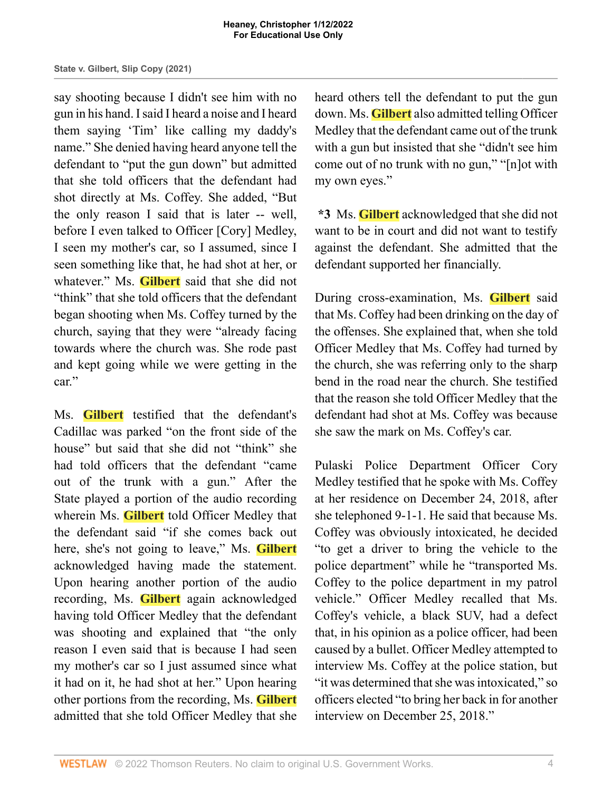say shooting because I didn't see him with no gun in his hand. I said I heard a noise and I heard them saying 'Tim' like calling my daddy's name." She denied having heard anyone tell the defendant to "put the gun down" but admitted that she told officers that the defendant had shot directly at Ms. Coffey. She added, "But the only reason I said that is later -- well, before I even talked to Officer [Cory] Medley, I seen my mother's car, so I assumed, since I seen something like that, he had shot at her, or whatever." Ms. **Gilbert** said that she did not "think" that she told officers that the defendant began shooting when Ms. Coffey turned by the church, saying that they were "already facing towards where the church was. She rode past and kept going while we were getting in the car."

Ms. **Gilbert** testified that the defendant's Cadillac was parked "on the front side of the house" but said that she did not "think" she had told officers that the defendant "came out of the trunk with a gun." After the State played a portion of the audio recording wherein Ms. **Gilbert** told Officer Medley that the defendant said "if she comes back out here, she's not going to leave," Ms. **Gilbert** acknowledged having made the statement. Upon hearing another portion of the audio recording, Ms. **Gilbert** again acknowledged having told Officer Medley that the defendant was shooting and explained that "the only reason I even said that is because I had seen my mother's car so I just assumed since what it had on it, he had shot at her." Upon hearing other portions from the recording, Ms. **Gilbert** admitted that she told Officer Medley that she

heard others tell the defendant to put the gun down. Ms. **Gilbert** also admitted telling Officer Medley that the defendant came out of the trunk with a gun but insisted that she "didn't see him come out of no trunk with no gun," "[n]ot with my own eyes."

**\*3** Ms. **Gilbert** acknowledged that she did not want to be in court and did not want to testify against the defendant. She admitted that the defendant supported her financially.

During cross-examination, Ms. **Gilbert** said that Ms. Coffey had been drinking on the day of the offenses. She explained that, when she told Officer Medley that Ms. Coffey had turned by the church, she was referring only to the sharp bend in the road near the church. She testified that the reason she told Officer Medley that the defendant had shot at Ms. Coffey was because she saw the mark on Ms. Coffey's car.

Pulaski Police Department Officer Cory Medley testified that he spoke with Ms. Coffey at her residence on December 24, 2018, after she telephoned 9-1-1. He said that because Ms. Coffey was obviously intoxicated, he decided "to get a driver to bring the vehicle to the police department" while he "transported Ms. Coffey to the police department in my patrol vehicle." Officer Medley recalled that Ms. Coffey's vehicle, a black SUV, had a defect that, in his opinion as a police officer, had been caused by a bullet. Officer Medley attempted to interview Ms. Coffey at the police station, but "it was determined that she was intoxicated," so officers elected "to bring her back in for another interview on December 25, 2018."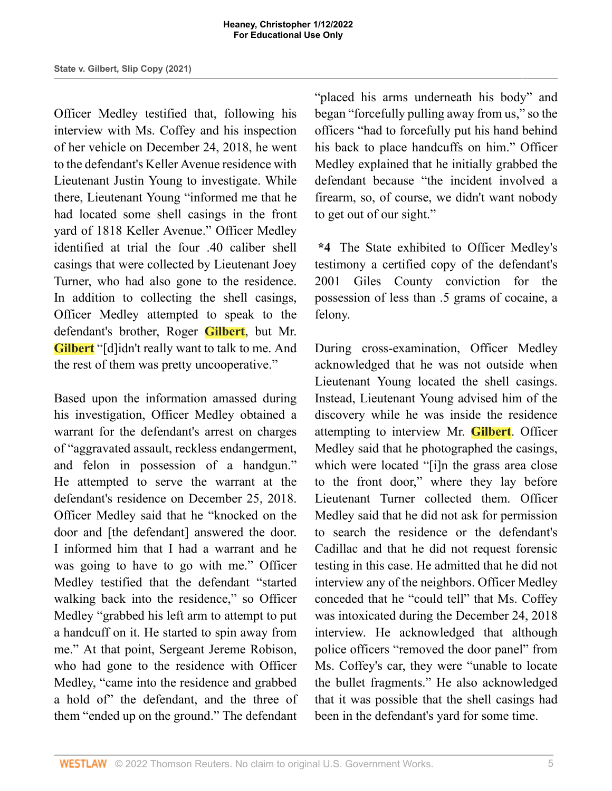Officer Medley testified that, following his interview with Ms. Coffey and his inspection of her vehicle on December 24, 2018, he went to the defendant's Keller Avenue residence with Lieutenant Justin Young to investigate. While there, Lieutenant Young "informed me that he had located some shell casings in the front yard of 1818 Keller Avenue." Officer Medley identified at trial the four .40 caliber shell casings that were collected by Lieutenant Joey Turner, who had also gone to the residence. In addition to collecting the shell casings, Officer Medley attempted to speak to the defendant's brother, Roger **Gilbert**, but Mr. **Gilbert** "[d]idn't really want to talk to me. And the rest of them was pretty uncooperative."

Based upon the information amassed during his investigation, Officer Medley obtained a warrant for the defendant's arrest on charges of "aggravated assault, reckless endangerment, and felon in possession of a handgun." He attempted to serve the warrant at the defendant's residence on December 25, 2018. Officer Medley said that he "knocked on the door and [the defendant] answered the door. I informed him that I had a warrant and he was going to have to go with me." Officer Medley testified that the defendant "started walking back into the residence," so Officer Medley "grabbed his left arm to attempt to put a handcuff on it. He started to spin away from me." At that point, Sergeant Jereme Robison, who had gone to the residence with Officer Medley, "came into the residence and grabbed a hold of" the defendant, and the three of them "ended up on the ground." The defendant "placed his arms underneath his body" and began "forcefully pulling away from us," so the officers "had to forcefully put his hand behind his back to place handcuffs on him." Officer Medley explained that he initially grabbed the defendant because "the incident involved a firearm, so, of course, we didn't want nobody to get out of our sight."

**\*4** The State exhibited to Officer Medley's testimony a certified copy of the defendant's 2001 Giles County conviction for the possession of less than .5 grams of cocaine, a felony.

During cross-examination, Officer Medley acknowledged that he was not outside when Lieutenant Young located the shell casings. Instead, Lieutenant Young advised him of the discovery while he was inside the residence attempting to interview Mr. **Gilbert**. Officer Medley said that he photographed the casings, which were located "[i]n the grass area close to the front door," where they lay before Lieutenant Turner collected them. Officer Medley said that he did not ask for permission to search the residence or the defendant's Cadillac and that he did not request forensic testing in this case. He admitted that he did not interview any of the neighbors. Officer Medley conceded that he "could tell" that Ms. Coffey was intoxicated during the December 24, 2018 interview. He acknowledged that although police officers "removed the door panel" from Ms. Coffey's car, they were "unable to locate the bullet fragments." He also acknowledged that it was possible that the shell casings had been in the defendant's yard for some time.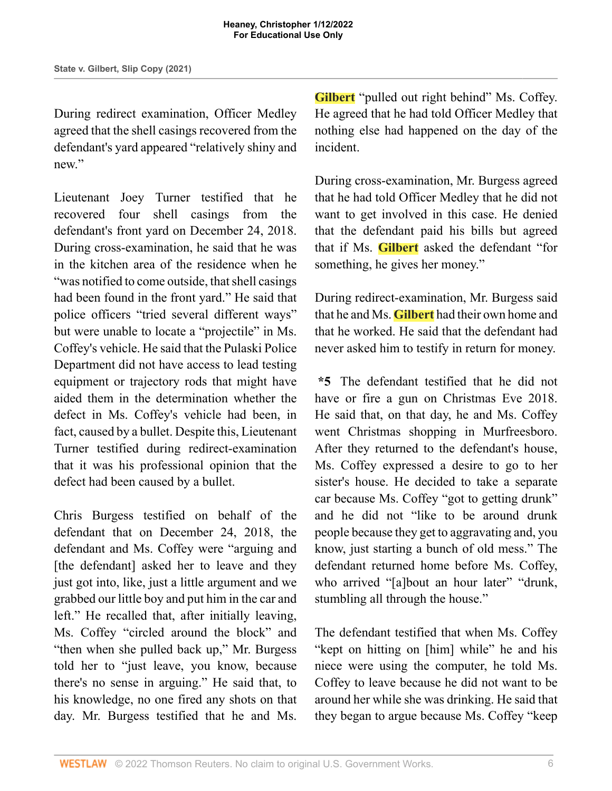During redirect examination, Officer Medley agreed that the shell casings recovered from the defendant's yard appeared "relatively shiny and new."

Lieutenant Joey Turner testified that he recovered four shell casings from the defendant's front yard on December 24, 2018. During cross-examination, he said that he was in the kitchen area of the residence when he "was notified to come outside, that shell casings had been found in the front yard." He said that police officers "tried several different ways" but were unable to locate a "projectile" in Ms. Coffey's vehicle. He said that the Pulaski Police Department did not have access to lead testing equipment or trajectory rods that might have aided them in the determination whether the defect in Ms. Coffey's vehicle had been, in fact, caused by a bullet. Despite this, Lieutenant Turner testified during redirect-examination that it was his professional opinion that the defect had been caused by a bullet.

Chris Burgess testified on behalf of the defendant that on December 24, 2018, the defendant and Ms. Coffey were "arguing and [the defendant] asked her to leave and they just got into, like, just a little argument and we grabbed our little boy and put him in the car and left." He recalled that, after initially leaving, Ms. Coffey "circled around the block" and "then when she pulled back up," Mr. Burgess told her to "just leave, you know, because there's no sense in arguing." He said that, to his knowledge, no one fired any shots on that day. Mr. Burgess testified that he and Ms.

**Gilbert** "pulled out right behind" Ms. Coffey. He agreed that he had told Officer Medley that nothing else had happened on the day of the incident.

During cross-examination, Mr. Burgess agreed that he had told Officer Medley that he did not want to get involved in this case. He denied that the defendant paid his bills but agreed that if Ms. **Gilbert** asked the defendant "for something, he gives her money."

During redirect-examination, Mr. Burgess said that he and Ms. **Gilbert** had their own home and that he worked. He said that the defendant had never asked him to testify in return for money.

**\*5** The defendant testified that he did not have or fire a gun on Christmas Eve 2018. He said that, on that day, he and Ms. Coffey went Christmas shopping in Murfreesboro. After they returned to the defendant's house, Ms. Coffey expressed a desire to go to her sister's house. He decided to take a separate car because Ms. Coffey "got to getting drunk" and he did not "like to be around drunk people because they get to aggravating and, you know, just starting a bunch of old mess." The defendant returned home before Ms. Coffey, who arrived "[a]bout an hour later" "drunk, stumbling all through the house."

The defendant testified that when Ms. Coffey "kept on hitting on [him] while" he and his niece were using the computer, he told Ms. Coffey to leave because he did not want to be around her while she was drinking. He said that they began to argue because Ms. Coffey "keep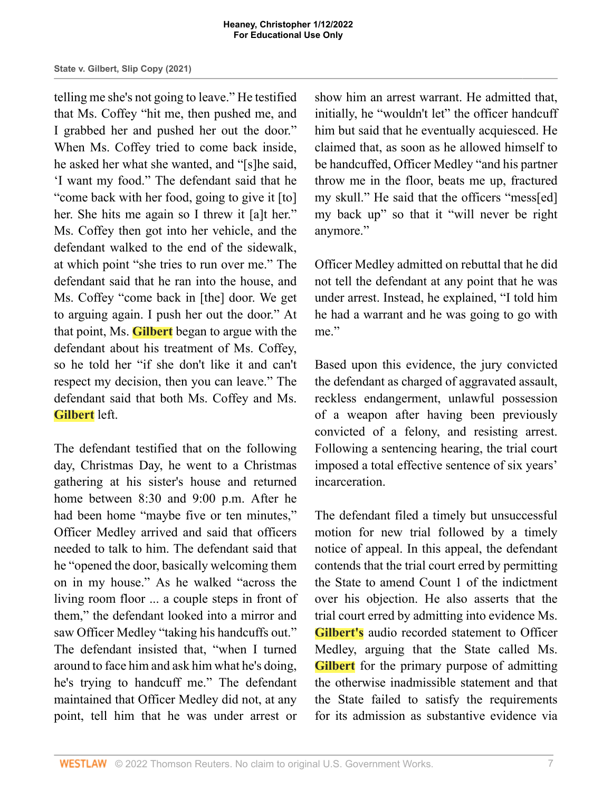telling me she's not going to leave." He testified that Ms. Coffey "hit me, then pushed me, and I grabbed her and pushed her out the door." When Ms. Coffey tried to come back inside, he asked her what she wanted, and "[s]he said, 'I want my food." The defendant said that he "come back with her food, going to give it [to] her. She hits me again so I threw it [a]t her." Ms. Coffey then got into her vehicle, and the defendant walked to the end of the sidewalk, at which point "she tries to run over me." The defendant said that he ran into the house, and Ms. Coffey "come back in [the] door. We get to arguing again. I push her out the door." At that point, Ms. **Gilbert** began to argue with the defendant about his treatment of Ms. Coffey, so he told her "if she don't like it and can't respect my decision, then you can leave." The defendant said that both Ms. Coffey and Ms. **Gilbert** left.

The defendant testified that on the following day, Christmas Day, he went to a Christmas gathering at his sister's house and returned home between 8:30 and 9:00 p.m. After he had been home "maybe five or ten minutes," Officer Medley arrived and said that officers needed to talk to him. The defendant said that he "opened the door, basically welcoming them on in my house." As he walked "across the living room floor ... a couple steps in front of them," the defendant looked into a mirror and saw Officer Medley "taking his handcuffs out." The defendant insisted that, "when I turned around to face him and ask him what he's doing, he's trying to handcuff me." The defendant maintained that Officer Medley did not, at any point, tell him that he was under arrest or

show him an arrest warrant. He admitted that, initially, he "wouldn't let" the officer handcuff him but said that he eventually acquiesced. He claimed that, as soon as he allowed himself to be handcuffed, Officer Medley "and his partner throw me in the floor, beats me up, fractured my skull." He said that the officers "mess[ed] my back up" so that it "will never be right anymore."

Officer Medley admitted on rebuttal that he did not tell the defendant at any point that he was under arrest. Instead, he explained, "I told him he had a warrant and he was going to go with me."

Based upon this evidence, the jury convicted the defendant as charged of aggravated assault, reckless endangerment, unlawful possession of a weapon after having been previously convicted of a felony, and resisting arrest. Following a sentencing hearing, the trial court imposed a total effective sentence of six years' incarceration.

The defendant filed a timely but unsuccessful motion for new trial followed by a timely notice of appeal. In this appeal, the defendant contends that the trial court erred by permitting the State to amend Count 1 of the indictment over his objection. He also asserts that the trial court erred by admitting into evidence Ms. **Gilbert's** audio recorded statement to Officer Medley, arguing that the State called Ms. **Gilbert** for the primary purpose of admitting the otherwise inadmissible statement and that the State failed to satisfy the requirements for its admission as substantive evidence via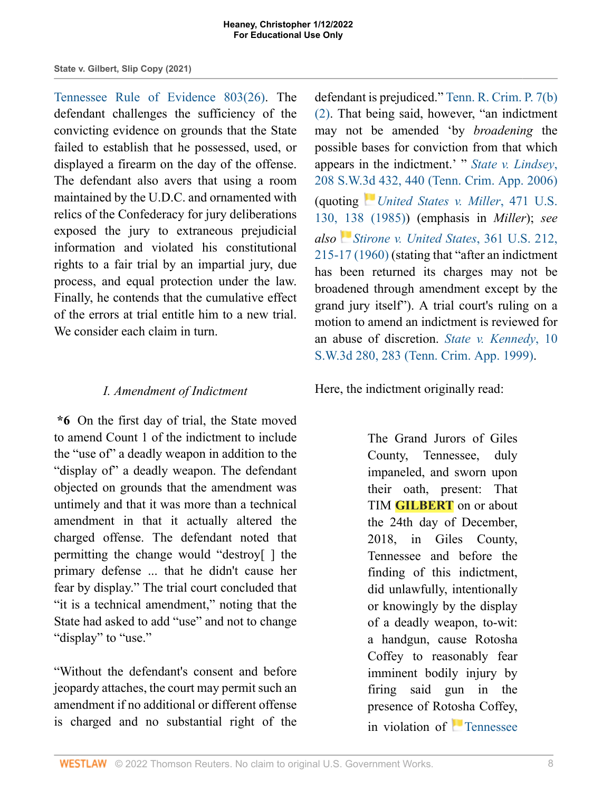[Tennessee Rule of Evidence 803\(26\)](http://www.westlaw.com/Link/Document/FullText?findType=L&pubNum=1008878&cite=TNRREVR803&originatingDoc=I721c87b0549711ecb124ab1bb8098962&refType=LQ&originationContext=document&vr=3.0&rs=cblt1.0&transitionType=DocumentItem&contextData=(sc.Search)). The defendant challenges the sufficiency of the convicting evidence on grounds that the State failed to establish that he possessed, used, or displayed a firearm on the day of the offense. The defendant also avers that using a room maintained by the U.D.C. and ornamented with relics of the Confederacy for jury deliberations exposed the jury to extraneous prejudicial information and violated his constitutional rights to a fair trial by an impartial jury, due process, and equal protection under the law. Finally, he contends that the cumulative effect of the errors at trial entitle him to a new trial. We consider each claim in turn.

### *I. Amendment of Indictment*

**\*6** On the first day of trial, the State moved to amend Count 1 of the indictment to include the "use of" a deadly weapon in addition to the "display of" a deadly weapon. The defendant objected on grounds that the amendment was untimely and that it was more than a technical amendment in that it actually altered the charged offense. The defendant noted that permitting the change would "destroy[ ] the primary defense ... that he didn't cause her fear by display." The trial court concluded that "it is a technical amendment," noting that the State had asked to add "use" and not to change "display" to "use."

"Without the defendant's consent and before jeopardy attaches, the court may permit such an amendment if no additional or different offense is charged and no substantial right of the

defendant is prejudiced." [Tenn. R. Crim. P. 7\(b\)](http://www.westlaw.com/Link/Document/FullText?findType=L&pubNum=1008875&cite=TNRRCRPR7&originatingDoc=I721c87b0549711ecb124ab1bb8098962&refType=LQ&originationContext=document&vr=3.0&rs=cblt1.0&transitionType=DocumentItem&contextData=(sc.Search)) [\(2\)](http://www.westlaw.com/Link/Document/FullText?findType=L&pubNum=1008875&cite=TNRRCRPR7&originatingDoc=I721c87b0549711ecb124ab1bb8098962&refType=LQ&originationContext=document&vr=3.0&rs=cblt1.0&transitionType=DocumentItem&contextData=(sc.Search)). That being said, however, "an indictment may not be amended 'by *broadening* the possible bases for conviction from that which appears in the indictment.' " *[State v. Lindsey](http://www.westlaw.com/Link/Document/FullText?findType=Y&serNum=2008901500&pubNum=0004644&originatingDoc=I721c87b0549711ecb124ab1bb8098962&refType=RP&fi=co_pp_sp_4644_440&originationContext=document&vr=3.0&rs=cblt1.0&transitionType=DocumentItem&contextData=(sc.Search)#co_pp_sp_4644_440)*, [208 S.W.3d 432, 440 \(Tenn. Crim. App. 2006\)](http://www.westlaw.com/Link/Document/FullText?findType=Y&serNum=2008901500&pubNum=0004644&originatingDoc=I721c87b0549711ecb124ab1bb8098962&refType=RP&fi=co_pp_sp_4644_440&originationContext=document&vr=3.0&rs=cblt1.0&transitionType=DocumentItem&contextData=(sc.Search)#co_pp_sp_4644_440) (quoting *[United States v. Miller](http://www.westlaw.com/Link/Document/FullText?findType=Y&serNum=1985116414&pubNum=0000780&originatingDoc=I721c87b0549711ecb124ab1bb8098962&refType=RP&fi=co_pp_sp_780_138&originationContext=document&vr=3.0&rs=cblt1.0&transitionType=DocumentItem&contextData=(sc.Search)#co_pp_sp_780_138)*, 471 U.S. [130, 138 \(1985\)\)](http://www.westlaw.com/Link/Document/FullText?findType=Y&serNum=1985116414&pubNum=0000780&originatingDoc=I721c87b0549711ecb124ab1bb8098962&refType=RP&fi=co_pp_sp_780_138&originationContext=document&vr=3.0&rs=cblt1.0&transitionType=DocumentItem&contextData=(sc.Search)#co_pp_sp_780_138) (emphasis in *Miller*); *see also [Stirone v. United States](http://www.westlaw.com/Link/Document/FullText?findType=Y&serNum=1959130683&pubNum=0000780&originatingDoc=I721c87b0549711ecb124ab1bb8098962&refType=RP&fi=co_pp_sp_780_215&originationContext=document&vr=3.0&rs=cblt1.0&transitionType=DocumentItem&contextData=(sc.Search)#co_pp_sp_780_215)*, 361 U.S. 212, [215-17 \(1960\)](http://www.westlaw.com/Link/Document/FullText?findType=Y&serNum=1959130683&pubNum=0000780&originatingDoc=I721c87b0549711ecb124ab1bb8098962&refType=RP&fi=co_pp_sp_780_215&originationContext=document&vr=3.0&rs=cblt1.0&transitionType=DocumentItem&contextData=(sc.Search)#co_pp_sp_780_215) (stating that "after an indictment has been returned its charges may not be broadened through amendment except by the grand jury itself"). A trial court's ruling on a motion to amend an indictment is reviewed for an abuse of discretion. *[State v. Kennedy](http://www.westlaw.com/Link/Document/FullText?findType=Y&serNum=1999135840&pubNum=0004644&originatingDoc=I721c87b0549711ecb124ab1bb8098962&refType=RP&fi=co_pp_sp_4644_283&originationContext=document&vr=3.0&rs=cblt1.0&transitionType=DocumentItem&contextData=(sc.Search)#co_pp_sp_4644_283)*, 10 [S.W.3d 280, 283 \(Tenn. Crim. App. 1999\).](http://www.westlaw.com/Link/Document/FullText?findType=Y&serNum=1999135840&pubNum=0004644&originatingDoc=I721c87b0549711ecb124ab1bb8098962&refType=RP&fi=co_pp_sp_4644_283&originationContext=document&vr=3.0&rs=cblt1.0&transitionType=DocumentItem&contextData=(sc.Search)#co_pp_sp_4644_283)

Here, the indictment originally read:

The Grand Jurors of Giles County, Tennessee, duly impaneled, and sworn upon their oath, present: That TIM **GILBERT** on or about the 24th day of December, 2018, in Giles County, Tennessee and before the finding of this indictment, did unlawfully, intentionally or knowingly by the display of a deadly weapon, to-wit: a handgun, cause Rotosha Coffey to reasonably fear imminent bodily injury by firing said gun in the presence of Rotosha Coffey, in violation of **T**ennessee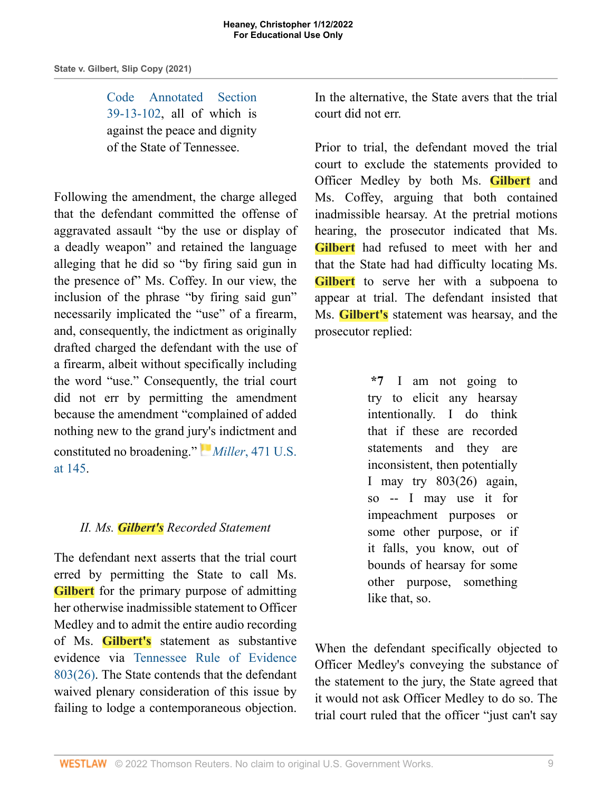#### **Heaney, Christopher 1/12/2022 For Educational Use Only**

### **State v. Gilbert, Slip Copy (2021)**

[Code Annotated Section](http://www.westlaw.com/Link/Document/FullText?findType=L&pubNum=1000039&cite=TNSTS39-13-102&originatingDoc=I721c87b0549711ecb124ab1bb8098962&refType=LQ&originationContext=document&vr=3.0&rs=cblt1.0&transitionType=DocumentItem&contextData=(sc.Search)) [39-13-102](http://www.westlaw.com/Link/Document/FullText?findType=L&pubNum=1000039&cite=TNSTS39-13-102&originatingDoc=I721c87b0549711ecb124ab1bb8098962&refType=LQ&originationContext=document&vr=3.0&rs=cblt1.0&transitionType=DocumentItem&contextData=(sc.Search)), all of which is against the peace and dignity of the State of Tennessee.

Following the amendment, the charge alleged that the defendant committed the offense of aggravated assault "by the use or display of a deadly weapon" and retained the language alleging that he did so "by firing said gun in the presence of" Ms. Coffey. In our view, the inclusion of the phrase "by firing said gun" necessarily implicated the "use" of a firearm, and, consequently, the indictment as originally drafted charged the defendant with the use of a firearm, albeit without specifically including the word "use." Consequently, the trial court did not err by permitting the amendment because the amendment "complained of added nothing new to the grand ju[ry](https://1.next.westlaw.com/Link/RelatedInformation/Flag?documentGuid=Id4c38bc89c1d11d991d0cc6b54f12d4d&transitionType=InlineKeyCiteFlags&originationContext=docHeaderFlag&Rank=1&ppcid=1e2aa9bec79a457fbd44de58c9620f0d&contextData=(sc.Search) )'[s](https://1.next.westlaw.com/Link/RelatedInformation/Flag?documentGuid=Id4c38bc89c1d11d991d0cc6b54f12d4d&transitionType=InlineKeyCiteFlags&originationContext=docHeaderFlag&Rank=1&ppcid=1e2aa9bec79a457fbd44de58c9620f0d&contextData=(sc.Search) ) indictment and constituted no broadening." *Miller*[, 471 U.S.](http://www.westlaw.com/Link/Document/FullText?findType=Y&serNum=1985116414&pubNum=0000780&originatingDoc=I721c87b0549711ecb124ab1bb8098962&refType=RP&fi=co_pp_sp_780_145&originationContext=document&vr=3.0&rs=cblt1.0&transitionType=DocumentItem&contextData=(sc.Search)#co_pp_sp_780_145) [at 145](http://www.westlaw.com/Link/Document/FullText?findType=Y&serNum=1985116414&pubNum=0000780&originatingDoc=I721c87b0549711ecb124ab1bb8098962&refType=RP&fi=co_pp_sp_780_145&originationContext=document&vr=3.0&rs=cblt1.0&transitionType=DocumentItem&contextData=(sc.Search)#co_pp_sp_780_145).

### *II. Ms. Gilbert's Recorded Statement*

The defendant next asserts that the trial court erred by permitting the State to call Ms. **Gilbert** for the primary purpose of admitting her otherwise inadmissible statement to Officer Medley and to admit the entire audio recording of Ms. **Gilbert's** statement as substantive evidence via [Tennessee Rule of Evidence](http://www.westlaw.com/Link/Document/FullText?findType=L&pubNum=1008878&cite=TNRREVR803&originatingDoc=I721c87b0549711ecb124ab1bb8098962&refType=LQ&originationContext=document&vr=3.0&rs=cblt1.0&transitionType=DocumentItem&contextData=(sc.Search)) [803\(26\)](http://www.westlaw.com/Link/Document/FullText?findType=L&pubNum=1008878&cite=TNRREVR803&originatingDoc=I721c87b0549711ecb124ab1bb8098962&refType=LQ&originationContext=document&vr=3.0&rs=cblt1.0&transitionType=DocumentItem&contextData=(sc.Search)). The State contends that the defendant waived plenary consideration of this issue by failing to lodge a contemporaneous objection.

In the alternative, the State avers that the trial court did not err.

Prior to trial, the defendant moved the trial court to exclude the statements provided to Officer Medley by both Ms. **Gilbert** and Ms. Coffey, arguing that both contained inadmissible hearsay. At the pretrial motions hearing, the prosecutor indicated that Ms. **Gilbert** had refused to meet with her and that the State had had difficulty locating Ms. **Gilbert** to serve her with a subpoena to appear at trial. The defendant insisted that Ms. **Gilbert's** statement was hearsay, and the prosecutor replied:

> **\*7** I am not going to try to elicit any hearsay intentionally. I do think that if these are recorded statements and they are inconsistent, then potentially I may try 803(26) again, so -- I may use it for impeachment purposes or some other purpose, or if it falls, you know, out of bounds of hearsay for some other purpose, something like that, so.

When the defendant specifically objected to Officer Medley's conveying the substance of the statement to the jury, the State agreed that it would not ask Officer Medley to do so. The trial court ruled that the officer "just can't say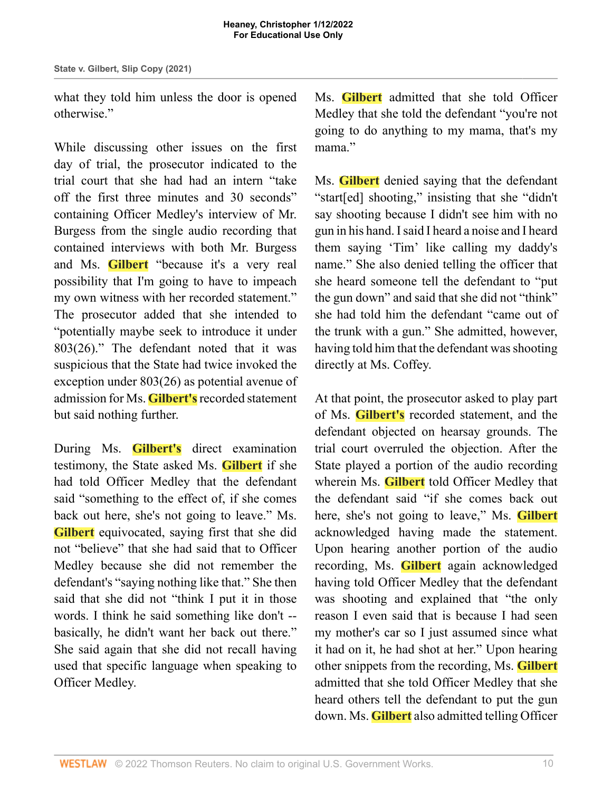what they told him unless the door is opened otherwise."

While discussing other issues on the first day of trial, the prosecutor indicated to the trial court that she had had an intern "take off the first three minutes and 30 seconds" containing Officer Medley's interview of Mr. Burgess from the single audio recording that contained interviews with both Mr. Burgess and Ms. **Gilbert** "because it's a very real possibility that I'm going to have to impeach my own witness with her recorded statement." The prosecutor added that she intended to "potentially maybe seek to introduce it under 803(26)." The defendant noted that it was suspicious that the State had twice invoked the exception under 803(26) as potential avenue of admission for Ms. **Gilbert's** recorded statement but said nothing further.

During Ms. **Gilbert's** direct examination testimony, the State asked Ms. **Gilbert** if she had told Officer Medley that the defendant said "something to the effect of, if she comes back out here, she's not going to leave." Ms. **Gilbert** equivocated, saying first that she did not "believe" that she had said that to Officer Medley because she did not remember the defendant's "saying nothing like that." She then said that she did not "think I put it in those words. I think he said something like don't - basically, he didn't want her back out there." She said again that she did not recall having used that specific language when speaking to Officer Medley.

Ms. **Gilbert** admitted that she told Officer Medley that she told the defendant "you're not going to do anything to my mama, that's my mama"

Ms. **Gilbert** denied saying that the defendant "start[ed] shooting," insisting that she "didn't say shooting because I didn't see him with no gun in his hand. I said I heard a noise and I heard them saying 'Tim' like calling my daddy's name." She also denied telling the officer that she heard someone tell the defendant to "put the gun down" and said that she did not "think" she had told him the defendant "came out of the trunk with a gun." She admitted, however, having told him that the defendant was shooting directly at Ms. Coffey.

At that point, the prosecutor asked to play part of Ms. **Gilbert's** recorded statement, and the defendant objected on hearsay grounds. The trial court overruled the objection. After the State played a portion of the audio recording wherein Ms. **Gilbert** told Officer Medley that the defendant said "if she comes back out here, she's not going to leave," Ms. **Gilbert** acknowledged having made the statement. Upon hearing another portion of the audio recording, Ms. **Gilbert** again acknowledged having told Officer Medley that the defendant was shooting and explained that "the only reason I even said that is because I had seen my mother's car so I just assumed since what it had on it, he had shot at her." Upon hearing other snippets from the recording, Ms. **Gilbert** admitted that she told Officer Medley that she heard others tell the defendant to put the gun down. Ms. **Gilbert** also admitted telling Officer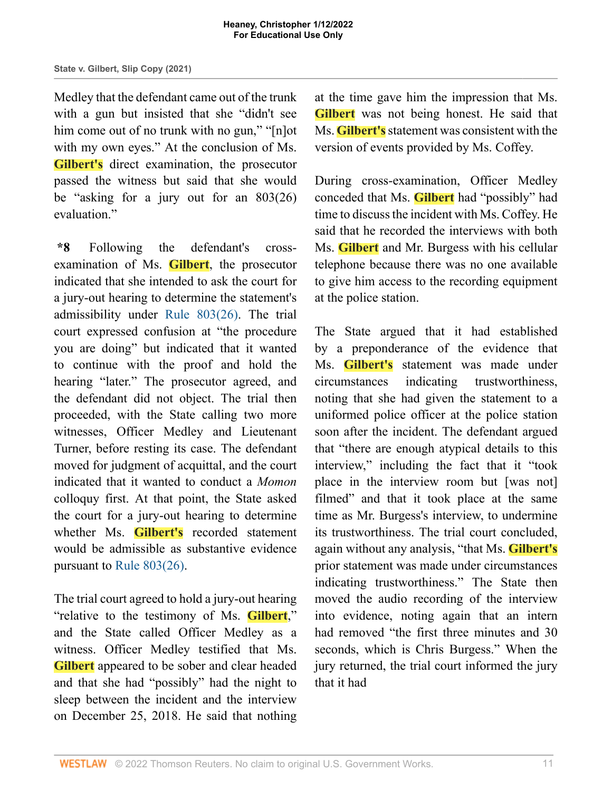Medley that the defendant came out of the trunk with a gun but insisted that she "didn't see him come out of no trunk with no gun," "[n]ot with my own eyes." At the conclusion of Ms. **Gilbert's** direct examination, the prosecutor passed the witness but said that she would be "asking for a jury out for an 803(26) evaluation."

**\*8** Following the defendant's crossexamination of Ms. **Gilbert**, the prosecutor indicated that she intended to ask the court for a jury-out hearing to determine the statement's admissibility under [Rule 803\(26\)](http://www.westlaw.com/Link/Document/FullText?findType=L&pubNum=1008878&cite=TNRREVR803&originatingDoc=I721c87b0549711ecb124ab1bb8098962&refType=LQ&originationContext=document&vr=3.0&rs=cblt1.0&transitionType=DocumentItem&contextData=(sc.Search)). The trial court expressed confusion at "the procedure you are doing" but indicated that it wanted to continue with the proof and hold the hearing "later." The prosecutor agreed, and the defendant did not object. The trial then proceeded, with the State calling two more witnesses, Officer Medley and Lieutenant Turner, before resting its case. The defendant moved for judgment of acquittal, and the court indicated that it wanted to conduct a *Momon* colloquy first. At that point, the State asked the court for a jury-out hearing to determine whether Ms. **Gilbert's** recorded statement would be admissible as substantive evidence pursuant to [Rule 803\(26\)](http://www.westlaw.com/Link/Document/FullText?findType=L&pubNum=1008878&cite=TNRREVR803&originatingDoc=I721c87b0549711ecb124ab1bb8098962&refType=LQ&originationContext=document&vr=3.0&rs=cblt1.0&transitionType=DocumentItem&contextData=(sc.Search)).

The trial court agreed to hold a jury-out hearing "relative to the testimony of Ms. **Gilbert**," and the State called Officer Medley as a witness. Officer Medley testified that Ms. **Gilbert** appeared to be sober and clear headed and that she had "possibly" had the night to sleep between the incident and the interview on December 25, 2018. He said that nothing

at the time gave him the impression that Ms. **Gilbert** was not being honest. He said that Ms. **Gilbert's** statement was consistent with the version of events provided by Ms. Coffey.

During cross-examination, Officer Medley conceded that Ms. **Gilbert** had "possibly" had time to discuss the incident with Ms. Coffey. He said that he recorded the interviews with both Ms. **Gilbert** and Mr. Burgess with his cellular telephone because there was no one available to give him access to the recording equipment at the police station.

The State argued that it had established by a preponderance of the evidence that Ms. **Gilbert's** statement was made under circumstances indicating trustworthiness, noting that she had given the statement to a uniformed police officer at the police station soon after the incident. The defendant argued that "there are enough atypical details to this interview," including the fact that it "took place in the interview room but [was not] filmed" and that it took place at the same time as Mr. Burgess's interview, to undermine its trustworthiness. The trial court concluded, again without any analysis, "that Ms. **Gilbert's** prior statement was made under circumstances indicating trustworthiness." The State then moved the audio recording of the interview into evidence, noting again that an intern had removed "the first three minutes and 30 seconds, which is Chris Burgess." When the jury returned, the trial court informed the jury that it had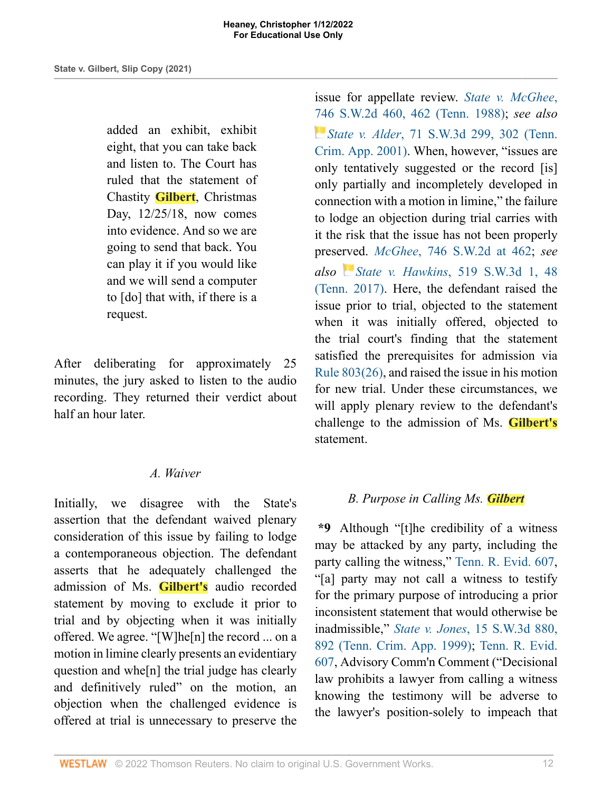added an exhibit, exhibit eight, that you can take back and listen to. The Court has ruled that the statement of Chastity **Gilbert**, Christmas Day, 12/25/18, now comes into evidence. And so we are going to send that back. You can play it if you would like and we will send a computer to [do] that with, if there is a request.

After deliberating for approximately 25 minutes, the jury asked to listen to the audio recording. They returned their verdict about half an hour later.

### *A. Waiver*

Initially, we disagree with the State's assertion that the defendant waived plenary consideration of this issue by failing to lodge a contemporaneous objection. The defendant asserts that he adequately challenged the admission of Ms. **Gilbert's** audio recorded statement by moving to exclude it prior to trial and by objecting when it was initially offered. We agree. "[W]he[n] the record ... on a motion in limine clearly presents an evidentiary question and whe[n] the trial judge has clearly and definitively ruled" on the motion, an objection when the challenged evidence is offered at trial is unnecessary to preserve the

issue for appellate review. *[State v. McGhee](http://www.westlaw.com/Link/Document/FullText?findType=Y&serNum=1988035735&pubNum=0000713&originatingDoc=I721c87b0549711ecb124ab1bb8098962&refType=RP&fi=co_pp_sp_713_462&originationContext=document&vr=3.0&rs=cblt1.0&transitionType=DocumentItem&contextData=(sc.Search)#co_pp_sp_713_462)*, [746 S.W.2d 460, 462 \(Tenn. 1988\)](http://www.westlaw.com/Link/Document/FullText?findType=Y&serNum=1988035735&pubNum=0000713&originatingDoc=I721c87b0549711ecb124ab1bb8098962&refType=RP&fi=co_pp_sp_713_462&originationContext=document&vr=3.0&rs=cblt1.0&transitionType=DocumentItem&contextData=(sc.Search)#co_pp_sp_713_462); *see also State v. Alder*[, 71 S.W.3d 299, 302 \(Tenn.](http://www.westlaw.com/Link/Document/FullText?findType=Y&serNum=2001765483&pubNum=0004644&originatingDoc=I721c87b0549711ecb124ab1bb8098962&refType=RP&fi=co_pp_sp_4644_302&originationContext=document&vr=3.0&rs=cblt1.0&transitionType=DocumentItem&contextData=(sc.Search)#co_pp_sp_4644_302) [Crim. App. 2001\)](http://www.westlaw.com/Link/Document/FullText?findType=Y&serNum=2001765483&pubNum=0004644&originatingDoc=I721c87b0549711ecb124ab1bb8098962&refType=RP&fi=co_pp_sp_4644_302&originationContext=document&vr=3.0&rs=cblt1.0&transitionType=DocumentItem&contextData=(sc.Search)#co_pp_sp_4644_302). When, however, "issues are only tentatively suggested or the record [is] only partially and incompletely developed in connection with a motion in limine," the failure to lodge an objection during trial carries with it the risk that the issue has not been properly prese[rve](https://1.next.westlaw.com/Link/RelatedInformation/Flag?documentGuid=I6ed882602f0e11e79de0d9b9354e8e59&transitionType=InlineKeyCiteFlags&originationContext=docHeaderFlag&Rank=1&ppcid=1e2aa9bec79a457fbd44de58c9620f0d&contextData=(sc.Search) )d. *McGhee*[, 746 S.W.2d at 462;](http://www.westlaw.com/Link/Document/FullText?findType=Y&serNum=1988035735&pubNum=0000713&originatingDoc=I721c87b0549711ecb124ab1bb8098962&refType=RP&fi=co_pp_sp_713_462&originationContext=document&vr=3.0&rs=cblt1.0&transitionType=DocumentItem&contextData=(sc.Search)#co_pp_sp_713_462) *see also State v. Hawkins*[, 519 S.W.3d 1, 48](http://www.westlaw.com/Link/Document/FullText?findType=Y&serNum=2041548971&pubNum=0004644&originatingDoc=I721c87b0549711ecb124ab1bb8098962&refType=RP&fi=co_pp_sp_4644_48&originationContext=document&vr=3.0&rs=cblt1.0&transitionType=DocumentItem&contextData=(sc.Search)#co_pp_sp_4644_48) [\(Tenn. 2017\)](http://www.westlaw.com/Link/Document/FullText?findType=Y&serNum=2041548971&pubNum=0004644&originatingDoc=I721c87b0549711ecb124ab1bb8098962&refType=RP&fi=co_pp_sp_4644_48&originationContext=document&vr=3.0&rs=cblt1.0&transitionType=DocumentItem&contextData=(sc.Search)#co_pp_sp_4644_48). Here, the defendant raised the issue prior to trial, objected to the statement when it was initially offered, objected to the trial court's finding that the statement satisfied the prerequisites for admission via [Rule 803\(26\)](http://www.westlaw.com/Link/Document/FullText?findType=L&pubNum=1008878&cite=TNRREVR803&originatingDoc=I721c87b0549711ecb124ab1bb8098962&refType=LQ&originationContext=document&vr=3.0&rs=cblt1.0&transitionType=DocumentItem&contextData=(sc.Search)), and raised the issue in his motion for new trial. Under these circumstances, we will apply plenary review to the defendant's challenge to the admission of Ms. **Gilbert's** statement.

## *B. Purpose in Calling Ms. Gilbert*

**\*9** Although "[t]he credibility of a witness may be attacked by any party, including the party calling the witness," [Tenn. R. Evid. 607,](http://www.westlaw.com/Link/Document/FullText?findType=L&pubNum=1008878&cite=TNRREVR607&originatingDoc=I721c87b0549711ecb124ab1bb8098962&refType=LQ&originationContext=document&vr=3.0&rs=cblt1.0&transitionType=DocumentItem&contextData=(sc.Search)) "[a] party may not call a witness to testify for the primary purpose of introducing a prior inconsistent statement that would otherwise be inadmissible," *State v. Jones*[, 15 S.W.3d 880,](http://www.westlaw.com/Link/Document/FullText?findType=Y&serNum=1999196463&pubNum=0004644&originatingDoc=I721c87b0549711ecb124ab1bb8098962&refType=RP&fi=co_pp_sp_4644_892&originationContext=document&vr=3.0&rs=cblt1.0&transitionType=DocumentItem&contextData=(sc.Search)#co_pp_sp_4644_892) [892 \(Tenn. Crim. App. 1999\);](http://www.westlaw.com/Link/Document/FullText?findType=Y&serNum=1999196463&pubNum=0004644&originatingDoc=I721c87b0549711ecb124ab1bb8098962&refType=RP&fi=co_pp_sp_4644_892&originationContext=document&vr=3.0&rs=cblt1.0&transitionType=DocumentItem&contextData=(sc.Search)#co_pp_sp_4644_892) [Tenn. R. Evid.](http://www.westlaw.com/Link/Document/FullText?findType=L&pubNum=1008878&cite=TNRREVR607&originatingDoc=I721c87b0549711ecb124ab1bb8098962&refType=LQ&originationContext=document&vr=3.0&rs=cblt1.0&transitionType=DocumentItem&contextData=(sc.Search)) [607](http://www.westlaw.com/Link/Document/FullText?findType=L&pubNum=1008878&cite=TNRREVR607&originatingDoc=I721c87b0549711ecb124ab1bb8098962&refType=LQ&originationContext=document&vr=3.0&rs=cblt1.0&transitionType=DocumentItem&contextData=(sc.Search)), Advisory Comm'n Comment ("Decisional law prohibits a lawyer from calling a witness knowing the testimony will be adverse to the lawyer's position-solely to impeach that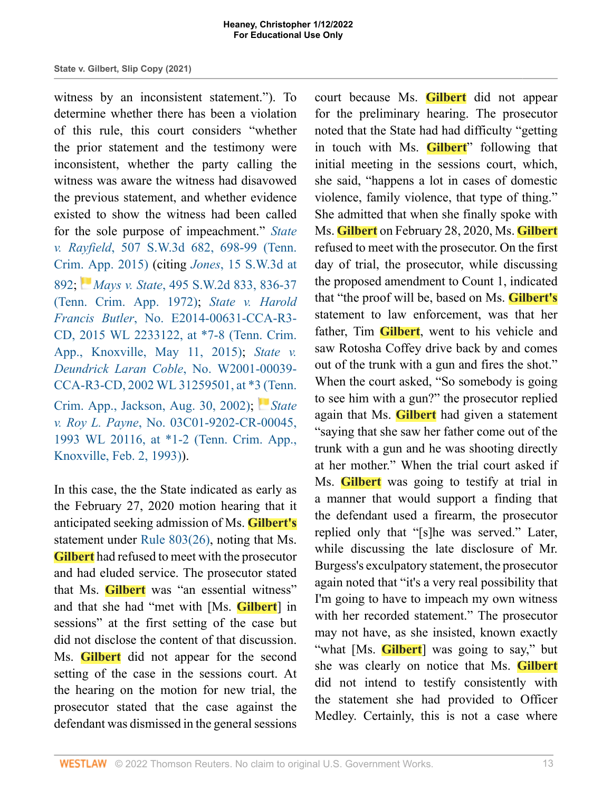witness by an inconsistent statement."). To determine whether there has been a violation of this rule, this court considers "whether the prior statement and the testimony were inconsistent, whether the party calling the witness was aware the witness had disavowed the previous statement, and whether evidence existed to show the witness had been called for the sole purpose of impeachment." *[State](http://www.westlaw.com/Link/Document/FullText?findType=Y&serNum=2037262501&pubNum=0004644&originatingDoc=I721c87b0549711ecb124ab1bb8098962&refType=RP&fi=co_pp_sp_4644_698&originationContext=document&vr=3.0&rs=cblt1.0&transitionType=DocumentItem&contextData=(sc.Search)#co_pp_sp_4644_698) v. Rayfield*[, 507 S.W.3d 682, 698-99 \(Tenn.](http://www.westlaw.com/Link/Document/FullText?findType=Y&serNum=2037262501&pubNum=0004644&originatingDoc=I721c87b0549711ecb124ab1bb8098962&refType=RP&fi=co_pp_sp_4644_698&originationContext=document&vr=3.0&rs=cblt1.0&transitionType=DocumentItem&contextData=(sc.Search)#co_pp_sp_4644_698) [Crim. App. 2015\)](http://www.westlaw.com/Link/Document/FullText?findType=Y&serNum=2037262501&pubNum=0004644&originatingDoc=I721c87b0549711ecb124ab1bb8098962&refType=RP&fi=co_pp_sp_4644_698&originationContext=document&vr=3.0&rs=cblt1.0&transitionType=DocumentItem&contextData=(sc.Search)#co_pp_sp_4644_698) (citing *Jones*[, 15 S.W.3d at](http://www.westlaw.com/Link/Document/FullText?findType=Y&serNum=1999196463&pubNum=0004644&originatingDoc=I721c87b0549711ecb124ab1bb8098962&refType=RP&fi=co_pp_sp_4644_892&originationContext=document&vr=3.0&rs=cblt1.0&transitionType=DocumentItem&contextData=(sc.Search)#co_pp_sp_4644_892) [892;](http://www.westlaw.com/Link/Document/FullText?findType=Y&serNum=1999196463&pubNum=0004644&originatingDoc=I721c87b0549711ecb124ab1bb8098962&refType=RP&fi=co_pp_sp_4644_892&originationContext=document&vr=3.0&rs=cblt1.0&transitionType=DocumentItem&contextData=(sc.Search)#co_pp_sp_4644_892) *Mays v. State*[, 495 S.W.2d 833, 836-37](http://www.westlaw.com/Link/Document/FullText?findType=Y&serNum=1972133540&pubNum=0000713&originatingDoc=I721c87b0549711ecb124ab1bb8098962&refType=RP&fi=co_pp_sp_713_836&originationContext=document&vr=3.0&rs=cblt1.0&transitionType=DocumentItem&contextData=(sc.Search)#co_pp_sp_713_836) [\(Tenn. Crim. App. 1972\);](http://www.westlaw.com/Link/Document/FullText?findType=Y&serNum=1972133540&pubNum=0000713&originatingDoc=I721c87b0549711ecb124ab1bb8098962&refType=RP&fi=co_pp_sp_713_836&originationContext=document&vr=3.0&rs=cblt1.0&transitionType=DocumentItem&contextData=(sc.Search)#co_pp_sp_713_836) *[State v. Harold](http://www.westlaw.com/Link/Document/FullText?findType=Y&serNum=2036267041&pubNum=0000999&originatingDoc=I721c87b0549711ecb124ab1bb8098962&refType=RP&fi=co_pp_sp_999_8&originationContext=document&vr=3.0&rs=cblt1.0&transitionType=DocumentItem&contextData=(sc.Search)#co_pp_sp_999_8) Francis Butler*[, No. E2014-00631-CCA-R3-](http://www.westlaw.com/Link/Document/FullText?findType=Y&serNum=2036267041&pubNum=0000999&originatingDoc=I721c87b0549711ecb124ab1bb8098962&refType=RP&fi=co_pp_sp_999_8&originationContext=document&vr=3.0&rs=cblt1.0&transitionType=DocumentItem&contextData=(sc.Search)#co_pp_sp_999_8) [CD, 2015 WL 2233122, at \\*7-8 \(Tenn. Crim.](http://www.westlaw.com/Link/Document/FullText?findType=Y&serNum=2036267041&pubNum=0000999&originatingDoc=I721c87b0549711ecb124ab1bb8098962&refType=RP&fi=co_pp_sp_999_8&originationContext=document&vr=3.0&rs=cblt1.0&transitionType=DocumentItem&contextData=(sc.Search)#co_pp_sp_999_8) [App., Knoxville, May 11, 2015\)](http://www.westlaw.com/Link/Document/FullText?findType=Y&serNum=2036267041&pubNum=0000999&originatingDoc=I721c87b0549711ecb124ab1bb8098962&refType=RP&fi=co_pp_sp_999_8&originationContext=document&vr=3.0&rs=cblt1.0&transitionType=DocumentItem&contextData=(sc.Search)#co_pp_sp_999_8); *[State v.](http://www.westlaw.com/Link/Document/FullText?findType=Y&serNum=2002641417&pubNum=0000999&originatingDoc=I721c87b0549711ecb124ab1bb8098962&refType=RP&fi=co_pp_sp_999_3&originationContext=document&vr=3.0&rs=cblt1.0&transitionType=DocumentItem&contextData=(sc.Search)#co_pp_sp_999_3) [Deundrick Laran Coble](http://www.westlaw.com/Link/Document/FullText?findType=Y&serNum=2002641417&pubNum=0000999&originatingDoc=I721c87b0549711ecb124ab1bb8098962&refType=RP&fi=co_pp_sp_999_3&originationContext=document&vr=3.0&rs=cblt1.0&transitionType=DocumentItem&contextData=(sc.Search)#co_pp_sp_999_3)*, No. W2001-00039- [CCA-R3-CD, 2002 WL 31259501, at \\*3 \(Tenn.](http://www.westlaw.com/Link/Document/FullText?findType=Y&serNum=2002641417&pubNum=0000999&originatingDoc=I721c87b0549711ecb124ab1bb8098962&refType=RP&fi=co_pp_sp_999_3&originationContext=document&vr=3.0&rs=cblt1.0&transitionType=DocumentItem&contextData=(sc.Search)#co_pp_sp_999_3) [Crim. App., Jackson, Aug. 30, 2002\)](http://www.westlaw.com/Link/Document/FullText?findType=Y&serNum=2002641417&pubNum=0000999&originatingDoc=I721c87b0549711ecb124ab1bb8098962&refType=RP&fi=co_pp_sp_999_3&originationContext=document&vr=3.0&rs=cblt1.0&transitionType=DocumentItem&contextData=(sc.Search)#co_pp_sp_999_3); *[State](http://www.westlaw.com/Link/Document/FullText?findType=Y&serNum=1993040268&pubNum=0000999&originatingDoc=I721c87b0549711ecb124ab1bb8098962&refType=RP&fi=co_pp_sp_999_2&originationContext=document&vr=3.0&rs=cblt1.0&transitionType=DocumentItem&contextData=(sc.Search)#co_pp_sp_999_2) v. Roy L. Payne*[, No. 03C01-9202-CR-00045,](http://www.westlaw.com/Link/Document/FullText?findType=Y&serNum=1993040268&pubNum=0000999&originatingDoc=I721c87b0549711ecb124ab1bb8098962&refType=RP&fi=co_pp_sp_999_2&originationContext=document&vr=3.0&rs=cblt1.0&transitionType=DocumentItem&contextData=(sc.Search)#co_pp_sp_999_2) [1993 WL 20116, at \\*1-2 \(Tenn. Crim. App.,](http://www.westlaw.com/Link/Document/FullText?findType=Y&serNum=1993040268&pubNum=0000999&originatingDoc=I721c87b0549711ecb124ab1bb8098962&refType=RP&fi=co_pp_sp_999_2&originationContext=document&vr=3.0&rs=cblt1.0&transitionType=DocumentItem&contextData=(sc.Search)#co_pp_sp_999_2) [Knoxville, Feb. 2, 1993\)\)](http://www.westlaw.com/Link/Document/FullText?findType=Y&serNum=1993040268&pubNum=0000999&originatingDoc=I721c87b0549711ecb124ab1bb8098962&refType=RP&fi=co_pp_sp_999_2&originationContext=document&vr=3.0&rs=cblt1.0&transitionType=DocumentItem&contextData=(sc.Search)#co_pp_sp_999_2).

In this case, the the State indicated as early as the February 27, 2020 motion hearing that it anticipated seeking admission of Ms. **Gilbert's** statement under [Rule 803\(26\)](http://www.westlaw.com/Link/Document/FullText?findType=L&pubNum=1008878&cite=TNRREVR803&originatingDoc=I721c87b0549711ecb124ab1bb8098962&refType=LQ&originationContext=document&vr=3.0&rs=cblt1.0&transitionType=DocumentItem&contextData=(sc.Search)), noting that Ms. **Gilbert** had refused to meet with the prosecutor and had eluded service. The prosecutor stated that Ms. **Gilbert** was "an essential witness" and that she had "met with [Ms. **Gilbert**] in sessions" at the first setting of the case but did not disclose the content of that discussion. Ms. **Gilbert** did not appear for the second setting of the case in the sessions court. At the hearing on the motion for new trial, the prosecutor stated that the case against the defendant was dismissed in the general sessions

court because Ms. **Gilbert** did not appear for the preliminary hearing. The prosecutor noted that the State had had difficulty "getting in touch with Ms. **Gilbert**" following that initial meeting in the sessions court, which, she said, "happens a lot in cases of domestic violence, family violence, that type of thing." She admitted that when she finally spoke with Ms. **Gilbert** on February 28, 2020, Ms. **Gilbert** refused to meet with the prosecutor. On the first day of trial, the prosecutor, while discussing the proposed amendment to Count 1, indicated that "the proof will be, based on Ms. **Gilbert's** statement to law enforcement, was that her father, Tim **Gilbert**, went to his vehicle and saw Rotosha Coffey drive back by and comes out of the trunk with a gun and fires the shot." When the court asked, "So somebody is going to see him with a gun?" the prosecutor replied again that Ms. **Gilbert** had given a statement "saying that she saw her father come out of the trunk with a gun and he was shooting directly at her mother." When the trial court asked if Ms. **Gilbert** was going to testify at trial in a manner that would support a finding that the defendant used a firearm, the prosecutor replied only that "[s]he was served." Later, while discussing the late disclosure of Mr. Burgess's exculpatory statement, the prosecutor again noted that "it's a very real possibility that I'm going to have to impeach my own witness with her recorded statement." The prosecutor may not have, as she insisted, known exactly "what [Ms. **Gilbert**] was going to say," but she was clearly on notice that Ms. **Gilbert** did not intend to testify consistently with the statement she had provided to Officer Medley. Certainly, this is not a case where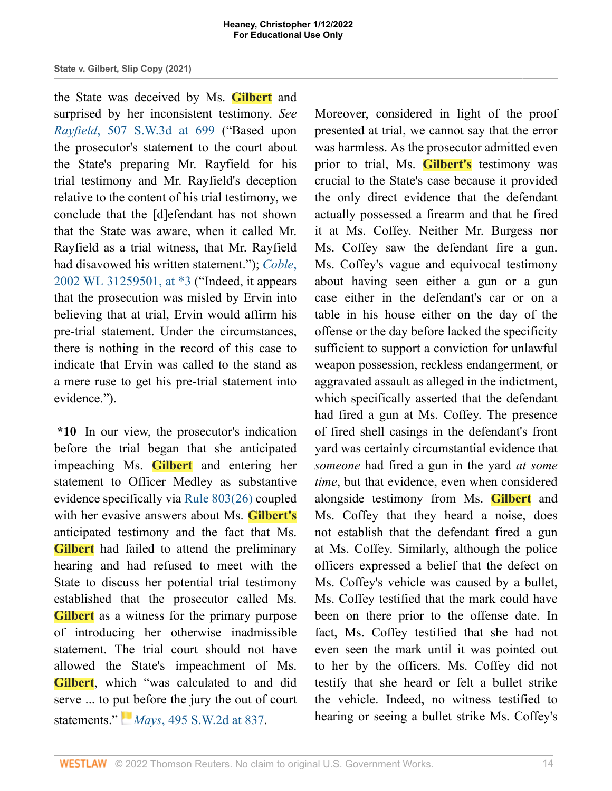the State was deceived by Ms. **Gilbert** and surprised by her inconsistent testimony. *See Rayfield*[, 507 S.W.3d at 699](http://www.westlaw.com/Link/Document/FullText?findType=Y&serNum=2037262501&pubNum=0004644&originatingDoc=I721c87b0549711ecb124ab1bb8098962&refType=RP&fi=co_pp_sp_4644_699&originationContext=document&vr=3.0&rs=cblt1.0&transitionType=DocumentItem&contextData=(sc.Search)#co_pp_sp_4644_699) ("Based upon the prosecutor's statement to the court about the State's preparing Mr. Rayfield for his trial testimony and Mr. Rayfield's deception relative to the content of his trial testimony, we conclude that the [d]efendant has not shown that the State was aware, when it called Mr. Rayfield as a trial witness, that Mr. Rayfield had disavowed his written statement."); *[Coble](http://www.westlaw.com/Link/Document/FullText?findType=Y&serNum=2002641417&pubNum=0000999&originatingDoc=I721c87b0549711ecb124ab1bb8098962&refType=RP&fi=co_pp_sp_999_3&originationContext=document&vr=3.0&rs=cblt1.0&transitionType=DocumentItem&contextData=(sc.Search)#co_pp_sp_999_3)*, [2002 WL 31259501, at \\*3](http://www.westlaw.com/Link/Document/FullText?findType=Y&serNum=2002641417&pubNum=0000999&originatingDoc=I721c87b0549711ecb124ab1bb8098962&refType=RP&fi=co_pp_sp_999_3&originationContext=document&vr=3.0&rs=cblt1.0&transitionType=DocumentItem&contextData=(sc.Search)#co_pp_sp_999_3) ("Indeed, it appears that the prosecution was misled by Ervin into believing that at trial, Ervin would affirm his pre-trial statement. Under the circumstances, there is nothing in the record of this case to indicate that Ervin was called to the stand as a mere ruse to get his pre-trial statement into evidence.").

**\*10** In our view, the prosecutor's indication before the trial began that she anticipated impeaching Ms. **Gilbert** and entering her statement to Officer Medley as substantive evidence specifically via [Rule 803\(26\)](http://www.westlaw.com/Link/Document/FullText?findType=L&pubNum=1008878&cite=TNRREVR803&originatingDoc=I721c87b0549711ecb124ab1bb8098962&refType=LQ&originationContext=document&vr=3.0&rs=cblt1.0&transitionType=DocumentItem&contextData=(sc.Search)) coupled with her evasive answers about Ms. **Gilbert's** anticipated testimony and the fact that Ms. **Gilbert** had failed to attend the preliminary hearing and had refused to meet with the State to discuss her potential trial testimony established that the prosecutor called Ms. **Gilbert** as a witness for the primary purpose of introducing her otherwise inadmissible statement. The trial court should not have allowed the State's impeachment of Ms. **Gilbert**, which "was calculated to and did serve ... to p[ut b](https://1.next.westlaw.com/Link/RelatedInformation/Flag?documentGuid=I8d081970ec7411d9b386b232635db992&transitionType=InlineKeyCiteFlags&originationContext=docHeaderFlag&Rank=1&ppcid=1e2aa9bec79a457fbd44de58c9620f0d&contextData=(sc.Search) )efore the jury the out of court statements." *Mays*[, 495 S.W.2d at 837](http://www.westlaw.com/Link/Document/FullText?findType=Y&serNum=1972133540&pubNum=0000713&originatingDoc=I721c87b0549711ecb124ab1bb8098962&refType=RP&fi=co_pp_sp_713_837&originationContext=document&vr=3.0&rs=cblt1.0&transitionType=DocumentItem&contextData=(sc.Search)#co_pp_sp_713_837).

Moreover, considered in light of the proof presented at trial, we cannot say that the error was harmless. As the prosecutor admitted even prior to trial, Ms. **Gilbert's** testimony was crucial to the State's case because it provided the only direct evidence that the defendant actually possessed a firearm and that he fired it at Ms. Coffey. Neither Mr. Burgess nor Ms. Coffey saw the defendant fire a gun. Ms. Coffey's vague and equivocal testimony about having seen either a gun or a gun case either in the defendant's car or on a table in his house either on the day of the offense or the day before lacked the specificity sufficient to support a conviction for unlawful weapon possession, reckless endangerment, or aggravated assault as alleged in the indictment, which specifically asserted that the defendant had fired a gun at Ms. Coffey. The presence of fired shell casings in the defendant's front yard was certainly circumstantial evidence that *someone* had fired a gun in the yard *at some time*, but that evidence, even when considered alongside testimony from Ms. **Gilbert** and Ms. Coffey that they heard a noise, does not establish that the defendant fired a gun at Ms. Coffey. Similarly, although the police officers expressed a belief that the defect on Ms. Coffey's vehicle was caused by a bullet, Ms. Coffey testified that the mark could have been on there prior to the offense date. In fact, Ms. Coffey testified that she had not even seen the mark until it was pointed out to her by the officers. Ms. Coffey did not testify that she heard or felt a bullet strike the vehicle. Indeed, no witness testified to hearing or seeing a bullet strike Ms. Coffey's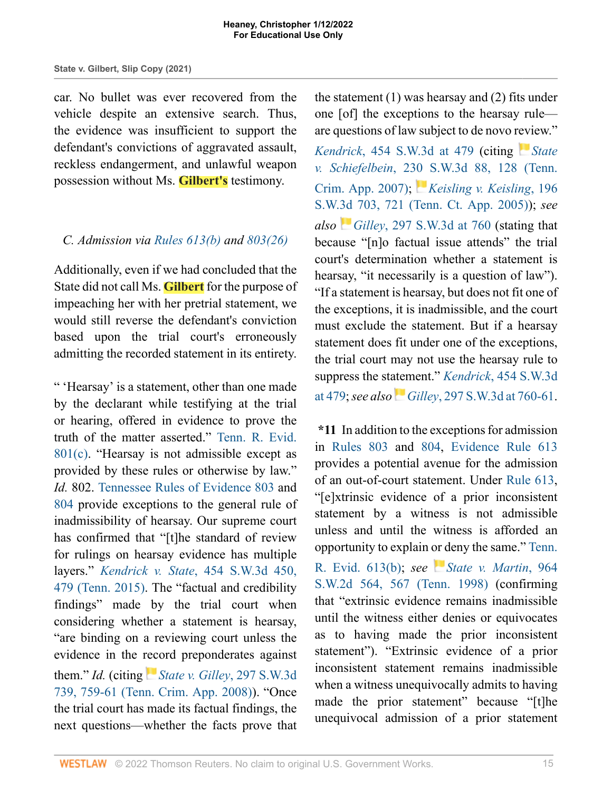car. No bullet was ever recovered from the vehicle despite an extensive search. Thus, the evidence was insufficient to support the defendant's convictions of aggravated assault, reckless endangerment, and unlawful weapon possession without Ms. **Gilbert's** testimony.

### *C. Admission via [Rules 613\(b\)](http://www.westlaw.com/Link/Document/FullText?findType=L&pubNum=1008878&cite=TNRREVR613&originatingDoc=I721c87b0549711ecb124ab1bb8098962&refType=LQ&originationContext=document&vr=3.0&rs=cblt1.0&transitionType=DocumentItem&contextData=(sc.Search)) and [803\(26\)](http://www.westlaw.com/Link/Document/FullText?findType=L&pubNum=1008878&cite=TNRREVR803&originatingDoc=I721c87b0549711ecb124ab1bb8098962&refType=LQ&originationContext=document&vr=3.0&rs=cblt1.0&transitionType=DocumentItem&contextData=(sc.Search))*

Additionally, even if we had concluded that the State did not call Ms. **Gilbert** for the purpose of impeaching her with her pretrial statement, we would still reverse the defendant's conviction based upon the trial court's erroneously admitting the recorded statement in its entirety.

" 'Hearsay' is a statement, other than one made by the declarant while testifying at the trial or hearing, offered in evidence to prove the truth of the matter asserted." [Tenn. R. Evid.](http://www.westlaw.com/Link/Document/FullText?findType=L&pubNum=1008878&cite=TNRREVR801&originatingDoc=I721c87b0549711ecb124ab1bb8098962&refType=LQ&originationContext=document&vr=3.0&rs=cblt1.0&transitionType=DocumentItem&contextData=(sc.Search)) [801\(c\).](http://www.westlaw.com/Link/Document/FullText?findType=L&pubNum=1008878&cite=TNRREVR801&originatingDoc=I721c87b0549711ecb124ab1bb8098962&refType=LQ&originationContext=document&vr=3.0&rs=cblt1.0&transitionType=DocumentItem&contextData=(sc.Search)) "Hearsay is not admissible except as provided by these rules or otherwise by law." *Id.* 802. [Tennessee Rules of Evidence 803](http://www.westlaw.com/Link/Document/FullText?findType=L&pubNum=1008878&cite=TNRREVR803&originatingDoc=I721c87b0549711ecb124ab1bb8098962&refType=LQ&originationContext=document&vr=3.0&rs=cblt1.0&transitionType=DocumentItem&contextData=(sc.Search)) and [804](http://www.westlaw.com/Link/Document/FullText?findType=L&pubNum=1008878&cite=TNRREVR804&originatingDoc=I721c87b0549711ecb124ab1bb8098962&refType=LQ&originationContext=document&vr=3.0&rs=cblt1.0&transitionType=DocumentItem&contextData=(sc.Search)) provide exceptions to the general rule of inadmissibility of hearsay. Our supreme court has confirmed that "[t]he standard of review for rulings on hearsay evidence has multiple layers." *Kendrick v. State*[, 454 S.W.3d 450,](http://www.westlaw.com/Link/Document/FullText?findType=Y&serNum=2035299891&pubNum=0004644&originatingDoc=I721c87b0549711ecb124ab1bb8098962&refType=RP&fi=co_pp_sp_4644_479&originationContext=document&vr=3.0&rs=cblt1.0&transitionType=DocumentItem&contextData=(sc.Search)#co_pp_sp_4644_479) [479 \(Tenn. 2015\).](http://www.westlaw.com/Link/Document/FullText?findType=Y&serNum=2035299891&pubNum=0004644&originatingDoc=I721c87b0549711ecb124ab1bb8098962&refType=RP&fi=co_pp_sp_4644_479&originationContext=document&vr=3.0&rs=cblt1.0&transitionType=DocumentItem&contextData=(sc.Search)#co_pp_sp_4644_479) The "factual and credibility findings" made by the trial court when considering whether a statement is hearsay, "are binding on a reviewing court unless the evidence in the [reco](https://1.next.westlaw.com/Link/RelatedInformation/Flag?documentGuid=I3ca80de469d511ddbc7bf97f340af743&transitionType=InlineKeyCiteFlags&originationContext=docHeaderFlag&Rank=1&ppcid=1e2aa9bec79a457fbd44de58c9620f0d&contextData=(sc.Search) )rd preponderates against them." *Id.* (citing *[State v. Gilley](http://www.westlaw.com/Link/Document/FullText?findType=Y&serNum=2016746771&pubNum=0004644&originatingDoc=I721c87b0549711ecb124ab1bb8098962&refType=RP&fi=co_pp_sp_4644_759&originationContext=document&vr=3.0&rs=cblt1.0&transitionType=DocumentItem&contextData=(sc.Search)#co_pp_sp_4644_759)*, 297 S.W.3d [739, 759-61 \(Tenn. Crim. App. 2008\)](http://www.westlaw.com/Link/Document/FullText?findType=Y&serNum=2016746771&pubNum=0004644&originatingDoc=I721c87b0549711ecb124ab1bb8098962&refType=RP&fi=co_pp_sp_4644_759&originationContext=document&vr=3.0&rs=cblt1.0&transitionType=DocumentItem&contextData=(sc.Search)#co_pp_sp_4644_759)). "Once the trial court has made its factual findings, the next questions—whether the facts prove that

the statement (1) was hearsay and (2) fits under one [of] the exceptions to the hearsay rule are questions of law subject to de novo r[evi](https://1.next.westlaw.com/Link/RelatedInformation/Flag?documentGuid=I0d200d37bcad11db8daaddb37a67e488&transitionType=InlineKeyCiteFlags&originationContext=docHeaderFlag&Rank=1&ppcid=1e2aa9bec79a457fbd44de58c9620f0d&contextData=(sc.Search) )ew."

*Kendrick*[, 454 S.W.3d at 479](http://www.westlaw.com/Link/Document/FullText?findType=Y&serNum=2035299891&pubNum=0004644&originatingDoc=I721c87b0549711ecb124ab1bb8098962&refType=RP&fi=co_pp_sp_4644_479&originationContext=document&vr=3.0&rs=cblt1.0&transitionType=DocumentItem&contextData=(sc.Search)#co_pp_sp_4644_479) (citing *[State](http://www.westlaw.com/Link/Document/FullText?findType=Y&serNum=2011455491&pubNum=0004644&originatingDoc=I721c87b0549711ecb124ab1bb8098962&refType=RP&fi=co_pp_sp_4644_128&originationContext=document&vr=3.0&rs=cblt1.0&transitionType=DocumentItem&contextData=(sc.Search)#co_pp_sp_4644_128) v. Schiefelbein*[, 230 S.W.3d 88, 128 \(Tenn.](http://www.westlaw.com/Link/Document/FullText?findType=Y&serNum=2011455491&pubNum=0004644&originatingDoc=I721c87b0549711ecb124ab1bb8098962&refType=RP&fi=co_pp_sp_4644_128&originationContext=document&vr=3.0&rs=cblt1.0&transitionType=DocumentItem&contextData=(sc.Search)#co_pp_sp_4644_128) [Crim. App. 2007\);](http://www.westlaw.com/Link/Document/FullText?findType=Y&serNum=2011455491&pubNum=0004644&originatingDoc=I721c87b0549711ecb124ab1bb8098962&refType=RP&fi=co_pp_sp_4644_128&originationContext=document&vr=3.0&rs=cblt1.0&transitionType=DocumentItem&contextData=(sc.Search)#co_pp_sp_4644_128) *[Keisling v. Keisling](http://www.westlaw.com/Link/Document/FullText?findType=Y&serNum=2007782585&pubNum=0004644&originatingDoc=I721c87b0549711ecb124ab1bb8098962&refType=RP&fi=co_pp_sp_4644_721&originationContext=document&vr=3.0&rs=cblt1.0&transitionType=DocumentItem&contextData=(sc.Search)#co_pp_sp_4644_721)*, 196 [S.W.3d 703, 721 \(Tenn. Ct. App. 2005\)\)](http://www.westlaw.com/Link/Document/FullText?findType=Y&serNum=2007782585&pubNum=0004644&originatingDoc=I721c87b0549711ecb124ab1bb8098962&refType=RP&fi=co_pp_sp_4644_721&originationContext=document&vr=3.0&rs=cblt1.0&transitionType=DocumentItem&contextData=(sc.Search)#co_pp_sp_4644_721); *see also Gilley*[, 297 S.W.3d at 760](http://www.westlaw.com/Link/Document/FullText?findType=Y&serNum=2016746771&pubNum=0004644&originatingDoc=I721c87b0549711ecb124ab1bb8098962&refType=RP&fi=co_pp_sp_4644_760&originationContext=document&vr=3.0&rs=cblt1.0&transitionType=DocumentItem&contextData=(sc.Search)#co_pp_sp_4644_760) (stating that because "[n]o factual issue attends" the trial court's determination whether a statement is hearsay, "it necessarily is a question of law"). "If a statement is hearsay, but does not fit one of the exceptions, it is inadmissible, and the court must exclude the statement. But if a hearsay statement does fit under one of the exceptions, the trial court may not use the hearsay rule to suppress the st[atem](https://1.next.westlaw.com/Link/RelatedInformation/Flag?documentGuid=I3ca80de469d511ddbc7bf97f340af743&transitionType=InlineKeyCiteFlags&originationContext=docHeaderFlag&Rank=1&ppcid=1e2aa9bec79a457fbd44de58c9620f0d&contextData=(sc.Search) )ent." *Kendrick*[, 454 S.W.3d](http://www.westlaw.com/Link/Document/FullText?findType=Y&serNum=2035299891&pubNum=0004644&originatingDoc=I721c87b0549711ecb124ab1bb8098962&refType=RP&fi=co_pp_sp_4644_479&originationContext=document&vr=3.0&rs=cblt1.0&transitionType=DocumentItem&contextData=(sc.Search)#co_pp_sp_4644_479) [at 479](http://www.westlaw.com/Link/Document/FullText?findType=Y&serNum=2035299891&pubNum=0004644&originatingDoc=I721c87b0549711ecb124ab1bb8098962&refType=RP&fi=co_pp_sp_4644_479&originationContext=document&vr=3.0&rs=cblt1.0&transitionType=DocumentItem&contextData=(sc.Search)#co_pp_sp_4644_479); *see also Gilley*[, 297 S.W.3d at 760-61.](http://www.westlaw.com/Link/Document/FullText?findType=Y&serNum=2016746771&pubNum=0004644&originatingDoc=I721c87b0549711ecb124ab1bb8098962&refType=RP&fi=co_pp_sp_4644_760&originationContext=document&vr=3.0&rs=cblt1.0&transitionType=DocumentItem&contextData=(sc.Search)#co_pp_sp_4644_760)

**\*11** In addition to the exceptions for admission in [Rules 803](http://www.westlaw.com/Link/Document/FullText?findType=L&pubNum=1008878&cite=TNRREVR803&originatingDoc=I721c87b0549711ecb124ab1bb8098962&refType=LQ&originationContext=document&vr=3.0&rs=cblt1.0&transitionType=DocumentItem&contextData=(sc.Search)) and [804,](http://www.westlaw.com/Link/Document/FullText?findType=L&pubNum=1008878&cite=TNRREVR804&originatingDoc=I721c87b0549711ecb124ab1bb8098962&refType=LQ&originationContext=document&vr=3.0&rs=cblt1.0&transitionType=DocumentItem&contextData=(sc.Search)) [Evidence Rule 613](http://www.westlaw.com/Link/Document/FullText?findType=L&pubNum=1008878&cite=TNRREVR613&originatingDoc=I721c87b0549711ecb124ab1bb8098962&refType=LQ&originationContext=document&vr=3.0&rs=cblt1.0&transitionType=DocumentItem&contextData=(sc.Search)) provides a potential avenue for the admission of an out-of-court statement. Under [Rule 613,](http://www.westlaw.com/Link/Document/FullText?findType=L&pubNum=1008878&cite=TNRREVR613&originatingDoc=I721c87b0549711ecb124ab1bb8098962&refType=LQ&originationContext=document&vr=3.0&rs=cblt1.0&transitionType=DocumentItem&contextData=(sc.Search)) "[e]xtrinsic evidence of a prior inconsistent statement by a witness is not admissible unless and until the witness is afforded an opportunity to explain [or d](https://1.next.westlaw.com/Link/RelatedInformation/Flag?documentGuid=Ic2340fc6e7bc11d9b386b232635db992&transitionType=InlineKeyCiteFlags&originationContext=docHeaderFlag&Rank=1&ppcid=1e2aa9bec79a457fbd44de58c9620f0d&contextData=(sc.Search) )eny the same." [Tenn.](http://www.westlaw.com/Link/Document/FullText?findType=L&pubNum=1008878&cite=TNRREVR613&originatingDoc=I721c87b0549711ecb124ab1bb8098962&refType=LQ&originationContext=document&vr=3.0&rs=cblt1.0&transitionType=DocumentItem&contextData=(sc.Search))

[R. Evid. 613\(b\);](http://www.westlaw.com/Link/Document/FullText?findType=L&pubNum=1008878&cite=TNRREVR613&originatingDoc=I721c87b0549711ecb124ab1bb8098962&refType=LQ&originationContext=document&vr=3.0&rs=cblt1.0&transitionType=DocumentItem&contextData=(sc.Search)) *see [State v. Martin](http://www.westlaw.com/Link/Document/FullText?findType=Y&serNum=1998065498&pubNum=0000713&originatingDoc=I721c87b0549711ecb124ab1bb8098962&refType=RP&fi=co_pp_sp_713_567&originationContext=document&vr=3.0&rs=cblt1.0&transitionType=DocumentItem&contextData=(sc.Search)#co_pp_sp_713_567)*, 964 [S.W.2d 564, 567 \(Tenn. 1998\)](http://www.westlaw.com/Link/Document/FullText?findType=Y&serNum=1998065498&pubNum=0000713&originatingDoc=I721c87b0549711ecb124ab1bb8098962&refType=RP&fi=co_pp_sp_713_567&originationContext=document&vr=3.0&rs=cblt1.0&transitionType=DocumentItem&contextData=(sc.Search)#co_pp_sp_713_567) (confirming that "extrinsic evidence remains inadmissible until the witness either denies or equivocates as to having made the prior inconsistent statement"). "Extrinsic evidence of a prior inconsistent statement remains inadmissible when a witness unequivocally admits to having made the prior statement" because "[t]he unequivocal admission of a prior statement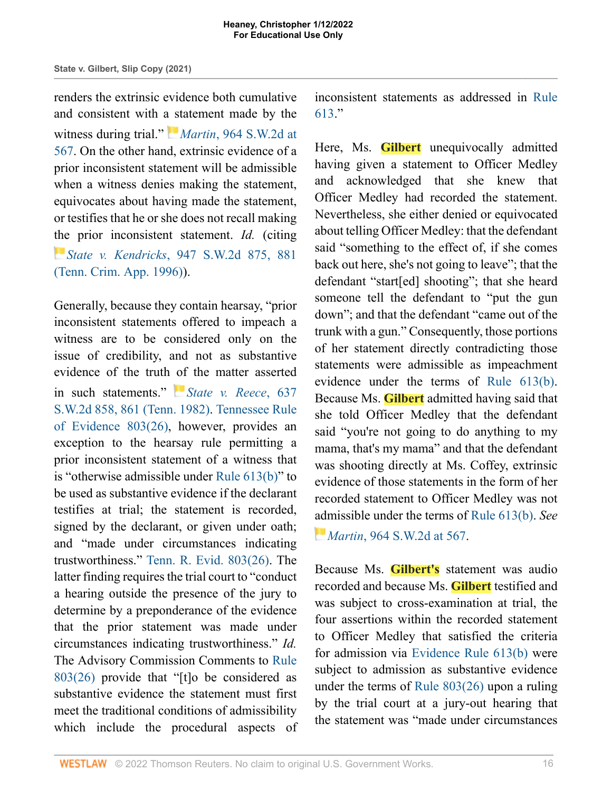renders the extrinsic evidence both cumulative and consistent with [a st](https://1.next.westlaw.com/Link/RelatedInformation/Flag?documentGuid=Ic2340fc6e7bc11d9b386b232635db992&transitionType=InlineKeyCiteFlags&originationContext=docHeaderFlag&Rank=1&ppcid=1e2aa9bec79a457fbd44de58c9620f0d&contextData=(sc.Search) )atement made by the witness during trial." *Martin*[, 964 S.W.2d at](http://www.westlaw.com/Link/Document/FullText?findType=Y&serNum=1998065498&pubNum=0000713&originatingDoc=I721c87b0549711ecb124ab1bb8098962&refType=RP&fi=co_pp_sp_713_567&originationContext=document&vr=3.0&rs=cblt1.0&transitionType=DocumentItem&contextData=(sc.Search)#co_pp_sp_713_567) [567.](http://www.westlaw.com/Link/Document/FullText?findType=Y&serNum=1998065498&pubNum=0000713&originatingDoc=I721c87b0549711ecb124ab1bb8098962&refType=RP&fi=co_pp_sp_713_567&originationContext=document&vr=3.0&rs=cblt1.0&transitionType=DocumentItem&contextData=(sc.Search)#co_pp_sp_713_567) On the other hand, extrinsic evidence of a prior inconsistent statement will be admissible when a witness denies making the statement, equivocates about having made the statement, or testifies that he or she does not recall making the prior inconsistent statement. *Id.* (citing *[S](https://1.next.westlaw.com/Link/RelatedInformation/Flag?documentGuid=Idd694da3e7d011d99439b076ef9ec4de&transitionType=InlineKeyCiteFlags&originationContext=docHeaderFlag&Rank=1&ppcid=1e2aa9bec79a457fbd44de58c9620f0d&contextData=(sc.Search) )tate v. Kendricks*[, 947 S.W.2d 875, 881](http://www.westlaw.com/Link/Document/FullText?findType=Y&serNum=1997134119&pubNum=0000713&originatingDoc=I721c87b0549711ecb124ab1bb8098962&refType=RP&fi=co_pp_sp_713_881&originationContext=document&vr=3.0&rs=cblt1.0&transitionType=DocumentItem&contextData=(sc.Search)#co_pp_sp_713_881) [\(Tenn. Crim. App. 1996\)](http://www.westlaw.com/Link/Document/FullText?findType=Y&serNum=1997134119&pubNum=0000713&originatingDoc=I721c87b0549711ecb124ab1bb8098962&refType=RP&fi=co_pp_sp_713_881&originationContext=document&vr=3.0&rs=cblt1.0&transitionType=DocumentItem&contextData=(sc.Search)#co_pp_sp_713_881)).

Generally, because they contain hearsay, "prior inconsistent statements offered to impeach a witness are to be considered only on the issue of credibility, and not as substantive evidence of the truth [of](https://1.next.westlaw.com/Link/RelatedInformation/Flag?documentGuid=I3d663ee4e79311d9bf60c1d57ebc853e&transitionType=InlineKeyCiteFlags&originationContext=docHeaderFlag&Rank=1&ppcid=1e2aa9bec79a457fbd44de58c9620f0d&contextData=(sc.Search) ) the matter asserted in such statements." *[State v. Reece](http://www.westlaw.com/Link/Document/FullText?findType=Y&serNum=1982139851&pubNum=0000713&originatingDoc=I721c87b0549711ecb124ab1bb8098962&refType=RP&fi=co_pp_sp_713_861&originationContext=document&vr=3.0&rs=cblt1.0&transitionType=DocumentItem&contextData=(sc.Search)#co_pp_sp_713_861)*, 637 [S.W.2d 858, 861 \(Tenn. 1982\).](http://www.westlaw.com/Link/Document/FullText?findType=Y&serNum=1982139851&pubNum=0000713&originatingDoc=I721c87b0549711ecb124ab1bb8098962&refType=RP&fi=co_pp_sp_713_861&originationContext=document&vr=3.0&rs=cblt1.0&transitionType=DocumentItem&contextData=(sc.Search)#co_pp_sp_713_861) [Tennessee Rule](http://www.westlaw.com/Link/Document/FullText?findType=L&pubNum=1008878&cite=TNRREVR803&originatingDoc=I721c87b0549711ecb124ab1bb8098962&refType=LQ&originationContext=document&vr=3.0&rs=cblt1.0&transitionType=DocumentItem&contextData=(sc.Search)) [of Evidence 803\(26\)](http://www.westlaw.com/Link/Document/FullText?findType=L&pubNum=1008878&cite=TNRREVR803&originatingDoc=I721c87b0549711ecb124ab1bb8098962&refType=LQ&originationContext=document&vr=3.0&rs=cblt1.0&transitionType=DocumentItem&contextData=(sc.Search)), however, provides an exception to the hearsay rule permitting a prior inconsistent statement of a witness that is "otherwise admissible under [Rule 613\(b\)](http://www.westlaw.com/Link/Document/FullText?findType=L&pubNum=1008878&cite=TNRREVR613&originatingDoc=I721c87b0549711ecb124ab1bb8098962&refType=LQ&originationContext=document&vr=3.0&rs=cblt1.0&transitionType=DocumentItem&contextData=(sc.Search))" to be used as substantive evidence if the declarant testifies at trial; the statement is recorded, signed by the declarant, or given under oath; and "made under circumstances indicating trustworthiness." [Tenn. R. Evid. 803\(26\)](http://www.westlaw.com/Link/Document/FullText?findType=L&pubNum=1008878&cite=TNRREVR803&originatingDoc=I721c87b0549711ecb124ab1bb8098962&refType=LQ&originationContext=document&vr=3.0&rs=cblt1.0&transitionType=DocumentItem&contextData=(sc.Search)). The latter finding requires the trial court to "conduct a hearing outside the presence of the jury to determine by a preponderance of the evidence that the prior statement was made under circumstances indicating trustworthiness." *Id.* The Advisory Commission Comments to [Rule](http://www.westlaw.com/Link/Document/FullText?findType=L&pubNum=1008878&cite=TNRREVR803&originatingDoc=I721c87b0549711ecb124ab1bb8098962&refType=LQ&originationContext=document&vr=3.0&rs=cblt1.0&transitionType=DocumentItem&contextData=(sc.Search)) [803\(26\)](http://www.westlaw.com/Link/Document/FullText?findType=L&pubNum=1008878&cite=TNRREVR803&originatingDoc=I721c87b0549711ecb124ab1bb8098962&refType=LQ&originationContext=document&vr=3.0&rs=cblt1.0&transitionType=DocumentItem&contextData=(sc.Search)) provide that "[t]o be considered as substantive evidence the statement must first meet the traditional conditions of admissibility which include the procedural aspects of inconsistent statements as addressed in [Rule](http://www.westlaw.com/Link/Document/FullText?findType=L&pubNum=1008878&cite=TNRREVR613&originatingDoc=I721c87b0549711ecb124ab1bb8098962&refType=LQ&originationContext=document&vr=3.0&rs=cblt1.0&transitionType=DocumentItem&contextData=(sc.Search)) [613](http://www.westlaw.com/Link/Document/FullText?findType=L&pubNum=1008878&cite=TNRREVR613&originatingDoc=I721c87b0549711ecb124ab1bb8098962&refType=LQ&originationContext=document&vr=3.0&rs=cblt1.0&transitionType=DocumentItem&contextData=(sc.Search))."

Here, Ms. **Gilbert** unequivocally admitted having given a statement to Officer Medley and acknowledged that she knew that Officer Medley had recorded the statement. Nevertheless, she either denied or equivocated about telling Officer Medley: that the defendant said "something to the effect of, if she comes back out here, she's not going to leave"; that the defendant "start[ed] shooting"; that she heard someone tell the defendant to "put the gun down"; and that the defendant "came out of the trunk with a gun." Consequently, those portions of her statement directly contradicting those statements were admissible as impeachment evidence under the terms of [Rule 613\(b\).](http://www.westlaw.com/Link/Document/FullText?findType=L&pubNum=1008878&cite=TNRREVR613&originatingDoc=I721c87b0549711ecb124ab1bb8098962&refType=LQ&originationContext=document&vr=3.0&rs=cblt1.0&transitionType=DocumentItem&contextData=(sc.Search)) Because Ms. **Gilbert** admitted having said that she told Officer Medley that the defendant said "you're not going to do anything to my mama, that's my mama" and that the defendant was shooting directly at Ms. Coffey, extrinsic evidence of those statements in the form of her recorded statement to Officer Medley was not [adm](https://1.next.westlaw.com/Link/RelatedInformation/Flag?documentGuid=Ic2340fc6e7bc11d9b386b232635db992&transitionType=InlineKeyCiteFlags&originationContext=docHeaderFlag&Rank=1&ppcid=1e2aa9bec79a457fbd44de58c9620f0d&contextData=(sc.Search) )issible under the terms of [Rule 613\(b\).](http://www.westlaw.com/Link/Document/FullText?findType=L&pubNum=1008878&cite=TNRREVR613&originatingDoc=I721c87b0549711ecb124ab1bb8098962&refType=LQ&originationContext=document&vr=3.0&rs=cblt1.0&transitionType=DocumentItem&contextData=(sc.Search)) *See Martin*[, 964 S.W.2d at 567](http://www.westlaw.com/Link/Document/FullText?findType=Y&serNum=1998065498&pubNum=0000713&originatingDoc=I721c87b0549711ecb124ab1bb8098962&refType=RP&fi=co_pp_sp_713_567&originationContext=document&vr=3.0&rs=cblt1.0&transitionType=DocumentItem&contextData=(sc.Search)#co_pp_sp_713_567).

Because Ms. **Gilbert's** statement was audio recorded and because Ms. **Gilbert** testified and was subject to cross-examination at trial, the four assertions within the recorded statement to Officer Medley that satisfied the criteria for admission via [Evidence Rule 613\(b\)](http://www.westlaw.com/Link/Document/FullText?findType=L&pubNum=1008878&cite=TNRREVR613&originatingDoc=I721c87b0549711ecb124ab1bb8098962&refType=LQ&originationContext=document&vr=3.0&rs=cblt1.0&transitionType=DocumentItem&contextData=(sc.Search)) were subject to admission as substantive evidence under the terms of [Rule 803\(26\)](http://www.westlaw.com/Link/Document/FullText?findType=L&pubNum=1008878&cite=TNRREVR803&originatingDoc=I721c87b0549711ecb124ab1bb8098962&refType=LQ&originationContext=document&vr=3.0&rs=cblt1.0&transitionType=DocumentItem&contextData=(sc.Search)) upon a ruling by the trial court at a jury-out hearing that the statement was "made under circumstances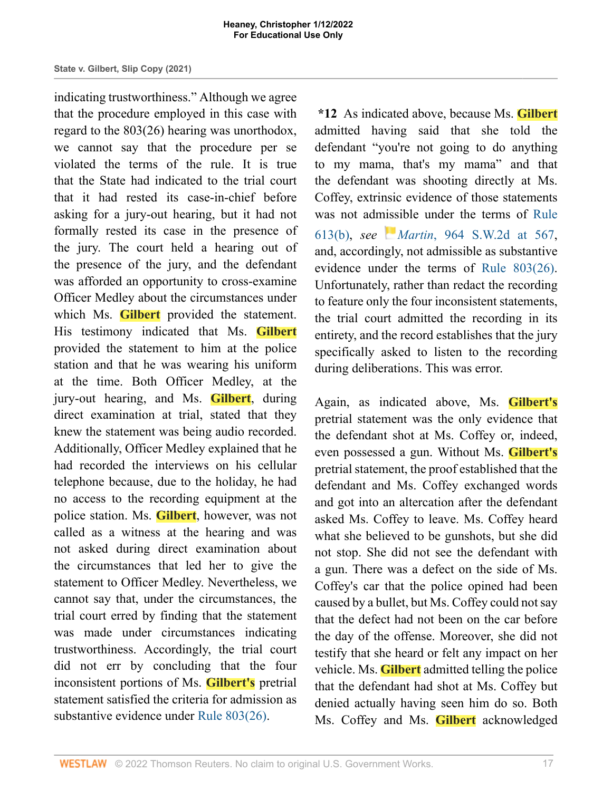indicating trustworthiness." Although we agree that the procedure employed in this case with regard to the 803(26) hearing was unorthodox, we cannot say that the procedure per se violated the terms of the rule. It is true that the State had indicated to the trial court that it had rested its case-in-chief before asking for a jury-out hearing, but it had not formally rested its case in the presence of the jury. The court held a hearing out of the presence of the jury, and the defendant was afforded an opportunity to cross-examine Officer Medley about the circumstances under which Ms. **Gilbert** provided the statement. His testimony indicated that Ms. **Gilbert** provided the statement to him at the police station and that he was wearing his uniform at the time. Both Officer Medley, at the jury-out hearing, and Ms. **Gilbert**, during direct examination at trial, stated that they knew the statement was being audio recorded. Additionally, Officer Medley explained that he had recorded the interviews on his cellular telephone because, due to the holiday, he had no access to the recording equipment at the police station. Ms. **Gilbert**, however, was not called as a witness at the hearing and was not asked during direct examination about the circumstances that led her to give the statement to Officer Medley. Nevertheless, we cannot say that, under the circumstances, the trial court erred by finding that the statement was made under circumstances indicating trustworthiness. Accordingly, the trial court did not err by concluding that the four inconsistent portions of Ms. **Gilbert's** pretrial statement satisfied the criteria for admission as substantive evidence under [Rule 803\(26\).](http://www.westlaw.com/Link/Document/FullText?findType=L&pubNum=1008878&cite=TNRREVR803&originatingDoc=I721c87b0549711ecb124ab1bb8098962&refType=LQ&originationContext=document&vr=3.0&rs=cblt1.0&transitionType=DocumentItem&contextData=(sc.Search))

**\*12** As indicated above, because Ms. **Gilbert** admitted having said that she told the defendant "you're not going to do anything to my mama, that's my mama" and that the defendant was shooting directly at Ms. Coffey, extrinsic evidence of those statements was not ad[miss](https://1.next.westlaw.com/Link/RelatedInformation/Flag?documentGuid=Ic2340fc6e7bc11d9b386b232635db992&transitionType=InlineKeyCiteFlags&originationContext=docHeaderFlag&Rank=1&ppcid=1e2aa9bec79a457fbd44de58c9620f0d&contextData=(sc.Search) )ible under the terms of [Rule](http://www.westlaw.com/Link/Document/FullText?findType=L&pubNum=1008878&cite=TNRREVR613&originatingDoc=I721c87b0549711ecb124ab1bb8098962&refType=LQ&originationContext=document&vr=3.0&rs=cblt1.0&transitionType=DocumentItem&contextData=(sc.Search)) [613\(b\),](http://www.westlaw.com/Link/Document/FullText?findType=L&pubNum=1008878&cite=TNRREVR613&originatingDoc=I721c87b0549711ecb124ab1bb8098962&refType=LQ&originationContext=document&vr=3.0&rs=cblt1.0&transitionType=DocumentItem&contextData=(sc.Search)) *see Martin*[, 964 S.W.2d at 567,](http://www.westlaw.com/Link/Document/FullText?findType=Y&serNum=1998065498&pubNum=0000713&originatingDoc=I721c87b0549711ecb124ab1bb8098962&refType=RP&fi=co_pp_sp_713_567&originationContext=document&vr=3.0&rs=cblt1.0&transitionType=DocumentItem&contextData=(sc.Search)#co_pp_sp_713_567) and, accordingly, not admissible as substantive evidence under the terms of [Rule 803\(26\).](http://www.westlaw.com/Link/Document/FullText?findType=L&pubNum=1008878&cite=TNRREVR803&originatingDoc=I721c87b0549711ecb124ab1bb8098962&refType=LQ&originationContext=document&vr=3.0&rs=cblt1.0&transitionType=DocumentItem&contextData=(sc.Search)) Unfortunately, rather than redact the recording to feature only the four inconsistent statements, the trial court admitted the recording in its entirety, and the record establishes that the jury specifically asked to listen to the recording during deliberations. This was error.

Again, as indicated above, Ms. **Gilbert's** pretrial statement was the only evidence that the defendant shot at Ms. Coffey or, indeed, even possessed a gun. Without Ms. **Gilbert's** pretrial statement, the proof established that the defendant and Ms. Coffey exchanged words and got into an altercation after the defendant asked Ms. Coffey to leave. Ms. Coffey heard what she believed to be gunshots, but she did not stop. She did not see the defendant with a gun. There was a defect on the side of Ms. Coffey's car that the police opined had been caused by a bullet, but Ms. Coffey could not say that the defect had not been on the car before the day of the offense. Moreover, she did not testify that she heard or felt any impact on her vehicle. Ms. **Gilbert** admitted telling the police that the defendant had shot at Ms. Coffey but denied actually having seen him do so. Both Ms. Coffey and Ms. **Gilbert** acknowledged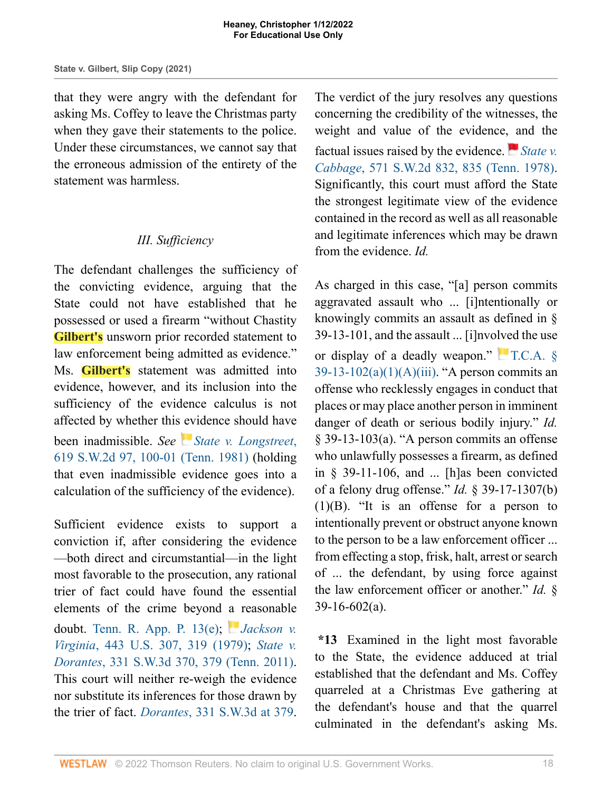that they were angry with the defendant for asking Ms. Coffey to leave the Christmas party when they gave their statements to the police. Under these circumstances, we cannot say that the erroneous admission of the entirety of the statement was harmless.

# *III. Sufficiency*

The defendant challenges the sufficiency of the convicting evidence, arguing that the State could not have established that he possessed or used a firearm "without Chastity **Gilbert's** unsworn prior recorded statement to law enforcement being admitted as evidence." Ms. **Gilbert's** statement was admitted into evidence, however, and its inclusion into the sufficiency of the evidence calculus is not affected by whether this [ev](https://1.next.westlaw.com/Link/RelatedInformation/Flag?documentGuid=I9af0e859e7b011d9b386b232635db992&transitionType=InlineKeyCiteFlags&originationContext=docHeaderFlag&Rank=1&ppcid=1e2aa9bec79a457fbd44de58c9620f0d&contextData=(sc.Search) )idence should have been inadmissible. *See [State v. Longstreet](http://www.westlaw.com/Link/Document/FullText?findType=Y&serNum=1981132562&pubNum=0000713&originatingDoc=I721c87b0549711ecb124ab1bb8098962&refType=RP&fi=co_pp_sp_713_100&originationContext=document&vr=3.0&rs=cblt1.0&transitionType=DocumentItem&contextData=(sc.Search)#co_pp_sp_713_100)*, [619 S.W.2d 97, 100-01 \(Tenn. 1981\)](http://www.westlaw.com/Link/Document/FullText?findType=Y&serNum=1981132562&pubNum=0000713&originatingDoc=I721c87b0549711ecb124ab1bb8098962&refType=RP&fi=co_pp_sp_713_100&originationContext=document&vr=3.0&rs=cblt1.0&transitionType=DocumentItem&contextData=(sc.Search)#co_pp_sp_713_100) (holding that even inadmissible evidence goes into a calculation of the sufficiency of the evidence).

Sufficient evidence exists to support a conviction if, after considering the evidence —both direct and circumstantial—in the light most favorable to the prosecution, any rational trier of fact could have found the essential elements of the crime beyond [a](https://1.next.westlaw.com/Link/RelatedInformation/Flag?documentGuid=I65056f319c9711d9bc61beebb95be672&transitionType=InlineKeyCiteFlags&originationContext=docHeaderFlag&Rank=1&ppcid=1e2aa9bec79a457fbd44de58c9620f0d&contextData=(sc.Search) ) reasonable doubt. [Tenn. R. App. P. 13\(e\)](http://www.westlaw.com/Link/Document/FullText?findType=L&pubNum=1008880&cite=TNRRAPR13&originatingDoc=I721c87b0549711ecb124ab1bb8098962&refType=LQ&originationContext=document&vr=3.0&rs=cblt1.0&transitionType=DocumentItem&contextData=(sc.Search)); *[Jackson v.](http://www.westlaw.com/Link/Document/FullText?findType=Y&serNum=1979135171&pubNum=0000780&originatingDoc=I721c87b0549711ecb124ab1bb8098962&refType=RP&fi=co_pp_sp_780_319&originationContext=document&vr=3.0&rs=cblt1.0&transitionType=DocumentItem&contextData=(sc.Search)#co_pp_sp_780_319) Virginia*[, 443 U.S. 307, 319 \(1979\);](http://www.westlaw.com/Link/Document/FullText?findType=Y&serNum=1979135171&pubNum=0000780&originatingDoc=I721c87b0549711ecb124ab1bb8098962&refType=RP&fi=co_pp_sp_780_319&originationContext=document&vr=3.0&rs=cblt1.0&transitionType=DocumentItem&contextData=(sc.Search)#co_pp_sp_780_319) *[State v.](http://www.westlaw.com/Link/Document/FullText?findType=Y&serNum=2024453687&pubNum=0004644&originatingDoc=I721c87b0549711ecb124ab1bb8098962&refType=RP&fi=co_pp_sp_4644_379&originationContext=document&vr=3.0&rs=cblt1.0&transitionType=DocumentItem&contextData=(sc.Search)#co_pp_sp_4644_379) Dorantes*[, 331 S.W.3d 370, 379 \(Tenn. 2011\).](http://www.westlaw.com/Link/Document/FullText?findType=Y&serNum=2024453687&pubNum=0004644&originatingDoc=I721c87b0549711ecb124ab1bb8098962&refType=RP&fi=co_pp_sp_4644_379&originationContext=document&vr=3.0&rs=cblt1.0&transitionType=DocumentItem&contextData=(sc.Search)#co_pp_sp_4644_379) This court will neither re-weigh the evidence nor substitute its inferences for those drawn by the trier of fact. *Dorantes*[, 331 S.W.3d at 379.](http://www.westlaw.com/Link/Document/FullText?findType=Y&serNum=2024453687&pubNum=0004644&originatingDoc=I721c87b0549711ecb124ab1bb8098962&refType=RP&fi=co_pp_sp_4644_379&originationContext=document&vr=3.0&rs=cblt1.0&transitionType=DocumentItem&contextData=(sc.Search)#co_pp_sp_4644_379)

The verdict of the jury resolves any questions concerning the credibility of the witnesses, the weight and value of the evidence[, a](https://1.next.westlaw.com/Link/RelatedInformation/Flag?documentGuid=I3f4d5d21ec6f11d9bf60c1d57ebc853e&transitionType=InlineKeyCiteFlags&originationContext=docHeaderFlag&Rank=1&ppcid=1e2aa9bec79a457fbd44de58c9620f0d&contextData=(sc.Search) )nd the factual issues raised by the evidence.  $\blacksquare$  *[State v.](http://www.westlaw.com/Link/Document/FullText?findType=Y&serNum=1978135449&pubNum=0000713&originatingDoc=I721c87b0549711ecb124ab1bb8098962&refType=RP&fi=co_pp_sp_713_835&originationContext=document&vr=3.0&rs=cblt1.0&transitionType=DocumentItem&contextData=(sc.Search)#co_pp_sp_713_835) Cabbage*[, 571 S.W.2d 832, 835 \(Tenn. 1978\).](http://www.westlaw.com/Link/Document/FullText?findType=Y&serNum=1978135449&pubNum=0000713&originatingDoc=I721c87b0549711ecb124ab1bb8098962&refType=RP&fi=co_pp_sp_713_835&originationContext=document&vr=3.0&rs=cblt1.0&transitionType=DocumentItem&contextData=(sc.Search)#co_pp_sp_713_835) Significantly, this court must afford the State the strongest legitimate view of the evidence contained in the record as well as all reasonable and legitimate inferences which may be drawn from the evidence. *Id.*

As charged in this case, "[a] person commits aggravated assault who ... [i]ntentionally or knowingly commits an assault as defined in § 39-13-101, and the assault ... [i]nvolved the use or display of a deadly weapon."  $\Box$  T.C.A.  $\&$  $39-13-102(a)(1)(A)(iii)$ . "A person commits an offense who recklessly engages in conduct that places or may place another person in imminent danger of death or serious bodily injury." *Id.* § 39-13-103(a). "A person commits an offense who unlawfully possesses a firearm, as defined in § 39-11-106, and ... [h]as been convicted of a felony drug offense." *Id.* § 39-17-1307(b)  $(1)(B)$ . "It is an offense for a person to intentionally prevent or obstruct anyone known to the person to be a law enforcement officer ... from effecting a stop, frisk, halt, arrest or search of ... the defendant, by using force against the law enforcement officer or another." *Id.* § 39-16-602(a).

**\*13** Examined in the light most favorable to the State, the evidence adduced at trial established that the defendant and Ms. Coffey quarreled at a Christmas Eve gathering at the defendant's house and that the quarrel culminated in the defendant's asking Ms.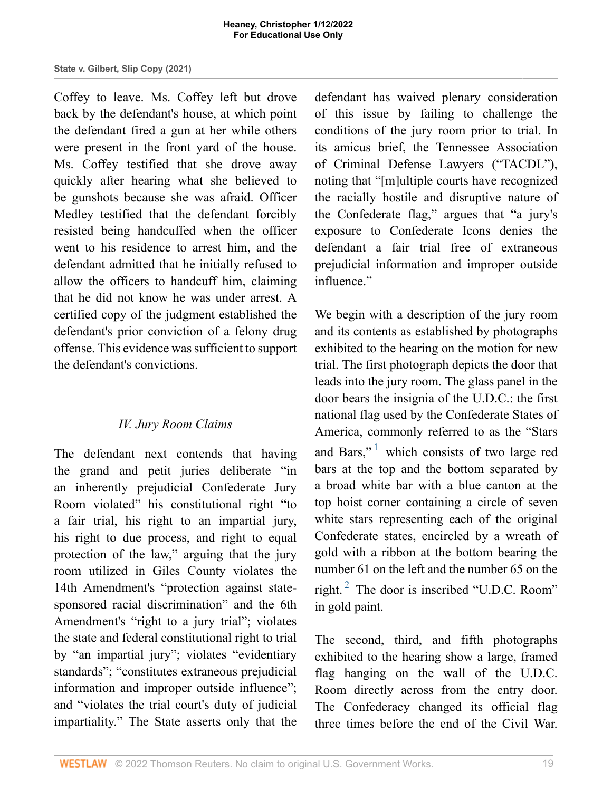Coffey to leave. Ms. Coffey left but drove back by the defendant's house, at which point the defendant fired a gun at her while others were present in the front yard of the house. Ms. Coffey testified that she drove away quickly after hearing what she believed to be gunshots because she was afraid. Officer Medley testified that the defendant forcibly resisted being handcuffed when the officer went to his residence to arrest him, and the defendant admitted that he initially refused to allow the officers to handcuff him, claiming that he did not know he was under arrest. A certified copy of the judgment established the defendant's prior conviction of a felony drug offense. This evidence was sufficient to support the defendant's convictions.

# *IV. Jury Room Claims*

The defendant next contends that having the grand and petit juries deliberate "in an inherently prejudicial Confederate Jury Room violated" his constitutional right "to a fair trial, his right to an impartial jury, his right to due process, and right to equal protection of the law," arguing that the jury room utilized in Giles County violates the 14th Amendment's "protection against statesponsored racial discrimination" and the 6th Amendment's "right to a jury trial"; violates the state and federal constitutional right to trial by "an impartial jury"; violates "evidentiary standards"; "constitutes extraneous prejudicial information and improper outside influence"; and "violates the trial court's duty of judicial impartiality." The State asserts only that the

defendant has waived plenary consideration of this issue by failing to challenge the conditions of the jury room prior to trial. In its amicus brief, the Tennessee Association of Criminal Defense Lawyers ("TACDL"), noting that "[m]ultiple courts have recognized the racially hostile and disruptive nature of the Confederate flag," argues that "a jury's exposure to Confederate Icons denies the defendant a fair trial free of extraneous prejudicial information and improper outside influence."

<span id="page-18-0"></span>We begin with a description of the jury room and its contents as established by photographs exhibited to the hearing on the motion for new trial. The first photograph depicts the door that leads into the jury room. The glass panel in the door bears the insignia of the U.D.C.: the first national flag used by the Confederate States of America, commonly referred to as the "Stars and Bars," $1$  which consists of two large red bars at the top and the bottom separated by a broad white bar with a blue canton at the top hoist corner containing a circle of seven white stars representing each of the original Confederate states, encircled by a wreath of gold with a ribbon at the bottom bearing the number 61 on the left and the number 65 on the right. $^{2}$  $^{2}$  $^{2}$  The door is inscribed "U.D.C. Room" in gold paint.

<span id="page-18-1"></span>The second, third, and fifth photographs exhibited to the hearing show a large, framed flag hanging on the wall of the U.D.C. Room directly across from the entry door. The Confederacy changed its official flag three times before the end of the Civil War.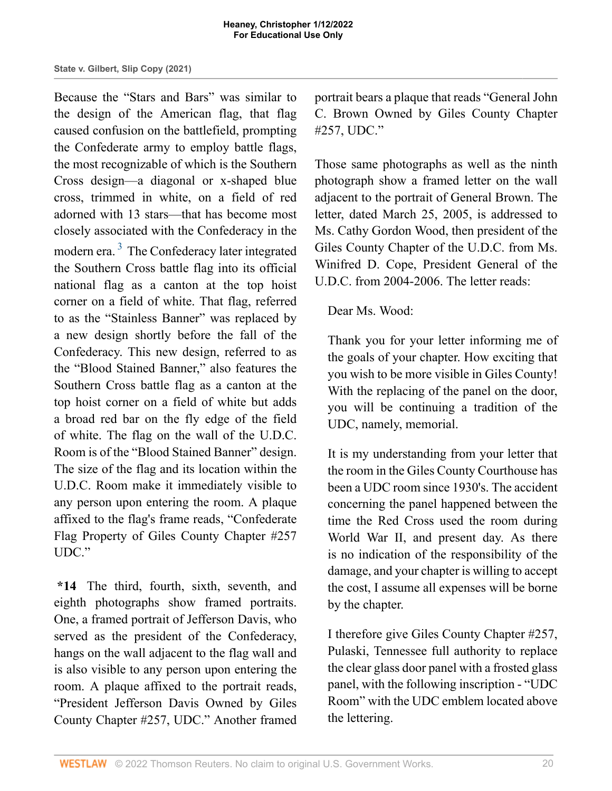<span id="page-19-0"></span>Because the "Stars and Bars" was similar to the design of the American flag, that flag caused confusion on the battlefield, prompting the Confederate army to employ battle flags, the most recognizable of which is the Southern Cross design—a diagonal or x-shaped blue cross, trimmed in white, on a field of red adorned with 13 stars—that has become most closely associated with the Confederacy in the modern era.<sup>[3](#page-29-2)</sup> The Confederacy later integrated the Southern Cross battle flag into its official national flag as a canton at the top hoist corner on a field of white. That flag, referred to as the "Stainless Banner" was replaced by a new design shortly before the fall of the Confederacy. This new design, referred to as the "Blood Stained Banner," also features the Southern Cross battle flag as a canton at the top hoist corner on a field of white but adds a broad red bar on the fly edge of the field of white. The flag on the wall of the U.D.C. Room is of the "Blood Stained Banner" design. The size of the flag and its location within the U.D.C. Room make it immediately visible to any person upon entering the room. A plaque affixed to the flag's frame reads, "Confederate Flag Property of Giles County Chapter #257 UDC."

**\*14** The third, fourth, sixth, seventh, and eighth photographs show framed portraits. One, a framed portrait of Jefferson Davis, who served as the president of the Confederacy, hangs on the wall adjacent to the flag wall and is also visible to any person upon entering the room. A plaque affixed to the portrait reads, "President Jefferson Davis Owned by Giles County Chapter #257, UDC." Another framed portrait bears a plaque that reads "General John C. Brown Owned by Giles County Chapter #257, UDC."

Those same photographs as well as the ninth photograph show a framed letter on the wall adjacent to the portrait of General Brown. The letter, dated March 25, 2005, is addressed to Ms. Cathy Gordon Wood, then president of the Giles County Chapter of the U.D.C. from Ms. Winifred D. Cope, President General of the U.D.C. from 2004-2006. The letter reads:

## Dear Ms. Wood:

Thank you for your letter informing me of the goals of your chapter. How exciting that you wish to be more visible in Giles County! With the replacing of the panel on the door, you will be continuing a tradition of the UDC, namely, memorial.

It is my understanding from your letter that the room in the Giles County Courthouse has been a UDC room since 1930's. The accident concerning the panel happened between the time the Red Cross used the room during World War II, and present day. As there is no indication of the responsibility of the damage, and your chapter is willing to accept the cost, I assume all expenses will be borne by the chapter.

I therefore give Giles County Chapter #257, Pulaski, Tennessee full authority to replace the clear glass door panel with a frosted glass panel, with the following inscription - "UDC Room" with the UDC emblem located above the lettering.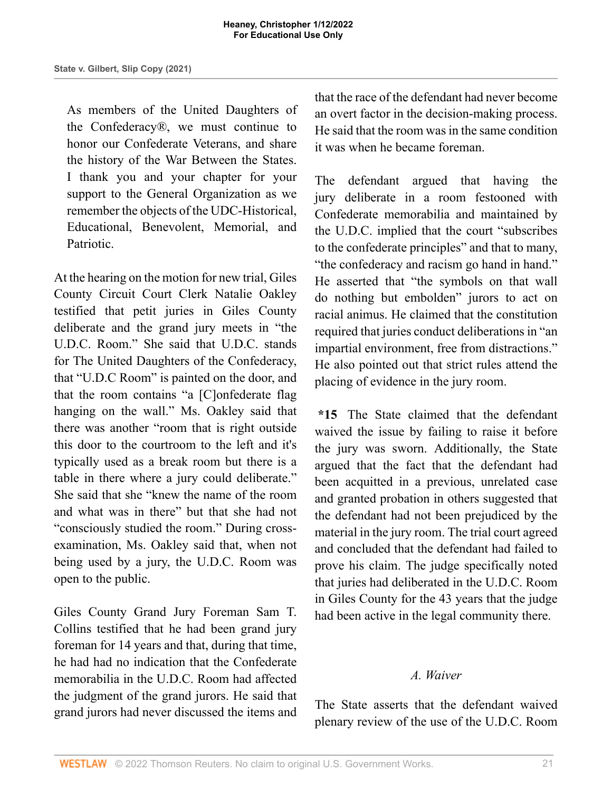As members of the United Daughters of the Confederacy®, we must continue to honor our Confederate Veterans, and share the history of the War Between the States. I thank you and your chapter for your support to the General Organization as we remember the objects of the UDC-Historical, Educational, Benevolent, Memorial, and **Patriotic** 

At the hearing on the motion for new trial, Giles County Circuit Court Clerk Natalie Oakley testified that petit juries in Giles County deliberate and the grand jury meets in "the U.D.C. Room." She said that U.D.C. stands for The United Daughters of the Confederacy, that "U.D.C Room" is painted on the door, and that the room contains "a [C]onfederate flag hanging on the wall." Ms. Oakley said that there was another "room that is right outside this door to the courtroom to the left and it's typically used as a break room but there is a table in there where a jury could deliberate." She said that she "knew the name of the room and what was in there" but that she had not "consciously studied the room." During crossexamination, Ms. Oakley said that, when not being used by a jury, the U.D.C. Room was open to the public.

Giles County Grand Jury Foreman Sam T. Collins testified that he had been grand jury foreman for 14 years and that, during that time, he had had no indication that the Confederate memorabilia in the U.D.C. Room had affected the judgment of the grand jurors. He said that grand jurors had never discussed the items and that the race of the defendant had never become an overt factor in the decision-making process. He said that the room was in the same condition it was when he became foreman.

The defendant argued that having the jury deliberate in a room festooned with Confederate memorabilia and maintained by the U.D.C. implied that the court "subscribes to the confederate principles" and that to many, "the confederacy and racism go hand in hand." He asserted that "the symbols on that wall do nothing but embolden" jurors to act on racial animus. He claimed that the constitution required that juries conduct deliberations in "an impartial environment, free from distractions." He also pointed out that strict rules attend the placing of evidence in the jury room.

**\*15** The State claimed that the defendant waived the issue by failing to raise it before the jury was sworn. Additionally, the State argued that the fact that the defendant had been acquitted in a previous, unrelated case and granted probation in others suggested that the defendant had not been prejudiced by the material in the jury room. The trial court agreed and concluded that the defendant had failed to prove his claim. The judge specifically noted that juries had deliberated in the U.D.C. Room in Giles County for the 43 years that the judge had been active in the legal community there.

## *A. Waiver*

The State asserts that the defendant waived plenary review of the use of the U.D.C. Room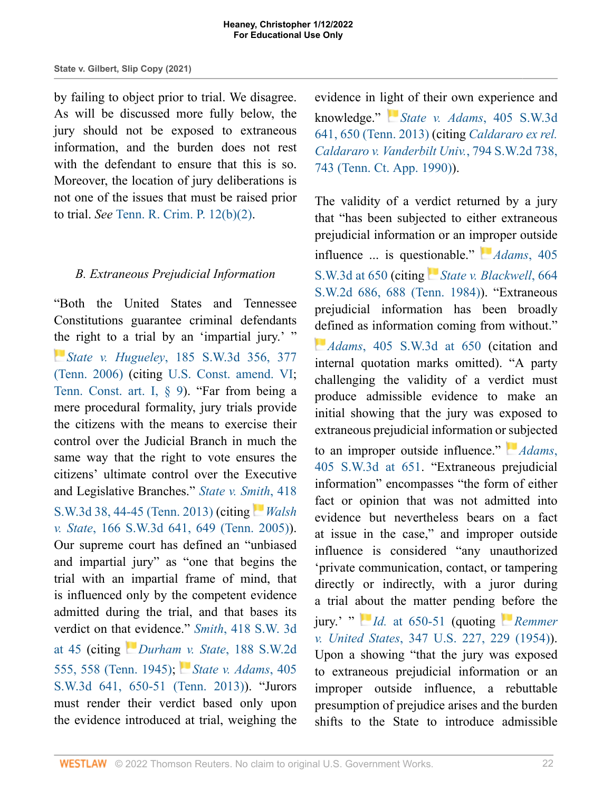by failing to object prior to trial. We disagree. As will be discussed more fully below, the jury should not be exposed to extraneous information, and the burden does not rest with the defendant to ensure that this is so. Moreover, the location of jury deliberations is not one of the issues that must be raised prior to trial. *See* [Tenn. R. Crim. P. 12\(b\)\(2\)](http://www.westlaw.com/Link/Document/FullText?findType=L&pubNum=1008875&cite=TNRRCRPR12&originatingDoc=I721c87b0549711ecb124ab1bb8098962&refType=LQ&originationContext=document&vr=3.0&rs=cblt1.0&transitionType=DocumentItem&contextData=(sc.Search)).

## *B. Extraneous Prejudicial Information*

"Both the United States and Tennessee Constitutions guarantee criminal defendants [the](https://1.next.westlaw.com/Link/RelatedInformation/Flag?documentGuid=Id0c08e49b42911da8cccb4c14e983401&transitionType=InlineKeyCiteFlags&originationContext=docHeaderFlag&Rank=1&ppcid=1e2aa9bec79a457fbd44de58c9620f0d&contextData=(sc.Search) ) right to a trial by an 'impartial jury.' " *State v. Hugueley*[, 185 S.W.3d 356, 377](http://www.westlaw.com/Link/Document/FullText?findType=Y&serNum=2008683478&pubNum=0004644&originatingDoc=I721c87b0549711ecb124ab1bb8098962&refType=RP&fi=co_pp_sp_4644_377&originationContext=document&vr=3.0&rs=cblt1.0&transitionType=DocumentItem&contextData=(sc.Search)#co_pp_sp_4644_377) [\(Tenn. 2006\)](http://www.westlaw.com/Link/Document/FullText?findType=Y&serNum=2008683478&pubNum=0004644&originatingDoc=I721c87b0549711ecb124ab1bb8098962&refType=RP&fi=co_pp_sp_4644_377&originationContext=document&vr=3.0&rs=cblt1.0&transitionType=DocumentItem&contextData=(sc.Search)#co_pp_sp_4644_377) (citing [U.S. Const. amend. VI](http://www.westlaw.com/Link/Document/FullText?findType=L&pubNum=1000583&cite=USCOAMENDVI&originatingDoc=I721c87b0549711ecb124ab1bb8098962&refType=LQ&originationContext=document&vr=3.0&rs=cblt1.0&transitionType=DocumentItem&contextData=(sc.Search)); [Tenn. Const. art. I, § 9](http://www.westlaw.com/Link/Document/FullText?findType=L&pubNum=1000305&cite=TNCNART1S9&originatingDoc=I721c87b0549711ecb124ab1bb8098962&refType=LQ&originationContext=document&vr=3.0&rs=cblt1.0&transitionType=DocumentItem&contextData=(sc.Search))). "Far from being a mere procedural formality, jury trials provide the citizens with the means to exercise their control over the Judicial Branch in much the same way that the right to vote ensures the citizens' ultimate control over the Executive and Legislative Branches." *[State v. Smith](http://www.westlaw.com/Link/Document/FullText?findType=Y&serNum=2031510759&pubNum=0004644&originatingDoc=I721c87b0549711ecb124ab1bb8098962&refType=RP&fi=co_pp_sp_4644_44&originationContext=document&vr=3.0&rs=cblt1.0&transitionType=DocumentItem&contextData=(sc.Search)#co_pp_sp_4644_44)*, 418 [S.W.3d 38, 44-45 \(Tenn. 2013\)](http://www.westlaw.com/Link/Document/FullText?findType=Y&serNum=2031510759&pubNum=0004644&originatingDoc=I721c87b0549711ecb124ab1bb8098962&refType=RP&fi=co_pp_sp_4644_44&originationContext=document&vr=3.0&rs=cblt1.0&transitionType=DocumentItem&contextData=(sc.Search)#co_pp_sp_4644_44) (citing *[Walsh](http://www.westlaw.com/Link/Document/FullText?findType=Y&serNum=2006856863&pubNum=0004644&originatingDoc=I721c87b0549711ecb124ab1bb8098962&refType=RP&fi=co_pp_sp_4644_649&originationContext=document&vr=3.0&rs=cblt1.0&transitionType=DocumentItem&contextData=(sc.Search)#co_pp_sp_4644_649) v. State*[, 166 S.W.3d 641, 649 \(Tenn. 2005\)](http://www.westlaw.com/Link/Document/FullText?findType=Y&serNum=2006856863&pubNum=0004644&originatingDoc=I721c87b0549711ecb124ab1bb8098962&refType=RP&fi=co_pp_sp_4644_649&originationContext=document&vr=3.0&rs=cblt1.0&transitionType=DocumentItem&contextData=(sc.Search)#co_pp_sp_4644_649)). Our supreme court has defined an "unbiased and impartial jury" as "one that begins the trial with an impartial frame of mind, that is influenced only by the competent evidence admitted during the trial, and that bases its verdict on th[at e](https://1.next.westlaw.com/Link/RelatedInformation/Flag?documentGuid=I09d5a70aec6111d9b386b232635db992&transitionType=InlineKeyCiteFlags&originationContext=docHeaderFlag&Rank=1&ppcid=1e2aa9bec79a457fbd44de58c9620f0d&contextData=(sc.Search) )vidence." *Smith*[, 418 S.W. 3d](http://www.westlaw.com/Link/Document/FullText?findType=Y&serNum=2031510759&pubNum=0004644&originatingDoc=I721c87b0549711ecb124ab1bb8098962&refType=RP&fi=co_pp_sp_4644_45&originationContext=document&vr=3.0&rs=cblt1.0&transitionType=DocumentItem&contextData=(sc.Search)#co_pp_sp_4644_45) [at 45](http://www.westlaw.com/Link/Document/FullText?findType=Y&serNum=2031510759&pubNum=0004644&originatingDoc=I721c87b0549711ecb124ab1bb8098962&refType=RP&fi=co_pp_sp_4644_45&originationContext=document&vr=3.0&rs=cblt1.0&transitionType=DocumentItem&contextData=(sc.Search)#co_pp_sp_4644_45) (citing *[Durham v. State](http://www.westlaw.com/Link/Document/FullText?findType=Y&serNum=1945102215&pubNum=0000713&originatingDoc=I721c87b0549711ecb124ab1bb8098962&refType=RP&fi=co_pp_sp_713_558&originationContext=document&vr=3.0&rs=cblt1.0&transitionType=DocumentItem&contextData=(sc.Search)#co_pp_sp_713_558)*, 188 S.W.2d [555, 558 \(Tenn. 1945\)](http://www.westlaw.com/Link/Document/FullText?findType=Y&serNum=1945102215&pubNum=0000713&originatingDoc=I721c87b0549711ecb124ab1bb8098962&refType=RP&fi=co_pp_sp_713_558&originationContext=document&vr=3.0&rs=cblt1.0&transitionType=DocumentItem&contextData=(sc.Search)#co_pp_sp_713_558); *[State v. Adams](http://www.westlaw.com/Link/Document/FullText?findType=Y&serNum=2030552619&pubNum=0004644&originatingDoc=I721c87b0549711ecb124ab1bb8098962&refType=RP&fi=co_pp_sp_4644_650&originationContext=document&vr=3.0&rs=cblt1.0&transitionType=DocumentItem&contextData=(sc.Search)#co_pp_sp_4644_650)*, 405 [S.W.3d 641, 650-51 \(Tenn. 2013\)\)](http://www.westlaw.com/Link/Document/FullText?findType=Y&serNum=2030552619&pubNum=0004644&originatingDoc=I721c87b0549711ecb124ab1bb8098962&refType=RP&fi=co_pp_sp_4644_650&originationContext=document&vr=3.0&rs=cblt1.0&transitionType=DocumentItem&contextData=(sc.Search)#co_pp_sp_4644_650). "Jurors must render their verdict based only upon the evidence introduced at trial, weighing the

### evidence in li[ght](https://1.next.westlaw.com/Link/RelatedInformation/Flag?documentGuid=I0b4c48a6be8611e28501bda794601919&transitionType=InlineKeyCiteFlags&originationContext=docHeaderFlag&Rank=1&ppcid=1e2aa9bec79a457fbd44de58c9620f0d&contextData=(sc.Search) ) of their own experience and

knowledge." *[State v. Adams](http://www.westlaw.com/Link/Document/FullText?findType=Y&serNum=2030552619&pubNum=0004644&originatingDoc=I721c87b0549711ecb124ab1bb8098962&refType=RP&fi=co_pp_sp_4644_650&originationContext=document&vr=3.0&rs=cblt1.0&transitionType=DocumentItem&contextData=(sc.Search)#co_pp_sp_4644_650)*, 405 S.W.3d [641, 650 \(Tenn. 2013\)](http://www.westlaw.com/Link/Document/FullText?findType=Y&serNum=2030552619&pubNum=0004644&originatingDoc=I721c87b0549711ecb124ab1bb8098962&refType=RP&fi=co_pp_sp_4644_650&originationContext=document&vr=3.0&rs=cblt1.0&transitionType=DocumentItem&contextData=(sc.Search)#co_pp_sp_4644_650) (citing *[Caldararo ex rel.](http://www.westlaw.com/Link/Document/FullText?findType=Y&serNum=1990119514&pubNum=0000713&originatingDoc=I721c87b0549711ecb124ab1bb8098962&refType=RP&fi=co_pp_sp_713_743&originationContext=document&vr=3.0&rs=cblt1.0&transitionType=DocumentItem&contextData=(sc.Search)#co_pp_sp_713_743) [Caldararo v. Vanderbilt Univ.](http://www.westlaw.com/Link/Document/FullText?findType=Y&serNum=1990119514&pubNum=0000713&originatingDoc=I721c87b0549711ecb124ab1bb8098962&refType=RP&fi=co_pp_sp_713_743&originationContext=document&vr=3.0&rs=cblt1.0&transitionType=DocumentItem&contextData=(sc.Search)#co_pp_sp_713_743)*, 794 S.W.2d 738, [743 \(Tenn. Ct. App. 1990\)](http://www.westlaw.com/Link/Document/FullText?findType=Y&serNum=1990119514&pubNum=0000713&originatingDoc=I721c87b0549711ecb124ab1bb8098962&refType=RP&fi=co_pp_sp_713_743&originationContext=document&vr=3.0&rs=cblt1.0&transitionType=DocumentItem&contextData=(sc.Search)#co_pp_sp_713_743)).

The validity of a verdict returned by a jury that "has been subjected to either extraneous prejudicial information or an improper outside influence ... is quest[ion](https://1.next.westlaw.com/Link/RelatedInformation/Flag?documentGuid=I3d5500d5e79311d9bf60c1d57ebc853e&transitionType=InlineKeyCiteFlags&originationContext=docHeaderFlag&Rank=1&ppcid=1e2aa9bec79a457fbd44de58c9620f0d&contextData=(sc.Search) )able." *[Adams](http://www.westlaw.com/Link/Document/FullText?findType=Y&serNum=2030552619&pubNum=0004644&originatingDoc=I721c87b0549711ecb124ab1bb8098962&refType=RP&fi=co_pp_sp_4644_650&originationContext=document&vr=3.0&rs=cblt1.0&transitionType=DocumentItem&contextData=(sc.Search)#co_pp_sp_4644_650)*, 405 [S.W.3d at 650](http://www.westlaw.com/Link/Document/FullText?findType=Y&serNum=2030552619&pubNum=0004644&originatingDoc=I721c87b0549711ecb124ab1bb8098962&refType=RP&fi=co_pp_sp_4644_650&originationContext=document&vr=3.0&rs=cblt1.0&transitionType=DocumentItem&contextData=(sc.Search)#co_pp_sp_4644_650) (citing [State v. Blackwell](http://www.westlaw.com/Link/Document/FullText?findType=Y&serNum=1984109773&pubNum=0000713&originatingDoc=I721c87b0549711ecb124ab1bb8098962&refType=RP&fi=co_pp_sp_713_688&originationContext=document&vr=3.0&rs=cblt1.0&transitionType=DocumentItem&contextData=(sc.Search)#co_pp_sp_713_688), 664 [S.W.2d 686, 688 \(Tenn. 1984\)\)](http://www.westlaw.com/Link/Document/FullText?findType=Y&serNum=1984109773&pubNum=0000713&originatingDoc=I721c87b0549711ecb124ab1bb8098962&refType=RP&fi=co_pp_sp_713_688&originationContext=document&vr=3.0&rs=cblt1.0&transitionType=DocumentItem&contextData=(sc.Search)#co_pp_sp_713_688). "Extraneous prejudicial information has been broadly [def](https://1.next.westlaw.com/Link/RelatedInformation/Flag?documentGuid=I0b4c48a6be8611e28501bda794601919&transitionType=InlineKeyCiteFlags&originationContext=docHeaderFlag&Rank=1&ppcid=1e2aa9bec79a457fbd44de58c9620f0d&contextData=(sc.Search) )ined as information coming from without." *Adams*[, 405 S.W.3d at 650](http://www.westlaw.com/Link/Document/FullText?findType=Y&serNum=2030552619&pubNum=0004644&originatingDoc=I721c87b0549711ecb124ab1bb8098962&refType=RP&fi=co_pp_sp_4644_650&originationContext=document&vr=3.0&rs=cblt1.0&transitionType=DocumentItem&contextData=(sc.Search)#co_pp_sp_4644_650) (citation and internal quotation marks omitted). "A party challenging the validity of a verdict must produce admissible evidence to make an initial showing that the jury was exposed to extraneous prejudicial information or [su](https://1.next.westlaw.com/Link/RelatedInformation/Flag?documentGuid=I0b4c48a6be8611e28501bda794601919&transitionType=InlineKeyCiteFlags&originationContext=docHeaderFlag&Rank=1&ppcid=1e2aa9bec79a457fbd44de58c9620f0d&contextData=(sc.Search) )bjected to an improper outside influence." *[Adams](http://www.westlaw.com/Link/Document/FullText?findType=Y&serNum=2030552619&pubNum=0004644&originatingDoc=I721c87b0549711ecb124ab1bb8098962&refType=RP&fi=co_pp_sp_4644_651&originationContext=document&vr=3.0&rs=cblt1.0&transitionType=DocumentItem&contextData=(sc.Search)#co_pp_sp_4644_651)*, [405 S.W.3d at 651](http://www.westlaw.com/Link/Document/FullText?findType=Y&serNum=2030552619&pubNum=0004644&originatingDoc=I721c87b0549711ecb124ab1bb8098962&refType=RP&fi=co_pp_sp_4644_651&originationContext=document&vr=3.0&rs=cblt1.0&transitionType=DocumentItem&contextData=(sc.Search)#co_pp_sp_4644_651). "Extraneous prejudicial information" encompasses "the form of either fact or opinion that was not admitted into evidence but nevertheless bears on a fact at issue in the case," and improper outside influence is considered "any unauthorized 'private communication, contact, or tampering directly or indirectly, with a juror during a trial [abo](https://1.next.westlaw.com/Link/RelatedInformation/Flag?documentGuid=I0b4c48a6be8611e28501bda794601919&transitionType=InlineKeyCiteFlags&originationContext=docHeaderFlag&Rank=1&ppcid=1e2aa9bec79a457fbd44de58c9620f0d&contextData=(sc.Search) )ut the matter pending [bef](https://1.next.westlaw.com/Link/RelatedInformation/Flag?documentGuid=Ida88440b9bf011d9bdd1cfdd544ca3a4&transitionType=InlineKeyCiteFlags&originationContext=docHeaderFlag&Rank=1&ppcid=1e2aa9bec79a457fbd44de58c9620f0d&contextData=(sc.Search) )ore the jury.' " *Id.* [at 650-51](http://www.westlaw.com/Link/Document/FullText?findType=Y&serNum=2030552619&pubNum=0004644&originatingDoc=I721c87b0549711ecb124ab1bb8098962&refType=RP&fi=co_pp_sp_4644_650&originationContext=document&vr=3.0&rs=cblt1.0&transitionType=DocumentItem&contextData=(sc.Search)#co_pp_sp_4644_650) (quoting *[Remmer](http://www.westlaw.com/Link/Document/FullText?findType=Y&serNum=1954119980&pubNum=0000780&originatingDoc=I721c87b0549711ecb124ab1bb8098962&refType=RP&fi=co_pp_sp_780_229&originationContext=document&vr=3.0&rs=cblt1.0&transitionType=DocumentItem&contextData=(sc.Search)#co_pp_sp_780_229) v. United States*[, 347 U.S. 227, 229 \(1954\)](http://www.westlaw.com/Link/Document/FullText?findType=Y&serNum=1954119980&pubNum=0000780&originatingDoc=I721c87b0549711ecb124ab1bb8098962&refType=RP&fi=co_pp_sp_780_229&originationContext=document&vr=3.0&rs=cblt1.0&transitionType=DocumentItem&contextData=(sc.Search)#co_pp_sp_780_229)). Upon a showing "that the jury was exposed to extraneous prejudicial information or an improper outside influence, a rebuttable presumption of prejudice arises and the burden shifts to the State to introduce admissible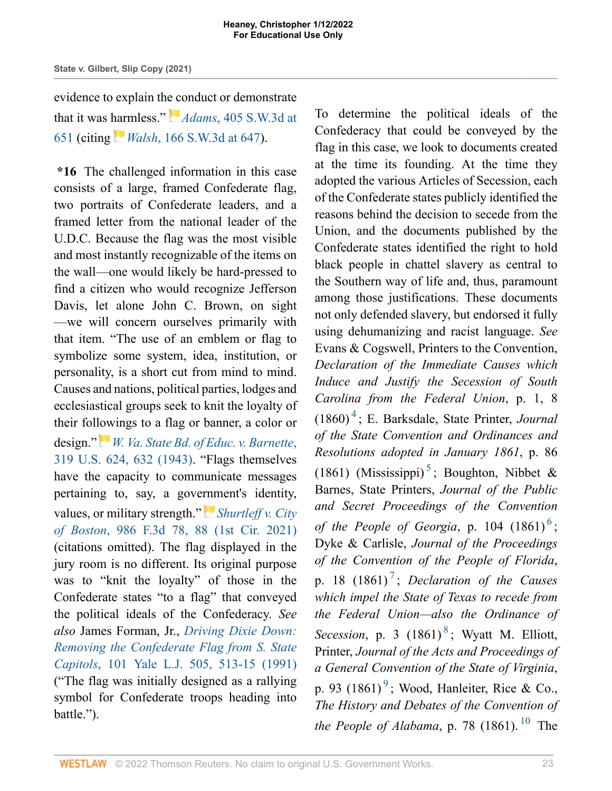evidence to explain th[e co](https://1.next.westlaw.com/Link/RelatedInformation/Flag?documentGuid=I0b4c48a6be8611e28501bda794601919&transitionType=InlineKeyCiteFlags&originationContext=docHeaderFlag&Rank=1&ppcid=1e2aa9bec79a457fbd44de58c9620f0d&contextData=(sc.Search) )nduct or demonstrate that it was [har](https://1.next.westlaw.com/Link/RelatedInformation/Flag?documentGuid=I9d2891c8e74d11d983e7e9deff98dc6f&transitionType=InlineKeyCiteFlags&originationContext=docHeaderFlag&Rank=1&ppcid=1e2aa9bec79a457fbd44de58c9620f0d&contextData=(sc.Search) )mless." *Adams*[, 405 S.W.3d at](http://www.westlaw.com/Link/Document/FullText?findType=Y&serNum=2030552619&pubNum=0004644&originatingDoc=I721c87b0549711ecb124ab1bb8098962&refType=RP&fi=co_pp_sp_4644_651&originationContext=document&vr=3.0&rs=cblt1.0&transitionType=DocumentItem&contextData=(sc.Search)#co_pp_sp_4644_651) [651](http://www.westlaw.com/Link/Document/FullText?findType=Y&serNum=2030552619&pubNum=0004644&originatingDoc=I721c87b0549711ecb124ab1bb8098962&refType=RP&fi=co_pp_sp_4644_651&originationContext=document&vr=3.0&rs=cblt1.0&transitionType=DocumentItem&contextData=(sc.Search)#co_pp_sp_4644_651) (citing *Walsh*[, 166 S.W.3d at 647](http://www.westlaw.com/Link/Document/FullText?findType=Y&serNum=2006856863&pubNum=0004644&originatingDoc=I721c87b0549711ecb124ab1bb8098962&refType=RP&fi=co_pp_sp_4644_647&originationContext=document&vr=3.0&rs=cblt1.0&transitionType=DocumentItem&contextData=(sc.Search)#co_pp_sp_4644_647)).

**\*16** The challenged information in this case consists of a large, framed Confederate flag, two portraits of Confederate leaders, and a framed letter from the national leader of the U.D.C. Because the flag was the most visible and most instantly recognizable of the items on the wall—one would likely be hard-pressed to find a citizen who would recognize Jefferson Davis, let alone John C. Brown, on sight —we will concern ourselves primarily with that item. "The use of an emblem or flag to symbolize some system, idea, institution, or personality, is a short cut from mind to mind. Causes and nations, political parties, lodges and ecclesiastical groups seek to knit the loyalty of their followings to a flag or banner, a color or design."*[W. Va. State Bd. of Educ. v. Barnette](http://www.westlaw.com/Link/Document/FullText?findType=Y&serNum=1943120939&pubNum=0000780&originatingDoc=I721c87b0549711ecb124ab1bb8098962&refType=RP&fi=co_pp_sp_780_632&originationContext=document&vr=3.0&rs=cblt1.0&transitionType=DocumentItem&contextData=(sc.Search)#co_pp_sp_780_632)*, [319 U.S. 624, 632 \(1943\).](http://www.westlaw.com/Link/Document/FullText?findType=Y&serNum=1943120939&pubNum=0000780&originatingDoc=I721c87b0549711ecb124ab1bb8098962&refType=RP&fi=co_pp_sp_780_632&originationContext=document&vr=3.0&rs=cblt1.0&transitionType=DocumentItem&contextData=(sc.Search)#co_pp_sp_780_632) "Flags themselves have the capacity to communicate messages pertaining to, say, a gove[rnm](https://1.next.westlaw.com/Link/RelatedInformation/Flag?documentGuid=I7205a2005d0a11eba7f5c3350fe353a8&transitionType=InlineKeyCiteFlags&originationContext=docHeaderFlag&Rank=1&ppcid=1e2aa9bec79a457fbd44de58c9620f0d&contextData=(sc.Search) )ent's identity, values, or military strength." *[Shurtleff v. City](http://www.westlaw.com/Link/Document/FullText?findType=Y&serNum=2052815099&pubNum=0000506&originatingDoc=I721c87b0549711ecb124ab1bb8098962&refType=RP&fi=co_pp_sp_506_88&originationContext=document&vr=3.0&rs=cblt1.0&transitionType=DocumentItem&contextData=(sc.Search)#co_pp_sp_506_88) of Boston*[, 986 F.3d 78, 88 \(1st Cir. 2021\)](http://www.westlaw.com/Link/Document/FullText?findType=Y&serNum=2052815099&pubNum=0000506&originatingDoc=I721c87b0549711ecb124ab1bb8098962&refType=RP&fi=co_pp_sp_506_88&originationContext=document&vr=3.0&rs=cblt1.0&transitionType=DocumentItem&contextData=(sc.Search)#co_pp_sp_506_88) (citations omitted). The flag displayed in the jury room is no different. Its original purpose was to "knit the loyalty" of those in the Confederate states "to a flag" that conveyed the political ideals of the Confederacy. *See also* James Forman, Jr., *[Driving Dixie Down:](http://www.westlaw.com/Link/Document/FullText?findType=Y&serNum=0101173918&pubNum=0001292&originatingDoc=I721c87b0549711ecb124ab1bb8098962&refType=LR&fi=co_pp_sp_1292_513&originationContext=document&vr=3.0&rs=cblt1.0&transitionType=DocumentItem&contextData=(sc.Search)#co_pp_sp_1292_513) [Removing the Confederate Flag from S. State](http://www.westlaw.com/Link/Document/FullText?findType=Y&serNum=0101173918&pubNum=0001292&originatingDoc=I721c87b0549711ecb124ab1bb8098962&refType=LR&fi=co_pp_sp_1292_513&originationContext=document&vr=3.0&rs=cblt1.0&transitionType=DocumentItem&contextData=(sc.Search)#co_pp_sp_1292_513) Capitols*[, 101 Yale L.J. 505, 513-15 \(1991\)](http://www.westlaw.com/Link/Document/FullText?findType=Y&serNum=0101173918&pubNum=0001292&originatingDoc=I721c87b0549711ecb124ab1bb8098962&refType=LR&fi=co_pp_sp_1292_513&originationContext=document&vr=3.0&rs=cblt1.0&transitionType=DocumentItem&contextData=(sc.Search)#co_pp_sp_1292_513) ("The flag was initially designed as a rallying symbol for Confederate troops heading into battle.").

<span id="page-22-6"></span><span id="page-22-5"></span><span id="page-22-4"></span><span id="page-22-3"></span><span id="page-22-2"></span><span id="page-22-1"></span><span id="page-22-0"></span>To determine the political ideals of the Confederacy that could be conveyed by the flag in this case, we look to documents created at the time its founding. At the time they adopted the various Articles of Secession, each of the Confederate states publicly identified the reasons behind the decision to secede from the Union, and the documents published by the Confederate states identified the right to hold black people in chattel slavery as central to the Southern way of life and, thus, paramount among those justifications. These documents not only defended slavery, but endorsed it fully using dehumanizing and racist language. *See* Evans & Cogswell, Printers to the Convention, *Declaration of the Immediate Causes which Induce and Justify the Secession of South Carolina from the Federal Union*, p. 1, 8 (1860) [4](#page-29-3) ; E. Barksdale, State Printer, *Journal of the State Convention and Ordinances and Resolutions adopted in January 1861*, p. 86 (1861) (Mississippi)<sup>[5](#page-29-4)</sup>; Boughton, Nibbet & Barnes, State Printers, *Journal of the Public and Secret Proceedings of the Convention of the People of Georgia*, p. 104  $(1861)^6$  $(1861)^6$  $(1861)^6$ ; Dyke & Carlisle, *Journal of the Proceedings of the Convention of the People of Florida*, p. 18 (1861) [7](#page-29-6) ; *Declaration of the Causes which impel the State of Texas to recede from the Federal Union—also the Ordinance of* Secession, p. 3 (1[8](#page-29-7)61)<sup>8</sup>; Wyatt M. Elliott, Printer, *Journal of the Acts and Proceedings of a General Convention of the State of Virginia*, p. [9](#page-29-8)3  $(1861)^9$ ; Wood, Hanleiter, Rice & Co., *The History and Debates of the Convention of the People of Alabama*, p. 78 (1861). <sup>[10](#page-29-9)</sup> The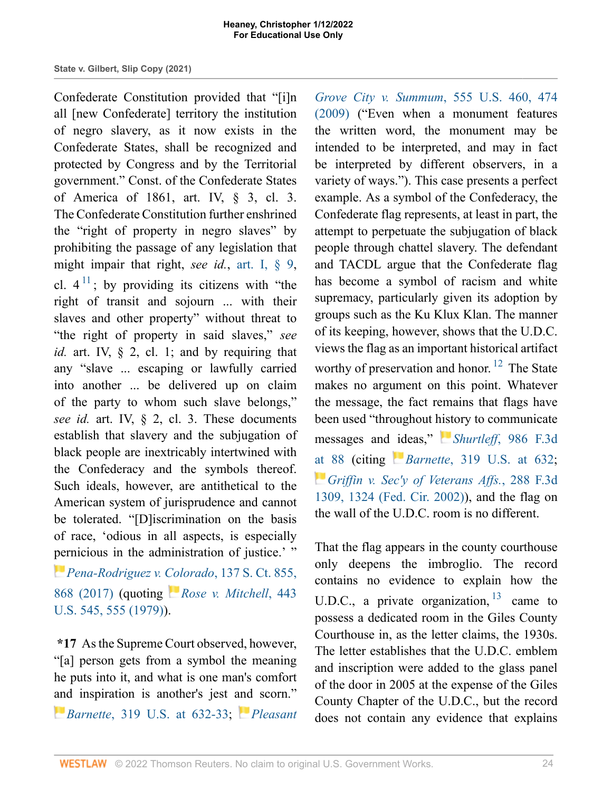<span id="page-23-0"></span>Confederate Constitution provided that "[i]n all [new Confederate] territory the institution of negro slavery, as it now exists in the Confederate States, shall be recognized and protected by Congress and by the Territorial government." Const. of the Confederate States of America of 1861, art. IV, § 3, cl. 3. The Confederate Constitution further enshrined the "right of property in negro slaves" by prohibiting the passage of any legislation that might impair that right, *see id.*, [art. I, § 9,](http://www.westlaw.com/Link/Document/FullText?findType=L&pubNum=1000305&cite=TNCNART1S9&originatingDoc=I721c87b0549711ecb124ab1bb8098962&refType=LQ&originationContext=document&vr=3.0&rs=cblt1.0&transitionType=DocumentItem&contextData=(sc.Search)) cl.  $4<sup>11</sup>$  $4<sup>11</sup>$  $4<sup>11</sup>$ ; by providing its citizens with "the right of transit and sojourn ... with their slaves and other property" without threat to "the right of property in said slaves," *see id.* art. IV, § 2, cl. 1; and by requiring that any "slave ... escaping or lawfully carried into another ... be delivered up on claim of the party to whom such slave belongs," *see id.* art. IV, § 2, cl. 3. These documents establish that slavery and the subjugation of black people are inextricably intertwined with the Confederacy and the symbols thereof. Such ideals, however, are antithetical to the American system of jurisprudence and cannot be tolerated. "[D]iscrimination on the basis of race, 'odious in all aspects, is especially [per](https://1.next.westlaw.com/Link/RelatedInformation/Flag?documentGuid=I0b3c14c9026811e79822eed485bc7ca1&transitionType=InlineKeyCiteFlags&originationContext=docHeaderFlag&Rank=1&ppcid=1e2aa9bec79a457fbd44de58c9620f0d&contextData=(sc.Search) )nicious in the administration of justice.' "

*[Pena-Rodriguez v. Colorado](http://www.westlaw.com/Link/Document/FullText?findType=Y&serNum=2041162858&pubNum=0000708&originatingDoc=I721c87b0549711ecb124ab1bb8098962&refType=RP&fi=co_pp_sp_708_868&originationContext=document&vr=3.0&rs=cblt1.0&transitionType=DocumentItem&contextData=(sc.Search)#co_pp_sp_708_868)*, 137 S. Ct. 855, [868 \(2017\)](http://www.westlaw.com/Link/Document/FullText?findType=Y&serNum=2041162858&pubNum=0000708&originatingDoc=I721c87b0549711ecb124ab1bb8098962&refType=RP&fi=co_pp_sp_708_868&originationContext=document&vr=3.0&rs=cblt1.0&transitionType=DocumentItem&contextData=(sc.Search)#co_pp_sp_708_868) (quoting *[Rose v. Mitchell](http://www.westlaw.com/Link/Document/FullText?findType=Y&serNum=1979135176&pubNum=0000780&originatingDoc=I721c87b0549711ecb124ab1bb8098962&refType=RP&fi=co_pp_sp_780_555&originationContext=document&vr=3.0&rs=cblt1.0&transitionType=DocumentItem&contextData=(sc.Search)#co_pp_sp_780_555)*, 443 [U.S. 545, 555 \(1979\)\)](http://www.westlaw.com/Link/Document/FullText?findType=Y&serNum=1979135176&pubNum=0000780&originatingDoc=I721c87b0549711ecb124ab1bb8098962&refType=RP&fi=co_pp_sp_780_555&originationContext=document&vr=3.0&rs=cblt1.0&transitionType=DocumentItem&contextData=(sc.Search)#co_pp_sp_780_555).

**\*17** As the Supreme Court observed, however, "[a] person gets from a symbol the meaning he puts into it, and what is one man's comfort [and](https://1.next.westlaw.com/Link/RelatedInformation/Flag?documentGuid=I85d3cd739cbe11d9a707f4371c9c34f0&transitionType=InlineKeyCiteFlags&originationContext=docHeaderFlag&Rank=1&ppcid=1e2aa9bec79a457fbd44de58c9620f0d&contextData=(sc.Search) ) inspiration is another's jest [and](https://1.next.westlaw.com/Link/RelatedInformation/Flag?documentGuid=Ib9361e01034211deb5cbad29a280d47c&transitionType=InlineKeyCiteFlags&originationContext=docHeaderFlag&Rank=1&ppcid=1e2aa9bec79a457fbd44de58c9620f0d&contextData=(sc.Search) ) scorn."

*Barnette*[, 319 U.S. at 632-33;](http://www.westlaw.com/Link/Document/FullText?findType=Y&serNum=1943120939&pubNum=0000780&originatingDoc=I721c87b0549711ecb124ab1bb8098962&refType=RP&fi=co_pp_sp_780_632&originationContext=document&vr=3.0&rs=cblt1.0&transitionType=DocumentItem&contextData=(sc.Search)#co_pp_sp_780_632) *[Pleasant](http://www.westlaw.com/Link/Document/FullText?findType=Y&serNum=2018207463&pubNum=0000780&originatingDoc=I721c87b0549711ecb124ab1bb8098962&refType=RP&fi=co_pp_sp_780_474&originationContext=document&vr=3.0&rs=cblt1.0&transitionType=DocumentItem&contextData=(sc.Search)#co_pp_sp_780_474)*

*[Grove City v. Summum](http://www.westlaw.com/Link/Document/FullText?findType=Y&serNum=2018207463&pubNum=0000780&originatingDoc=I721c87b0549711ecb124ab1bb8098962&refType=RP&fi=co_pp_sp_780_474&originationContext=document&vr=3.0&rs=cblt1.0&transitionType=DocumentItem&contextData=(sc.Search)#co_pp_sp_780_474)*, 555 U.S. 460, 474 [\(2009\)](http://www.westlaw.com/Link/Document/FullText?findType=Y&serNum=2018207463&pubNum=0000780&originatingDoc=I721c87b0549711ecb124ab1bb8098962&refType=RP&fi=co_pp_sp_780_474&originationContext=document&vr=3.0&rs=cblt1.0&transitionType=DocumentItem&contextData=(sc.Search)#co_pp_sp_780_474) ("Even when a monument features the written word, the monument may be intended to be interpreted, and may in fact be interpreted by different observers, in a variety of ways."). This case presents a perfect example. As a symbol of the Confederacy, the Confederate flag represents, at least in part, the attempt to perpetuate the subjugation of black people through chattel slavery. The defendant and TACDL argue that the Confederate flag has become a symbol of racism and white supremacy, particularly given its adoption by groups such as the Ku Klux Klan. The manner of its keeping, however, shows that the U.D.C. views the flag as an important historical artifact worthy of preservation and honor.  $^{12}$  $^{12}$  $^{12}$  The State makes no argument on this point. Whatever the message, the fact remains that flags have been used "throughout [hist](https://1.next.westlaw.com/Link/RelatedInformation/Flag?documentGuid=I7205a2005d0a11eba7f5c3350fe353a8&transitionType=InlineKeyCiteFlags&originationContext=docHeaderFlag&Rank=1&ppcid=1e2aa9bec79a457fbd44de58c9620f0d&contextData=(sc.Search) )ory to communicate messages and [id](https://1.next.westlaw.com/Link/RelatedInformation/Flag?documentGuid=I85d3cd739cbe11d9a707f4371c9c34f0&transitionType=InlineKeyCiteFlags&originationContext=docHeaderFlag&Rank=1&ppcid=1e2aa9bec79a457fbd44de58c9620f0d&contextData=(sc.Search) )eas," *Shurtleff*[, 986 F.3d](http://www.westlaw.com/Link/Document/FullText?findType=Y&serNum=2052815099&pubNum=0000506&originatingDoc=I721c87b0549711ecb124ab1bb8098962&refType=RP&fi=co_pp_sp_506_88&originationContext=document&vr=3.0&rs=cblt1.0&transitionType=DocumentItem&contextData=(sc.Search)#co_pp_sp_506_88) [at 88](http://www.westlaw.com/Link/Document/FullText?findType=Y&serNum=2052815099&pubNum=0000506&originatingDoc=I721c87b0549711ecb124ab1bb8098962&refType=RP&fi=co_pp_sp_506_88&originationContext=document&vr=3.0&rs=cblt1.0&transitionType=DocumentItem&contextData=(sc.Search)#co_pp_sp_506_88) (citing *Barnette*[, 319 U.S. at 632](http://www.westlaw.com/Link/Document/FullText?findType=Y&serNum=1943120939&pubNum=0000780&originatingDoc=I721c87b0549711ecb124ab1bb8098962&refType=RP&fi=co_pp_sp_780_632&originationContext=document&vr=3.0&rs=cblt1.0&transitionType=DocumentItem&contextData=(sc.Search)#co_pp_sp_780_632); *[Griffin v. Sec'y of Veterans Affs.](http://www.westlaw.com/Link/Document/FullText?findType=Y&serNum=2002279574&pubNum=0000506&originatingDoc=I721c87b0549711ecb124ab1bb8098962&refType=RP&fi=co_pp_sp_506_1324&originationContext=document&vr=3.0&rs=cblt1.0&transitionType=DocumentItem&contextData=(sc.Search)#co_pp_sp_506_1324)*, 288 F.3d [1309, 1324 \(Fed. Cir. 2002\)\)](http://www.westlaw.com/Link/Document/FullText?findType=Y&serNum=2002279574&pubNum=0000506&originatingDoc=I721c87b0549711ecb124ab1bb8098962&refType=RP&fi=co_pp_sp_506_1324&originationContext=document&vr=3.0&rs=cblt1.0&transitionType=DocumentItem&contextData=(sc.Search)#co_pp_sp_506_1324), and the flag on the wall of the U.D.C. room is no different.

<span id="page-23-2"></span><span id="page-23-1"></span>That the flag appears in the county courthouse only deepens the imbroglio. The record contains no evidence to explain how the U.D.C., a private organization,  $13$  came to possess a dedicated room in the Giles County Courthouse in, as the letter claims, the 1930s. The letter establishes that the U.D.C. emblem and inscription were added to the glass panel of the door in 2005 at the expense of the Giles County Chapter of the U.D.C., but the record does not contain any evidence that explains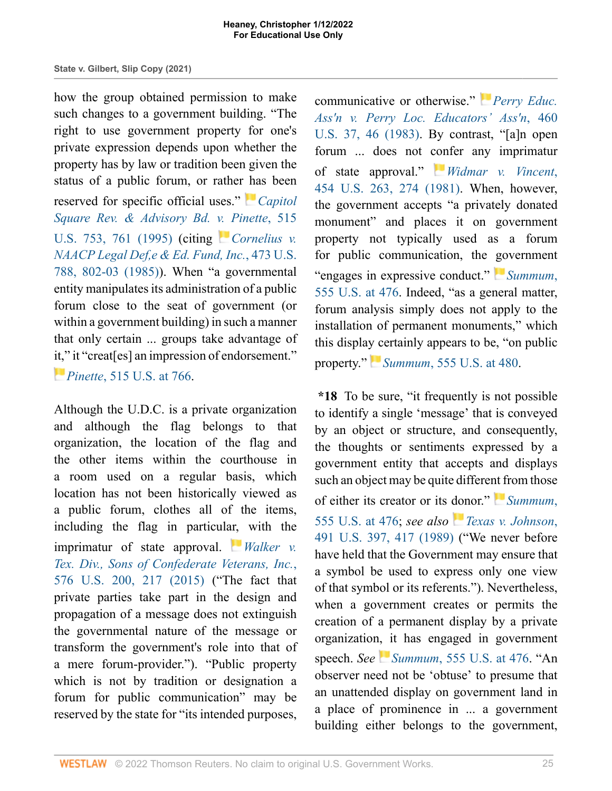how the group obtained permission to make such changes to a government building. "The right to use government property for one's private expression depends upon whether the property has by law or tradition been given the status of a public forum, or rather [ha](https://1.next.westlaw.com/Link/RelatedInformation/Flag?documentGuid=I027b371b9c4b11d991d0cc6b54f12d4d&transitionType=InlineKeyCiteFlags&originationContext=docHeaderFlag&Rank=1&ppcid=1e2aa9bec79a457fbd44de58c9620f0d&contextData=(sc.Search) )s been reserved for specific official uses." *[Capitol](http://www.westlaw.com/Link/Document/FullText?findType=Y&serNum=1995137621&pubNum=0000780&originatingDoc=I721c87b0549711ecb124ab1bb8098962&refType=RP&fi=co_pp_sp_780_761&originationContext=document&vr=3.0&rs=cblt1.0&transitionType=DocumentItem&contextData=(sc.Search)#co_pp_sp_780_761) [Square Rev. & Advisory Bd. v. Pinette](http://www.westlaw.com/Link/Document/FullText?findType=Y&serNum=1995137621&pubNum=0000780&originatingDoc=I721c87b0549711ecb124ab1bb8098962&refType=RP&fi=co_pp_sp_780_761&originationContext=document&vr=3.0&rs=cblt1.0&transitionType=DocumentItem&contextData=(sc.Search)#co_pp_sp_780_761)*, 515 [U.S. 753, 761 \(1995\)](http://www.westlaw.com/Link/Document/FullText?findType=Y&serNum=1995137621&pubNum=0000780&originatingDoc=I721c87b0549711ecb124ab1bb8098962&refType=RP&fi=co_pp_sp_780_761&originationContext=document&vr=3.0&rs=cblt1.0&transitionType=DocumentItem&contextData=(sc.Search)#co_pp_sp_780_761) (citing *[Cornelius v.](http://www.westlaw.com/Link/Document/FullText?findType=Y&serNum=1985133738&pubNum=0000780&originatingDoc=I721c87b0549711ecb124ab1bb8098962&refType=RP&fi=co_pp_sp_780_802&originationContext=document&vr=3.0&rs=cblt1.0&transitionType=DocumentItem&contextData=(sc.Search)#co_pp_sp_780_802) [NAACP Legal Def,e & Ed. Fund, Inc.](http://www.westlaw.com/Link/Document/FullText?findType=Y&serNum=1985133738&pubNum=0000780&originatingDoc=I721c87b0549711ecb124ab1bb8098962&refType=RP&fi=co_pp_sp_780_802&originationContext=document&vr=3.0&rs=cblt1.0&transitionType=DocumentItem&contextData=(sc.Search)#co_pp_sp_780_802)*, 473 U.S. [788, 802-03 \(1985\)](http://www.westlaw.com/Link/Document/FullText?findType=Y&serNum=1985133738&pubNum=0000780&originatingDoc=I721c87b0549711ecb124ab1bb8098962&refType=RP&fi=co_pp_sp_780_802&originationContext=document&vr=3.0&rs=cblt1.0&transitionType=DocumentItem&contextData=(sc.Search)#co_pp_sp_780_802)). When "a governmental entity manipulates its administration of a public forum close to the seat of government (or within a government building) in such a manner that only certain ... groups take advantage of it," it "creat[es] an impression of endorsement."

*[P](https://1.next.westlaw.com/Link/RelatedInformation/Flag?documentGuid=I027b371b9c4b11d991d0cc6b54f12d4d&transitionType=InlineKeyCiteFlags&originationContext=docHeaderFlag&Rank=1&ppcid=1e2aa9bec79a457fbd44de58c9620f0d&contextData=(sc.Search) )inette*[, 515 U.S. at 766](http://www.westlaw.com/Link/Document/FullText?findType=Y&serNum=1995137621&pubNum=0000780&originatingDoc=I721c87b0549711ecb124ab1bb8098962&refType=RP&fi=co_pp_sp_780_766&originationContext=document&vr=3.0&rs=cblt1.0&transitionType=DocumentItem&contextData=(sc.Search)#co_pp_sp_780_766).

Although the U.D.C. is a private organization and although the flag belongs to that organization, the location of the flag and the other items within the courthouse in a room used on a regular basis, which location has not been historically viewed as a public forum, clothes all of the items, including the flag in particul[ar,](https://1.next.westlaw.com/Link/RelatedInformation/Flag?documentGuid=Id282be1415ac11e5a807ad48145ed9f1&transitionType=InlineKeyCiteFlags&originationContext=docHeaderFlag&Rank=1&ppcid=1e2aa9bec79a457fbd44de58c9620f0d&contextData=(sc.Search) ) with the imprimatur of state approval. *[Walker v.](http://www.westlaw.com/Link/Document/FullText?findType=Y&serNum=2036476807&pubNum=0000780&originatingDoc=I721c87b0549711ecb124ab1bb8098962&refType=RP&fi=co_pp_sp_780_217&originationContext=document&vr=3.0&rs=cblt1.0&transitionType=DocumentItem&contextData=(sc.Search)#co_pp_sp_780_217) [Tex. Div., Sons of Confederate Veterans, Inc.](http://www.westlaw.com/Link/Document/FullText?findType=Y&serNum=2036476807&pubNum=0000780&originatingDoc=I721c87b0549711ecb124ab1bb8098962&refType=RP&fi=co_pp_sp_780_217&originationContext=document&vr=3.0&rs=cblt1.0&transitionType=DocumentItem&contextData=(sc.Search)#co_pp_sp_780_217)*, [576 U.S. 200, 217 \(2015\)](http://www.westlaw.com/Link/Document/FullText?findType=Y&serNum=2036476807&pubNum=0000780&originatingDoc=I721c87b0549711ecb124ab1bb8098962&refType=RP&fi=co_pp_sp_780_217&originationContext=document&vr=3.0&rs=cblt1.0&transitionType=DocumentItem&contextData=(sc.Search)#co_pp_sp_780_217) ("The fact that private parties take part in the design and propagation of a message does not extinguish the governmental nature of the message or transform the government's role into that of a mere forum-provider."). "Public property which is not by tradition or designation a forum for public communication" may be reserved by the state for "its intended purposes,

communicative or otherwise." *[Perry Educ.](http://www.westlaw.com/Link/Document/FullText?findType=Y&serNum=1983109287&pubNum=0000780&originatingDoc=I721c87b0549711ecb124ab1bb8098962&refType=RP&fi=co_pp_sp_780_46&originationContext=document&vr=3.0&rs=cblt1.0&transitionType=DocumentItem&contextData=(sc.Search)#co_pp_sp_780_46) [Ass'n v. Perry Loc. Educators' Ass'n](http://www.westlaw.com/Link/Document/FullText?findType=Y&serNum=1983109287&pubNum=0000780&originatingDoc=I721c87b0549711ecb124ab1bb8098962&refType=RP&fi=co_pp_sp_780_46&originationContext=document&vr=3.0&rs=cblt1.0&transitionType=DocumentItem&contextData=(sc.Search)#co_pp_sp_780_46)*, 460 [U.S. 37, 46 \(1983\).](http://www.westlaw.com/Link/Document/FullText?findType=Y&serNum=1983109287&pubNum=0000780&originatingDoc=I721c87b0549711ecb124ab1bb8098962&refType=RP&fi=co_pp_sp_780_46&originationContext=document&vr=3.0&rs=cblt1.0&transitionType=DocumentItem&contextData=(sc.Search)#co_pp_sp_780_46) By contrast, "[a]n open forum ... does not [con](https://1.next.westlaw.com/Link/RelatedInformation/Flag?documentGuid=Ic1d3b7ab9c1e11d991d0cc6b54f12d4d&transitionType=InlineKeyCiteFlags&originationContext=docHeaderFlag&Rank=1&ppcid=1e2aa9bec79a457fbd44de58c9620f0d&contextData=(sc.Search) )fer any imprimatur of state approval." *[Widmar v. Vincent](http://www.westlaw.com/Link/Document/FullText?findType=Y&serNum=1981151373&pubNum=0000780&originatingDoc=I721c87b0549711ecb124ab1bb8098962&refType=RP&fi=co_pp_sp_780_274&originationContext=document&vr=3.0&rs=cblt1.0&transitionType=DocumentItem&contextData=(sc.Search)#co_pp_sp_780_274)*, [454 U.S. 263, 274 \(1981\)](http://www.westlaw.com/Link/Document/FullText?findType=Y&serNum=1981151373&pubNum=0000780&originatingDoc=I721c87b0549711ecb124ab1bb8098962&refType=RP&fi=co_pp_sp_780_274&originationContext=document&vr=3.0&rs=cblt1.0&transitionType=DocumentItem&contextData=(sc.Search)#co_pp_sp_780_274). When, however, the government accepts "a privately donated monument" and places it on government property not typically used as a forum for public communication, the [go](https://1.next.westlaw.com/Link/RelatedInformation/Flag?documentGuid=Ib9361e01034211deb5cbad29a280d47c&transitionType=InlineKeyCiteFlags&originationContext=docHeaderFlag&Rank=1&ppcid=1e2aa9bec79a457fbd44de58c9620f0d&contextData=(sc.Search) )vernment "engages in expressive conduct." *[Summum](http://www.westlaw.com/Link/Document/FullText?findType=Y&serNum=2018207463&pubNum=0000780&originatingDoc=I721c87b0549711ecb124ab1bb8098962&refType=RP&fi=co_pp_sp_780_476&originationContext=document&vr=3.0&rs=cblt1.0&transitionType=DocumentItem&contextData=(sc.Search)#co_pp_sp_780_476)*, [555 U.S. at 476.](http://www.westlaw.com/Link/Document/FullText?findType=Y&serNum=2018207463&pubNum=0000780&originatingDoc=I721c87b0549711ecb124ab1bb8098962&refType=RP&fi=co_pp_sp_780_476&originationContext=document&vr=3.0&rs=cblt1.0&transitionType=DocumentItem&contextData=(sc.Search)#co_pp_sp_780_476) Indeed, "as a general matter, forum analysis simply does not apply to the installation of permanent monuments," which this display certainly appears to be, "on public property."*Summum*[, 555 U.S. at 480.](http://www.westlaw.com/Link/Document/FullText?findType=Y&serNum=2018207463&pubNum=0000780&originatingDoc=I721c87b0549711ecb124ab1bb8098962&refType=RP&fi=co_pp_sp_780_480&originationContext=document&vr=3.0&rs=cblt1.0&transitionType=DocumentItem&contextData=(sc.Search)#co_pp_sp_780_480)

**\*18** To be sure, "it frequently is not possible to identify a single 'message' that is conveyed by an object or structure, and consequently, the thoughts or sentiments expressed by a government entity that accepts and displays such an object may be quite differe[nt f](https://1.next.westlaw.com/Link/RelatedInformation/Flag?documentGuid=Ib9361e01034211deb5cbad29a280d47c&transitionType=InlineKeyCiteFlags&originationContext=docHeaderFlag&Rank=1&ppcid=1e2aa9bec79a457fbd44de58c9620f0d&contextData=(sc.Search) )rom those of either its creator or its [don](https://1.next.westlaw.com/Link/RelatedInformation/Flag?documentGuid=Ic1e7dbf09c1e11d991d0cc6b54f12d4d&transitionType=InlineKeyCiteFlags&originationContext=docHeaderFlag&Rank=1&ppcid=1e2aa9bec79a457fbd44de58c9620f0d&contextData=(sc.Search) )or." *[Summum](http://www.westlaw.com/Link/Document/FullText?findType=Y&serNum=2018207463&pubNum=0000780&originatingDoc=I721c87b0549711ecb124ab1bb8098962&refType=RP&fi=co_pp_sp_780_476&originationContext=document&vr=3.0&rs=cblt1.0&transitionType=DocumentItem&contextData=(sc.Search)#co_pp_sp_780_476)*, [555 U.S. at 476;](http://www.westlaw.com/Link/Document/FullText?findType=Y&serNum=2018207463&pubNum=0000780&originatingDoc=I721c87b0549711ecb124ab1bb8098962&refType=RP&fi=co_pp_sp_780_476&originationContext=document&vr=3.0&rs=cblt1.0&transitionType=DocumentItem&contextData=(sc.Search)#co_pp_sp_780_476) *see also [Texas v. Johnson](http://www.westlaw.com/Link/Document/FullText?findType=Y&serNum=1989092395&pubNum=0000780&originatingDoc=I721c87b0549711ecb124ab1bb8098962&refType=RP&fi=co_pp_sp_780_417&originationContext=document&vr=3.0&rs=cblt1.0&transitionType=DocumentItem&contextData=(sc.Search)#co_pp_sp_780_417)*, [491 U.S. 397, 417 \(1989\)](http://www.westlaw.com/Link/Document/FullText?findType=Y&serNum=1989092395&pubNum=0000780&originatingDoc=I721c87b0549711ecb124ab1bb8098962&refType=RP&fi=co_pp_sp_780_417&originationContext=document&vr=3.0&rs=cblt1.0&transitionType=DocumentItem&contextData=(sc.Search)#co_pp_sp_780_417) ("We never before have held that the Government may ensure that a symbol be used to express only one view of that symbol or its referents."). Nevertheless, when a government creates or permits the creation of a permanent display by a private organizatio[n, i](https://1.next.westlaw.com/Link/RelatedInformation/Flag?documentGuid=Ib9361e01034211deb5cbad29a280d47c&transitionType=InlineKeyCiteFlags&originationContext=docHeaderFlag&Rank=1&ppcid=1e2aa9bec79a457fbd44de58c9620f0d&contextData=(sc.Search) )t has engaged in government speech. *See Summum*[, 555 U.S. at 476](http://www.westlaw.com/Link/Document/FullText?findType=Y&serNum=2018207463&pubNum=0000780&originatingDoc=I721c87b0549711ecb124ab1bb8098962&refType=RP&fi=co_pp_sp_780_476&originationContext=document&vr=3.0&rs=cblt1.0&transitionType=DocumentItem&contextData=(sc.Search)#co_pp_sp_780_476). "An observer need not be 'obtuse' to presume that an unattended display on government land in a place of prominence in ... a government building either belongs to the government,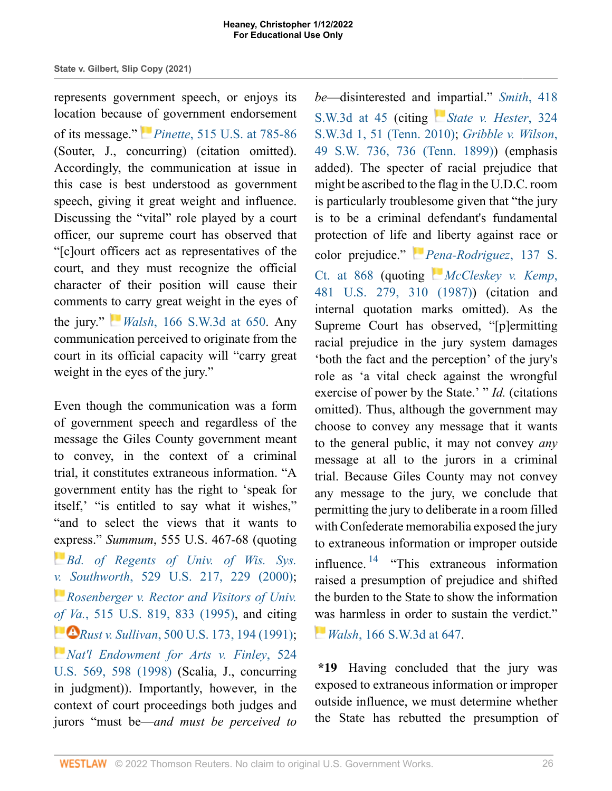represents government speech, or enjoys its location because of government endorsement of its message." *[P](https://1.next.westlaw.com/Link/RelatedInformation/Flag?documentGuid=I027b371b9c4b11d991d0cc6b54f12d4d&transitionType=InlineKeyCiteFlags&originationContext=docHeaderFlag&Rank=1&ppcid=1e2aa9bec79a457fbd44de58c9620f0d&contextData=(sc.Search) )inette*[, 515 U.S. at 785-86](http://www.westlaw.com/Link/Document/FullText?findType=Y&serNum=1995137621&pubNum=0000780&originatingDoc=I721c87b0549711ecb124ab1bb8098962&refType=RP&fi=co_pp_sp_780_785&originationContext=document&vr=3.0&rs=cblt1.0&transitionType=DocumentItem&contextData=(sc.Search)#co_pp_sp_780_785) (Souter, J., concurring) (citation omitted). Accordingly, the communication at issue in this case is best understood as government speech, giving it great weight and influence. Discussing the "vital" role played by a court officer, our supreme court has observed that "[c]ourt officers act as representatives of the court, and they must recognize the official character of their position will cause their comments [to](https://1.next.westlaw.com/Link/RelatedInformation/Flag?documentGuid=I9d2891c8e74d11d983e7e9deff98dc6f&transitionType=InlineKeyCiteFlags&originationContext=docHeaderFlag&Rank=1&ppcid=1e2aa9bec79a457fbd44de58c9620f0d&contextData=(sc.Search) ) carry great weight in the eyes of the jury." *Walsh*[, 166 S.W.3d at 650.](http://www.westlaw.com/Link/Document/FullText?findType=Y&serNum=2006856863&pubNum=0004644&originatingDoc=I721c87b0549711ecb124ab1bb8098962&refType=RP&fi=co_pp_sp_4644_650&originationContext=document&vr=3.0&rs=cblt1.0&transitionType=DocumentItem&contextData=(sc.Search)#co_pp_sp_4644_650) Any communication perceived to originate from the court in its official capacity will "carry great weight in the eyes of the jury."

Even though the communication was a form of government speech and regardless of the message the Giles County government meant to convey, in the context of a criminal trial, it constitutes extraneous information. "A government entity has the right to 'speak for itself,' "is entitled to say what it wishes," "and to select the views that it wants to [exp](https://1.next.westlaw.com/Link/RelatedInformation/Flag?documentGuid=Ibde9a7fa9c2511d9bc61beebb95be672&transitionType=InlineKeyCiteFlags&originationContext=docHeaderFlag&Rank=1&ppcid=1e2aa9bec79a457fbd44de58c9620f0d&contextData=(sc.Search) )ress." *Summum*, 555 U.S. 467-68 (quoting *[Bd. of Regents of Univ. of Wis. Sys.](http://www.westlaw.com/Link/Document/FullText?findType=Y&serNum=2000080463&pubNum=0000780&originatingDoc=I721c87b0549711ecb124ab1bb8098962&refType=RP&fi=co_pp_sp_780_229&originationContext=document&vr=3.0&rs=cblt1.0&transitionType=DocumentItem&contextData=(sc.Search)#co_pp_sp_780_229) [v.](https://1.next.westlaw.com/Link/RelatedInformation/Flag?documentGuid=Ia48c6e8c9c4a11d991d0cc6b54f12d4d&transitionType=InlineKeyCiteFlags&originationContext=docHeaderFlag&Rank=1&ppcid=1e2aa9bec79a457fbd44de58c9620f0d&contextData=(sc.Search) ) Southworth*[, 529 U.S. 217, 229 \(2000\)](http://www.westlaw.com/Link/Document/FullText?findType=Y&serNum=2000080463&pubNum=0000780&originatingDoc=I721c87b0549711ecb124ab1bb8098962&refType=RP&fi=co_pp_sp_780_229&originationContext=document&vr=3.0&rs=cblt1.0&transitionType=DocumentItem&contextData=(sc.Search)#co_pp_sp_780_229); *[Rosenberger v. Rector and Visitors of Univ.](http://www.westlaw.com/Link/Document/FullText?findType=Y&serNum=1995137604&pubNum=0000780&originatingDoc=I721c87b0549711ecb124ab1bb8098962&refType=RP&fi=co_pp_sp_780_833&originationContext=document&vr=3.0&rs=cblt1.0&transitionType=DocumentItem&contextData=(sc.Search)#co_pp_sp_780_833) [of Va](https://1.next.westlaw.com/Link/RelatedInformation/Flag?documentGuid=Ice98d4119c9611d993e6d35cc61aab4a&transitionType=InlineKeyCiteFlags&originationContext=docHeaderFlag&Rank=1&ppcid=1e2aa9bec79a457fbd44de58c9620f0d&contextData=(sc.Search) ).*[, 515 U.S. 819, 833 \(1995\),](http://www.westlaw.com/Link/Document/FullText?findType=Y&serNum=1995137604&pubNum=0000780&originatingDoc=I721c87b0549711ecb124ab1bb8098962&refType=RP&fi=co_pp_sp_780_833&originationContext=document&vr=3.0&rs=cblt1.0&transitionType=DocumentItem&contextData=(sc.Search)#co_pp_sp_780_833) and citing *Rust v. Sullivan*[, 500 U.S. 173, 194 \(1991\)](http://www.westlaw.com/Link/Document/FullText?findType=Y&serNum=1991096316&pubNum=0000780&originatingDoc=I721c87b0549711ecb124ab1bb8098962&refType=RP&fi=co_pp_sp_780_194&originationContext=document&vr=3.0&rs=cblt1.0&transitionType=DocumentItem&contextData=(sc.Search)#co_pp_sp_780_194); *[Nat'l Endowment for Arts v. Finley](http://www.westlaw.com/Link/Document/FullText?findType=Y&serNum=1998132146&pubNum=0000780&originatingDoc=I721c87b0549711ecb124ab1bb8098962&refType=RP&fi=co_pp_sp_780_598&originationContext=document&vr=3.0&rs=cblt1.0&transitionType=DocumentItem&contextData=(sc.Search)#co_pp_sp_780_598)*, 524 [U.S. 569, 598 \(1998\)](http://www.westlaw.com/Link/Document/FullText?findType=Y&serNum=1998132146&pubNum=0000780&originatingDoc=I721c87b0549711ecb124ab1bb8098962&refType=RP&fi=co_pp_sp_780_598&originationContext=document&vr=3.0&rs=cblt1.0&transitionType=DocumentItem&contextData=(sc.Search)#co_pp_sp_780_598) (Scalia, J., concurring in judgment)). Importantly, however, in the context of court proceedings both judges and jurors "must be—*and must be perceived to*

*be*—disinterested and [im](https://1.next.westlaw.com/Link/RelatedInformation/Flag?documentGuid=Ief5def34d14a11df84cb933efb759da4&transitionType=InlineKeyCiteFlags&originationContext=docHeaderFlag&Rank=1&ppcid=1e2aa9bec79a457fbd44de58c9620f0d&contextData=(sc.Search) )partial." *[Smith](http://www.westlaw.com/Link/Document/FullText?findType=Y&serNum=2031510759&pubNum=0004644&originatingDoc=I721c87b0549711ecb124ab1bb8098962&refType=RP&fi=co_pp_sp_4644_45&originationContext=document&vr=3.0&rs=cblt1.0&transitionType=DocumentItem&contextData=(sc.Search)#co_pp_sp_4644_45)*, 418 [S.W.3d at 45](http://www.westlaw.com/Link/Document/FullText?findType=Y&serNum=2031510759&pubNum=0004644&originatingDoc=I721c87b0549711ecb124ab1bb8098962&refType=RP&fi=co_pp_sp_4644_45&originationContext=document&vr=3.0&rs=cblt1.0&transitionType=DocumentItem&contextData=(sc.Search)#co_pp_sp_4644_45) (citing *[State v. Hester](http://www.westlaw.com/Link/Document/FullText?findType=Y&serNum=2023239872&pubNum=0004644&originatingDoc=I721c87b0549711ecb124ab1bb8098962&refType=RP&fi=co_pp_sp_4644_51&originationContext=document&vr=3.0&rs=cblt1.0&transitionType=DocumentItem&contextData=(sc.Search)#co_pp_sp_4644_51)*, 324 [S.W.3d 1, 51 \(Tenn. 2010\)](http://www.westlaw.com/Link/Document/FullText?findType=Y&serNum=2023239872&pubNum=0004644&originatingDoc=I721c87b0549711ecb124ab1bb8098962&refType=RP&fi=co_pp_sp_4644_51&originationContext=document&vr=3.0&rs=cblt1.0&transitionType=DocumentItem&contextData=(sc.Search)#co_pp_sp_4644_51); *[Gribble v. Wilson](http://www.westlaw.com/Link/Document/FullText?findType=Y&serNum=1899009074&pubNum=0000712&originatingDoc=I721c87b0549711ecb124ab1bb8098962&refType=RP&originationContext=document&vr=3.0&rs=cblt1.0&transitionType=DocumentItem&contextData=(sc.Search))*, [49 S.W. 736, 736 \(Tenn. 1899\)\)](http://www.westlaw.com/Link/Document/FullText?findType=Y&serNum=1899009074&pubNum=0000712&originatingDoc=I721c87b0549711ecb124ab1bb8098962&refType=RP&originationContext=document&vr=3.0&rs=cblt1.0&transitionType=DocumentItem&contextData=(sc.Search)) (emphasis added). The specter of racial prejudice that might be ascribed to the flag in the U.D.C. room is particularly troublesome given that "the jury is to be a criminal defendant's fundamental protection of life [and](https://1.next.westlaw.com/Link/RelatedInformation/Flag?documentGuid=I0b3c14c9026811e79822eed485bc7ca1&transitionType=InlineKeyCiteFlags&originationContext=docHeaderFlag&Rank=1&ppcid=1e2aa9bec79a457fbd44de58c9620f0d&contextData=(sc.Search) ) liberty against race or color prejudice." *[Pena-Rodriguez](http://www.westlaw.com/Link/Document/FullText?findType=Y&serNum=2041162858&pubNum=0000708&originatingDoc=I721c87b0549711ecb124ab1bb8098962&refType=RP&fi=co_pp_sp_708_868&originationContext=document&vr=3.0&rs=cblt1.0&transitionType=DocumentItem&contextData=(sc.Search)#co_pp_sp_708_868)*, 137 S. [Ct. at 868](http://www.westlaw.com/Link/Document/FullText?findType=Y&serNum=2041162858&pubNum=0000708&originatingDoc=I721c87b0549711ecb124ab1bb8098962&refType=RP&fi=co_pp_sp_708_868&originationContext=document&vr=3.0&rs=cblt1.0&transitionType=DocumentItem&contextData=(sc.Search)#co_pp_sp_708_868) (quoting *[McCleskey v. Kemp](http://www.westlaw.com/Link/Document/FullText?findType=Y&serNum=1987050464&pubNum=0000780&originatingDoc=I721c87b0549711ecb124ab1bb8098962&refType=RP&fi=co_pp_sp_780_310&originationContext=document&vr=3.0&rs=cblt1.0&transitionType=DocumentItem&contextData=(sc.Search)#co_pp_sp_780_310)*, [481 U.S. 279, 310 \(1987\)\)](http://www.westlaw.com/Link/Document/FullText?findType=Y&serNum=1987050464&pubNum=0000780&originatingDoc=I721c87b0549711ecb124ab1bb8098962&refType=RP&fi=co_pp_sp_780_310&originationContext=document&vr=3.0&rs=cblt1.0&transitionType=DocumentItem&contextData=(sc.Search)#co_pp_sp_780_310) (citation and internal quotation marks omitted). As the Supreme Court has observed, "[p]ermitting racial prejudice in the jury system damages 'both the fact and the perception' of the jury's role as 'a vital check against the wrongful exercise of power by the State.' " *Id.* (citations omitted). Thus, although the government may choose to convey any message that it wants to the general public, it may not convey *any* message at all to the jurors in a criminal trial. Because Giles County may not convey any message to the jury, we conclude that permitting the jury to deliberate in a room filled with Confederate memorabilia exposed the jury to extraneous information or improper outside influence. [14](#page-30-1) "This extraneous information raised a presumption of prejudice and shifted the burden to the State to show the information [wa](https://1.next.westlaw.com/Link/RelatedInformation/Flag?documentGuid=I9d2891c8e74d11d983e7e9deff98dc6f&transitionType=InlineKeyCiteFlags&originationContext=docHeaderFlag&Rank=1&ppcid=1e2aa9bec79a457fbd44de58c9620f0d&contextData=(sc.Search) )s harmless in order to sustain the verdict."

<span id="page-25-0"></span>*Walsh*[, 166 S.W.3d at 647](http://www.westlaw.com/Link/Document/FullText?findType=Y&serNum=2006856863&pubNum=0004644&originatingDoc=I721c87b0549711ecb124ab1bb8098962&refType=RP&fi=co_pp_sp_4644_647&originationContext=document&vr=3.0&rs=cblt1.0&transitionType=DocumentItem&contextData=(sc.Search)#co_pp_sp_4644_647).

**\*19** Having concluded that the jury was exposed to extraneous information or improper outside influence, we must determine whether the State has rebutted the presumption of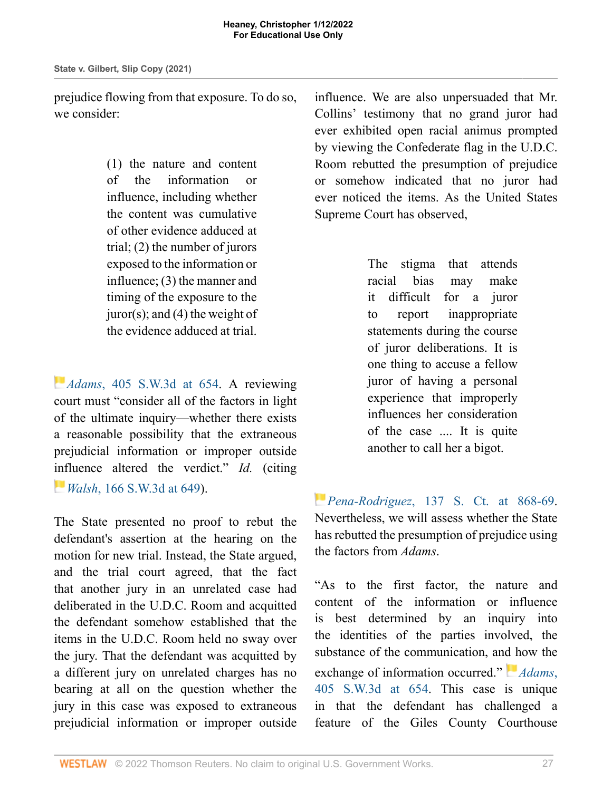prejudice flowing from that exposure. To do so, we consider:

> (1) the nature and content of the information or influence, including whether the content was cumulative of other evidence adduced at trial; (2) the number of jurors exposed to the information or influence; (3) the manner and timing of the exposure to the juror(s); and (4) the weight of the evidence adduced at trial.

*[A](https://1.next.westlaw.com/Link/RelatedInformation/Flag?documentGuid=I0b4c48a6be8611e28501bda794601919&transitionType=InlineKeyCiteFlags&originationContext=docHeaderFlag&Rank=1&ppcid=1e2aa9bec79a457fbd44de58c9620f0d&contextData=(sc.Search) )dams*[, 405 S.W.3d at 654.](http://www.westlaw.com/Link/Document/FullText?findType=Y&serNum=2030552619&pubNum=0004644&originatingDoc=I721c87b0549711ecb124ab1bb8098962&refType=RP&fi=co_pp_sp_4644_654&originationContext=document&vr=3.0&rs=cblt1.0&transitionType=DocumentItem&contextData=(sc.Search)#co_pp_sp_4644_654) A reviewing court must "consider all of the factors in light of the ultimate inquiry—whether there exists a reasonable possibility that the extraneous prejudicial information or improper outside [inf](https://1.next.westlaw.com/Link/RelatedInformation/Flag?documentGuid=I9d2891c8e74d11d983e7e9deff98dc6f&transitionType=InlineKeyCiteFlags&originationContext=docHeaderFlag&Rank=1&ppcid=1e2aa9bec79a457fbd44de58c9620f0d&contextData=(sc.Search) )luence altered the verdict." *Id.* (citing *Walsh*[, 166 S.W.3d at 649](http://www.westlaw.com/Link/Document/FullText?findType=Y&serNum=2006856863&pubNum=0004644&originatingDoc=I721c87b0549711ecb124ab1bb8098962&refType=RP&fi=co_pp_sp_4644_649&originationContext=document&vr=3.0&rs=cblt1.0&transitionType=DocumentItem&contextData=(sc.Search)#co_pp_sp_4644_649)).

The State presented no proof to rebut the defendant's assertion at the hearing on the motion for new trial. Instead, the State argued, and the trial court agreed, that the fact that another jury in an unrelated case had deliberated in the U.D.C. Room and acquitted the defendant somehow established that the items in the U.D.C. Room held no sway over the jury. That the defendant was acquitted by a different jury on unrelated charges has no bearing at all on the question whether the jury in this case was exposed to extraneous prejudicial information or improper outside

influence. We are also unpersuaded that Mr. Collins' testimony that no grand juror had ever exhibited open racial animus prompted by viewing the Confederate flag in the U.D.C. Room rebutted the presumption of prejudice or somehow indicated that no juror had ever noticed the items. As the United States Supreme Court has observed,

> The stigma that attends racial bias may make it difficult for a juror to report inappropriate statements during the course of juror deliberations. It is one thing to accuse a fellow juror of having a personal experience that improperly influences her consideration of the case .... It is quite another to call her a bigot.

*[P](https://1.next.westlaw.com/Link/RelatedInformation/Flag?documentGuid=I0b3c14c9026811e79822eed485bc7ca1&transitionType=InlineKeyCiteFlags&originationContext=docHeaderFlag&Rank=1&ppcid=1e2aa9bec79a457fbd44de58c9620f0d&contextData=(sc.Search) )ena-Rodriguez*[, 137 S. Ct. at 868-69.](http://www.westlaw.com/Link/Document/FullText?findType=Y&serNum=2041162858&pubNum=0000708&originatingDoc=I721c87b0549711ecb124ab1bb8098962&refType=RP&fi=co_pp_sp_708_868&originationContext=document&vr=3.0&rs=cblt1.0&transitionType=DocumentItem&contextData=(sc.Search)#co_pp_sp_708_868) Nevertheless, we will assess whether the State has rebutted the presumption of prejudice using the factors from *Adams*.

"As to the first factor, the nature and content of the information or influence is best determined by an inquiry into the identities of the parties involved, the substance of the communication, an[d h](https://1.next.westlaw.com/Link/RelatedInformation/Flag?documentGuid=I0b4c48a6be8611e28501bda794601919&transitionType=InlineKeyCiteFlags&originationContext=docHeaderFlag&Rank=1&ppcid=1e2aa9bec79a457fbd44de58c9620f0d&contextData=(sc.Search) )ow the exchange of information occurred." *[Adams](http://www.westlaw.com/Link/Document/FullText?findType=Y&serNum=2030552619&pubNum=0004644&originatingDoc=I721c87b0549711ecb124ab1bb8098962&refType=RP&fi=co_pp_sp_4644_654&originationContext=document&vr=3.0&rs=cblt1.0&transitionType=DocumentItem&contextData=(sc.Search)#co_pp_sp_4644_654)*, [405 S.W.3d at 654.](http://www.westlaw.com/Link/Document/FullText?findType=Y&serNum=2030552619&pubNum=0004644&originatingDoc=I721c87b0549711ecb124ab1bb8098962&refType=RP&fi=co_pp_sp_4644_654&originationContext=document&vr=3.0&rs=cblt1.0&transitionType=DocumentItem&contextData=(sc.Search)#co_pp_sp_4644_654) This case is unique in that the defendant has challenged a feature of the Giles County Courthouse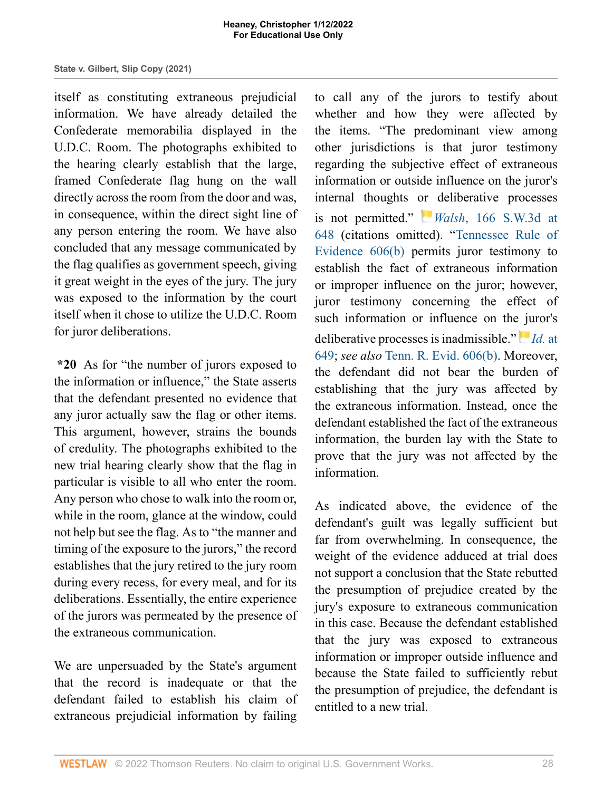itself as constituting extraneous prejudicial information. We have already detailed the Confederate memorabilia displayed in the U.D.C. Room. The photographs exhibited to the hearing clearly establish that the large, framed Confederate flag hung on the wall directly across the room from the door and was, in consequence, within the direct sight line of any person entering the room. We have also concluded that any message communicated by the flag qualifies as government speech, giving it great weight in the eyes of the jury. The jury was exposed to the information by the court itself when it chose to utilize the U.D.C. Room for juror deliberations.

**\*20** As for "the number of jurors exposed to the information or influence," the State asserts that the defendant presented no evidence that any juror actually saw the flag or other items. This argument, however, strains the bounds of credulity. The photographs exhibited to the new trial hearing clearly show that the flag in particular is visible to all who enter the room. Any person who chose to walk into the room or, while in the room, glance at the window, could not help but see the flag. As to "the manner and timing of the exposure to the jurors," the record establishes that the jury retired to the jury room during every recess, for every meal, and for its deliberations. Essentially, the entire experience of the jurors was permeated by the presence of the extraneous communication.

We are unpersuaded by the State's argument that the record is inadequate or that the defendant failed to establish his claim of extraneous prejudicial information by failing to call any of the jurors to testify about whether and how they were affected by the items. "The predominant view among other jurisdictions is that juror testimony regarding the subjective effect of extraneous information or outside influence on the juror's internal thoughts [or](https://1.next.westlaw.com/Link/RelatedInformation/Flag?documentGuid=I9d2891c8e74d11d983e7e9deff98dc6f&transitionType=InlineKeyCiteFlags&originationContext=docHeaderFlag&Rank=1&ppcid=1e2aa9bec79a457fbd44de58c9620f0d&contextData=(sc.Search) ) deliberative processes is not permitted." *Walsh*[, 166 S.W.3d at](http://www.westlaw.com/Link/Document/FullText?findType=Y&serNum=2006856863&pubNum=0004644&originatingDoc=I721c87b0549711ecb124ab1bb8098962&refType=RP&fi=co_pp_sp_4644_648&originationContext=document&vr=3.0&rs=cblt1.0&transitionType=DocumentItem&contextData=(sc.Search)#co_pp_sp_4644_648) [648](http://www.westlaw.com/Link/Document/FullText?findType=Y&serNum=2006856863&pubNum=0004644&originatingDoc=I721c87b0549711ecb124ab1bb8098962&refType=RP&fi=co_pp_sp_4644_648&originationContext=document&vr=3.0&rs=cblt1.0&transitionType=DocumentItem&contextData=(sc.Search)#co_pp_sp_4644_648) (citations omitted). ["Tennessee Rule of](http://www.westlaw.com/Link/Document/FullText?findType=L&pubNum=1008878&cite=TNRREVR606&originatingDoc=I721c87b0549711ecb124ab1bb8098962&refType=LQ&originationContext=document&vr=3.0&rs=cblt1.0&transitionType=DocumentItem&contextData=(sc.Search)) [Evidence 606\(b\)](http://www.westlaw.com/Link/Document/FullText?findType=L&pubNum=1008878&cite=TNRREVR606&originatingDoc=I721c87b0549711ecb124ab1bb8098962&refType=LQ&originationContext=document&vr=3.0&rs=cblt1.0&transitionType=DocumentItem&contextData=(sc.Search)) permits juror testimony to establish the fact of extraneous information or improper influence on the juror; however, juror testimony concerning the effect of such information or influence on th[e ju](https://1.next.westlaw.com/Link/RelatedInformation/Flag?documentGuid=I9d2891c8e74d11d983e7e9deff98dc6f&transitionType=InlineKeyCiteFlags&originationContext=docHeaderFlag&Rank=1&ppcid=1e2aa9bec79a457fbd44de58c9620f0d&contextData=(sc.Search) )ror's deliberative processes is inadmissible." *[Id.](http://www.westlaw.com/Link/Document/FullText?findType=Y&serNum=2006856863&pubNum=0004644&originatingDoc=I721c87b0549711ecb124ab1bb8098962&refType=RP&fi=co_pp_sp_4644_649&originationContext=document&vr=3.0&rs=cblt1.0&transitionType=DocumentItem&contextData=(sc.Search)#co_pp_sp_4644_649)* at [649](http://www.westlaw.com/Link/Document/FullText?findType=Y&serNum=2006856863&pubNum=0004644&originatingDoc=I721c87b0549711ecb124ab1bb8098962&refType=RP&fi=co_pp_sp_4644_649&originationContext=document&vr=3.0&rs=cblt1.0&transitionType=DocumentItem&contextData=(sc.Search)#co_pp_sp_4644_649); *see also* [Tenn. R. Evid. 606\(b\).](http://www.westlaw.com/Link/Document/FullText?findType=L&pubNum=1008878&cite=TNRREVR606&originatingDoc=I721c87b0549711ecb124ab1bb8098962&refType=LQ&originationContext=document&vr=3.0&rs=cblt1.0&transitionType=DocumentItem&contextData=(sc.Search)) Moreover, the defendant did not bear the burden of establishing that the jury was affected by the extraneous information. Instead, once the defendant established the fact of the extraneous information, the burden lay with the State to prove that the jury was not affected by the information.

As indicated above, the evidence of the defendant's guilt was legally sufficient but far from overwhelming. In consequence, the weight of the evidence adduced at trial does not support a conclusion that the State rebutted the presumption of prejudice created by the jury's exposure to extraneous communication in this case. Because the defendant established that the jury was exposed to extraneous information or improper outside influence and because the State failed to sufficiently rebut the presumption of prejudice, the defendant is entitled to a new trial.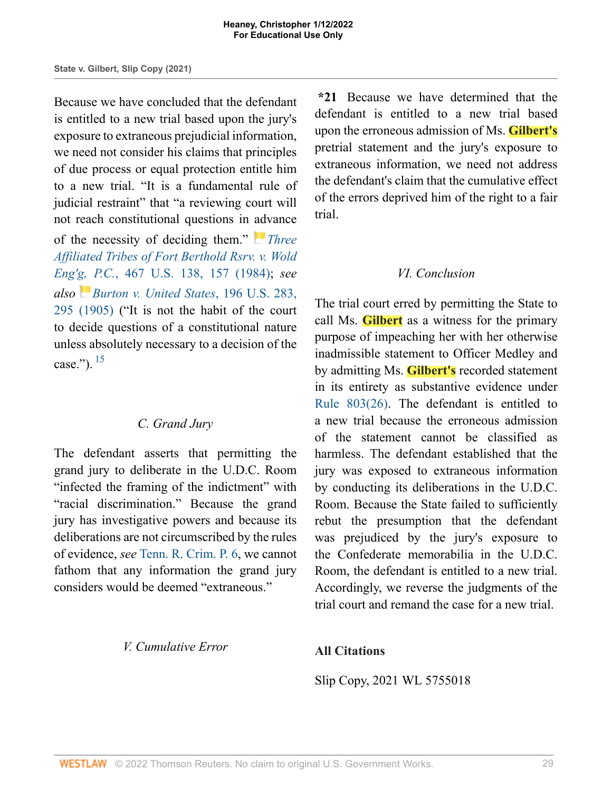Because we have concluded that the defendant is entitled to a new trial based upon the jury's exposure to extraneous prejudicial information, we need not consider his claims that principles of due process or equal protection entitle him to a new trial. "It is a fundamental rule of judicial restraint" that "a reviewing court will not reach constitutional questions in [adv](https://1.next.westlaw.com/Link/RelatedInformation/Flag?documentGuid=I6b4642b99c2511d9bc61beebb95be672&transitionType=InlineKeyCiteFlags&originationContext=docHeaderFlag&Rank=1&ppcid=1e2aa9bec79a457fbd44de58c9620f0d&contextData=(sc.Search) )ance

of the necessity of deciding them." *[Three](http://www.westlaw.com/Link/Document/FullText?findType=Y&serNum=1984125883&pubNum=0000780&originatingDoc=I721c87b0549711ecb124ab1bb8098962&refType=RP&fi=co_pp_sp_780_157&originationContext=document&vr=3.0&rs=cblt1.0&transitionType=DocumentItem&contextData=(sc.Search)#co_pp_sp_780_157) [Affiliated Tribes of Fort Berthold Rsrv. v. Wold](http://www.westlaw.com/Link/Document/FullText?findType=Y&serNum=1984125883&pubNum=0000780&originatingDoc=I721c87b0549711ecb124ab1bb8098962&refType=RP&fi=co_pp_sp_780_157&originationContext=document&vr=3.0&rs=cblt1.0&transitionType=DocumentItem&contextData=(sc.Search)#co_pp_sp_780_157) Eng'[g,](https://1.next.westlaw.com/Link/RelatedInformation/Flag?documentGuid=I97ed69039cc111d9bc61beebb95be672&transitionType=InlineKeyCiteFlags&originationContext=docHeaderFlag&Rank=1&ppcid=1e2aa9bec79a457fbd44de58c9620f0d&contextData=(sc.Search) ) P.C.*[, 467 U.S. 138, 157 \(1984\)](http://www.westlaw.com/Link/Document/FullText?findType=Y&serNum=1984125883&pubNum=0000780&originatingDoc=I721c87b0549711ecb124ab1bb8098962&refType=RP&fi=co_pp_sp_780_157&originationContext=document&vr=3.0&rs=cblt1.0&transitionType=DocumentItem&contextData=(sc.Search)#co_pp_sp_780_157); *see also [Burton v. United States](http://www.westlaw.com/Link/Document/FullText?findType=Y&serNum=1905100354&pubNum=0000780&originatingDoc=I721c87b0549711ecb124ab1bb8098962&refType=RP&fi=co_pp_sp_780_295&originationContext=document&vr=3.0&rs=cblt1.0&transitionType=DocumentItem&contextData=(sc.Search)#co_pp_sp_780_295)*, 196 U.S. 283, [295 \(1905\)](http://www.westlaw.com/Link/Document/FullText?findType=Y&serNum=1905100354&pubNum=0000780&originatingDoc=I721c87b0549711ecb124ab1bb8098962&refType=RP&fi=co_pp_sp_780_295&originationContext=document&vr=3.0&rs=cblt1.0&transitionType=DocumentItem&contextData=(sc.Search)#co_pp_sp_780_295) ("It is not the habit of the court to decide questions of a constitutional nature unless absolutely necessary to a decision of the case.").  $15$ 

### <span id="page-28-0"></span>*C. Grand Jury*

The defendant asserts that permitting the grand jury to deliberate in the U.D.C. Room "infected the framing of the indictment" with "racial discrimination." Because the grand jury has investigative powers and because its deliberations are not circumscribed by the rules of evidence, *see* [Tenn. R. Crim. P. 6](http://www.westlaw.com/Link/Document/FullText?findType=L&pubNum=1008875&cite=TNRRCRPR6&originatingDoc=I721c87b0549711ecb124ab1bb8098962&refType=LQ&originationContext=document&vr=3.0&rs=cblt1.0&transitionType=DocumentItem&contextData=(sc.Search)), we cannot fathom that any information the grand jury considers would be deemed "extraneous."

*V. Cumulative Error*

**\*21** Because we have determined that the defendant is entitled to a new trial based upon the erroneous admission of Ms. **Gilbert's** pretrial statement and the jury's exposure to extraneous information, we need not address the defendant's claim that the cumulative effect of the errors deprived him of the right to a fair trial.

## *VI. Conclusion*

The trial court erred by permitting the State to call Ms. **Gilbert** as a witness for the primary purpose of impeaching her with her otherwise inadmissible statement to Officer Medley and by admitting Ms. **Gilbert's** recorded statement in its entirety as substantive evidence under [Rule 803\(26\)](http://www.westlaw.com/Link/Document/FullText?findType=L&pubNum=1008878&cite=TNRREVR803&originatingDoc=I721c87b0549711ecb124ab1bb8098962&refType=LQ&originationContext=document&vr=3.0&rs=cblt1.0&transitionType=DocumentItem&contextData=(sc.Search)). The defendant is entitled to a new trial because the erroneous admission of the statement cannot be classified as harmless. The defendant established that the jury was exposed to extraneous information by conducting its deliberations in the U.D.C. Room. Because the State failed to sufficiently rebut the presumption that the defendant was prejudiced by the jury's exposure to the Confederate memorabilia in the U.D.C. Room, the defendant is entitled to a new trial. Accordingly, we reverse the judgments of the trial court and remand the case for a new trial.

## **All Citations**

Slip Copy, 2021 WL 5755018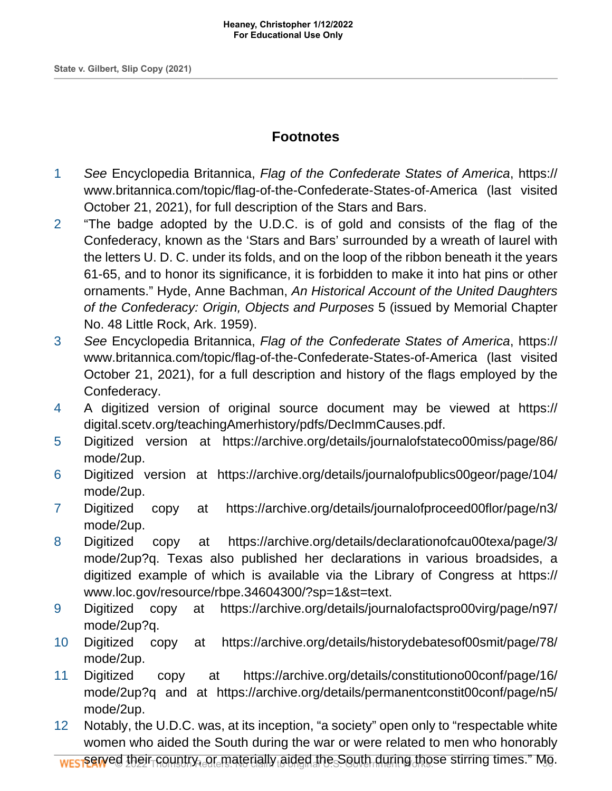# **Footnotes**

- <span id="page-29-0"></span>[1](#page-18-0) See Encyclopedia Britannica, Flag of the Confederate States of America, https:// www.britannica.com/topic/flag-of-the-Confederate-States-of-America (last visited October 21, 2021), for full description of the Stars and Bars.
- <span id="page-29-1"></span>[2](#page-18-1) "The badge adopted by the U.D.C. is of gold and consists of the flag of the Confederacy, known as the 'Stars and Bars' surrounded by a wreath of laurel with the letters U. D. C. under its folds, and on the loop of the ribbon beneath it the years 61-65, and to honor its significance, it is forbidden to make it into hat pins or other ornaments." Hyde, Anne Bachman, An Historical Account of the United Daughters of the Confederacy: Origin, Objects and Purposes 5 (issued by Memorial Chapter No. 48 Little Rock, Ark. 1959).
- <span id="page-29-2"></span>[3](#page-19-0) See Encyclopedia Britannica, Flag of the Confederate States of America, https:// www.britannica.com/topic/flag-of-the-Confederate-States-of-America (last visited October 21, 2021), for a full description and history of the flags employed by the Confederacy.
- <span id="page-29-3"></span>[4](#page-22-0) A digitized version of original source document may be viewed at https:// digital.scetv.org/teachingAmerhistory/pdfs/DecImmCauses.pdf.
- <span id="page-29-4"></span>[5](#page-22-1) Digitized version at https://archive.org/details/journalofstateco00miss/page/86/ mode/2up.
- <span id="page-29-5"></span>[6](#page-22-2) Digitized version at https://archive.org/details/journalofpublics00geor/page/104/ mode/2up.
- <span id="page-29-6"></span>[7](#page-22-3) Digitized copy at https://archive.org/details/journalofproceed00flor/page/n3/ mode/2up.
- <span id="page-29-7"></span>[8](#page-22-4) Digitized copy at https://archive.org/details/declarationofcau00texa/page/3/ mode/2up?q. Texas also published her declarations in various broadsides, a digitized example of which is available via the Library of Congress at https:// www.loc.gov/resource/rbpe.34604300/?sp=1&st=text.
- <span id="page-29-8"></span>[9](#page-22-5) Digitized copy at https://archive.org/details/journalofactspro00virg/page/n97/ mode/2up?q.
- <span id="page-29-9"></span>[10](#page-22-6) Digitized copy at https://archive.org/details/historydebatesof00smit/page/78/ mode/2up.
- <span id="page-29-10"></span>[11](#page-23-0) Digitized copy at https://archive.org/details/constitutiono00conf/page/16/ mode/2up?q and at https://archive.org/details/permanentconstit00conf/page/n5/ mode/2up.
- <span id="page-29-11"></span>[12](#page-23-1) Notably, the U.D.C. was, at its inception, "a society" open only to "respectable white women who aided the South during the war or were related to men who honorably

<mark>ser</mark>ved their country, or materially aided the South during those stirring times." Mo.